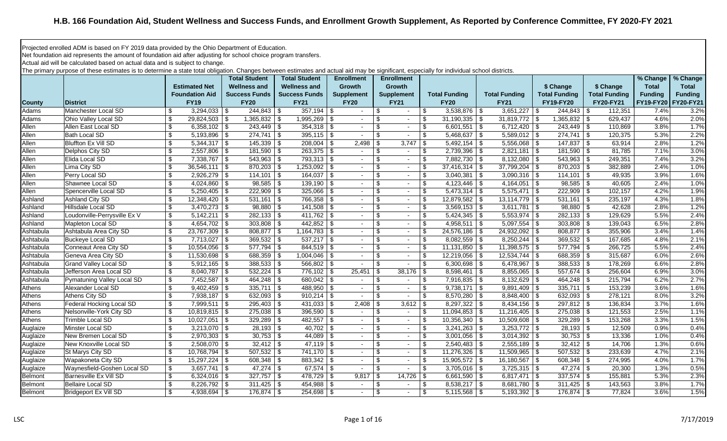## **H.B. 166 Foundation Aid, Student Wellness and Success Funds, and Enrollment Growth Supplement, As Reported by Conference Committee, FY 2020-FY 2021**

Projected enrolled ADM is based on FY 2019 data provided by the Ohio Department of Education.

Net foundation aid represents the amount of foundation aid after adjusting for school choice program transfers.

Actual aid will be calculated based on actual data and is subject to change.

The primary purpose of these estimates is to determine a state total obligation. Changes between estimates and actual aid may be significant, especially for individual school districts.

|                |                              |                           |                         | <b>Total Student</b> | <b>Total Student</b> | <b>Enrollment</b> |                | <b>Enrollment</b> |                          |                           |                      |                         |                      |                      | % Change       | % Change            |
|----------------|------------------------------|---------------------------|-------------------------|----------------------|----------------------|-------------------|----------------|-------------------|--------------------------|---------------------------|----------------------|-------------------------|----------------------|----------------------|----------------|---------------------|
|                |                              |                           | <b>Estimated Net</b>    | <b>Wellness and</b>  | <b>Wellness and</b>  | <b>Growth</b>     |                | <b>Growth</b>     |                          |                           |                      |                         | \$ Change            | \$ Change            | <b>Total</b>   | <b>Total</b>        |
|                |                              |                           | <b>Foundation Aid</b>   | <b>Success Funds</b> | <b>Success Funds</b> | <b>Supplement</b> |                | <b>Supplement</b> |                          |                           | <b>Total Funding</b> | <b>Total Funding</b>    | <b>Total Funding</b> | <b>Total Funding</b> | <b>Funding</b> | <b>Funding</b>      |
| <b>County</b>  | <b>District</b>              |                           | <b>FY19</b>             | <b>FY20</b>          | <b>FY21</b>          | <b>FY20</b>       |                | <b>FY21</b>       |                          |                           | <b>FY20</b>          | <b>FY21</b>             | <b>FY19-FY20</b>     | <b>FY20-FY21</b>     |                | FY19-FY20 FY20-FY21 |
| Adams          | Manchester Local SD          | \$                        | $3,294,033$ \$          | $244,843$ \$         | $357,194$ \$         |                   | $\sim$         | \$                | $\sim$                   | \$                        | $3,538,876$ \$       | $3,651,227$ \$          | $244,843$ \$         | 112,351              | 7.4%           | 3.2%                |
| Adams          | Ohio Valley Local SD         | $\boldsymbol{\mathsf{s}}$ | $29,824,503$ \$         | $1,365,832$ \$       | 1,995,269            | \$                |                | \$                |                          | \$                        | $31,190,335$ \$      | $31,819,772$ \$         | $1,365,832$ \$       | 629,437              | 4.6%           | 2.0%                |
| Allen          | Allen East Local SD          | $\boldsymbol{\mathsf{s}}$ | $6,358,102$ \$          | $243,449$ \$         | $354,318$ \$         |                   | $\sim$         | \$                | $\sim$                   | \$                        | $6,601,551$ \$       | 6,712,420 $\frac{1}{9}$ | $243,449$ \$         | 110,869              | 3.8%           | 1.7%                |
| Allen          | <b>Bath Local SD</b>         | $\boldsymbol{\mathsf{S}}$ | $5,193,896$ \$          | $274,741$ \$         | $395,115$ \$         |                   | $\sim$         | \$                | $\sim$                   | \$                        | $5,468,637$ \$       | $5,589,012$ \$          | $274,741$ \$         | 120,375              | 5.3%           | 2.2%                |
| Allen          | Bluffton Ex Vill SD          | $\boldsymbol{\mathsf{s}}$ | $5,344,317$ \\$         | $145,339$ \\$        | 208,004              | -\$               | 2,498          | \$                | 3,747                    | \$                        | $5,492,154$ \\$      | $5,556,068$ \ \$        | $147,837$ \$         | 63,914               | 2.8%           | 1.2%                |
| Allen          | Delphos City SD              | \$                        | $2,557,806$ \$          | $181,590$ \$         | $263,375$ \$         |                   | $\sim$         | \$                | $\sim$                   | \$                        | $2,739,396$ \$       | $2,821,181$ \$          | $181,590$ \$         | 81,785               | 7.1%           | 3.0%                |
| Allen          | Elida Local SD               | $\boldsymbol{\mathsf{s}}$ | 7,338,767 \$            | $543,963$ \$         | $793,313$ \$         |                   | $\sim$         | \$                | $\sim$                   | \$                        | 7,882,730   \$       | $8,132,080$ \$          | $543,963$ \$         | 249,351              | 7.4%           | 3.2%                |
| Allen          | Lima City SD                 | $\boldsymbol{\mathsf{S}}$ | $36,546,111$   \$       | $870,203$ \$         | $1,253,092$ \$       |                   | $\sim$         | \$                | $\sim$                   | \$                        | $37,416,314$ \\$     | $37,799,204$ \$         | $870,203$ \$         | 382,889              | 2.4%           | 1.0%                |
| Allen          | Perry Local SD               | \$                        | $2,926,279$ \$          | $114,101$ \\$        | 164,037              | \$                | $\sim$         | \$                | $\sim$                   | \$                        | $3,040,381$ \$       | $3,090,316$ \$          | $114,101$ \\$        | 49,935               | 3.9%           | 1.6%                |
| Allen          | Shawnee Local SD             | \$                        | 4,024,860 $\frac{1}{9}$ | $98,585$ \\$         | 139,190              | <b>S</b>          | $\sim$         | \$                | $\sim$                   | \$                        |                      | 4,164,051   \$          | $98,585$ \$          | 40,605               | 2.4%           | 1.0%                |
| Allen          | Spencerville Local SD        | \$                        | $5,250,405$ \$          | $222,909$ \$         | 325,066              | <b>S</b>          | $\sim$         | \$                | $\sim$                   | \$                        | $5,473,314$ \$       | $5,575,471$ \$          | $222,909$ \$         | 102,157              | 4.2%           | 1.9%                |
| Ashland        | Ashland City SD              | $\boldsymbol{\mathsf{S}}$ | $12,348,420$ \ \$       | $531,161$ \$         | 766,358              | \$                | $\sim$         | \$                | $\sim$                   | \$                        | $12,879,582$ \$      | $13,114,779$ \ \$       | $531,161$ \$         | 235,197              | 4.3%           | 1.8%                |
| Ashland        | Hillsdale Local SD           | \$                        | $3,470,273$ \$          | $98,880$ \ \$        | 141,508              | - \$              | $\sim$         | \$                | $\sim$                   | \$                        | $3,569,153$ \$       | $3,611,781$ \$          | $98,880$ \$          | 42,628               | 2.8%           | 1.2%                |
| Ashland        | Loudonville-Perrysville Ex V | $\boldsymbol{\mathsf{s}}$ | $5,142,211$ \$          | $282,133$ \$         | 411,762              | <b>S</b>          | $\blacksquare$ | \$                | $\sim$                   | \$                        | $5,424,345$ \$       | $5,553,974$ \$          | $282,133$ \$         | 129,629              | 5.5%           | 2.4%                |
| Ashland        | Mapleton Local SD            | \$                        | $4,654,702$ \$          | $303,808$ \$         |                      |                   | $\sim$         | \$                | $\sim$                   | \$                        | $4,958,511$ \$       | $5,097,554$ \$          | $303,808$ \$         | 139,043              | 6.5%           | 2.8%                |
| Ashtabula      | Ashtabula Area City SD       | $\boldsymbol{\mathsf{s}}$ | $23,767,309$ \$         | 808,877 \$           | 1,164,783 \$         |                   | $\sim$         | \$                | $\sim$                   | \$                        | 24,576,186 \$        | 24,932,092   \$         | 808,877 \$           | 355,906              | 3.4%           | 1.4%                |
| Ashtabula      | <b>Buckeye Local SD</b>      | \$                        | $7,713,027$ \$          | $369,532$ \$         | 537,217              | \$                |                | \$                | $\sim$                   | \$                        | $8,082,559$ \\$      |                         | $369,532$ \$         | 167,685              | 4.8%           | 2.1%                |
| Ashtabula      | Conneaut Area City SD        | $\boldsymbol{\mathsf{S}}$ | $10,554,056$ \ \$       | $577,794$ \$         | 844,519              | \$                | $\sim$         | \$                | $\sim$                   | \$                        | $11,131,850$ \ \$    | $11,398,575$ \\$        | $577,794$ \$         | 266,725              | 5.5%           | 2.4%                |
| Ashtabula      | Geneva Area City SD          | $\overline{\mathcal{F}}$  | $11,530,698$ \$         | 688,359 \$           | 1,004,046            | \$                | $\sim$         | \$                | $\sim$                   | \$                        | $12,219,056$ \$      | $12,534,744$ \$         | $688,359$ \$         | 315,687              | 6.0%           | 2.6%                |
| Ashtabula      | <b>Grand Valley Local SD</b> | \$                        | $5,912,165$ \$          | $388,533$ \$         | 566,802              | - \$              |                | \$                |                          | \$                        | $6,300,698$ \$       | $6,478,967$ \$          | $388,533$ \$         | 178,269              | 6.6%           | 2.8%                |
| Ashtabula      | Jefferson Area Local SD      | \$                        | $8,040,787$ \$          | $532,224$ \$         | 776,102              | \$                | 25,451         | \$                | 38,176                   | \$                        | $8,598,461$ \$       | $8,855,065$ \$          | $557,674$ \$         | 256,604              | 6.9%           | 3.0%                |
| Ashtabula      | Pymatuning Valley Local SD   | $\boldsymbol{\mathsf{s}}$ | $7,452,587$ \$          |                      | $680,042$ \$         |                   | $\sim$         | \$                | $\sim$                   | \$                        | $7,916,835$ \ \ \$   | $8,132,629$ \$          |                      | 215,794              | 6.2%           | 2.7%                |
| Athens         | Alexander Local SD           | \$                        |                         | $335,711$ \\$        | 488,950 \$           |                   | $\sim$         | \$                | $\sim$                   | \$                        | $9,738,171$ \$       | $9,891,409$ \ \$        | $335,711$ \ \$       | 153,239              | 3.6%           | 1.6%                |
| Athens         | Athens City SD               | $\boldsymbol{\mathsf{s}}$ | 7,938,187 \$            | $632,093$ \$         | 910,214              | \$                |                | \$                |                          | \$                        | $8,570,280$ \$       | $8,848,400$ \$          | $632,093$ \$         | 278,121              | 8.0%           | 3.2%                |
| Athens         | Federal Hocking Local SD     | $\boldsymbol{\mathsf{S}}$ | $7,999,511$ \$          | $295,403$ \$         | 431,033              | \$                | 2,408          | \$                | 3,612                    | $\boldsymbol{\mathsf{S}}$ | $8,297,322$ \$       | $8,434,156$ \\$         | $297,812$ \$         | 136,834              | 3.7%           | 1.6%                |
| Athens         | Nelsonville-York City SD     | \$                        | $10,819,815$ \$         | $275,038$ \$         | $396,590$ \$         |                   | $\sim$         | \$                | $\sim$                   | \$                        | $11,094,853$ \$      | $11,216,405$ \ \$       | $275,038$ \$         | 121,553              | 2.5%           | 1.1%                |
| Athens         | Trimble Local SD             | $\overline{\$}$           | $10,027,051$ \$         | $329,289$ \$         | 482,557              | <b>S</b>          | $\sim$         | \$                | $\sim$                   | \$                        | $10,356,340$ \$      | $10,509,608$ \ \$       | $329,289$ \$         | 153,268              | 3.3%           | 1.5%                |
| Auglaize       | Minster Local SD             | \$                        | $3,213,070$ \$          | $28,193$ \$          | 40,702               | \$                | $\sim$         | \$                | $\sim$                   | \$                        | $3,241,263$ \$       | $3,253,772$ \$          | $28,193$ \$          | 12,509               | 0.9%           | 0.4%                |
| Auglaize       | New Bremen Local SD          | $\boldsymbol{\mathsf{s}}$ | $2,970,303$ \\$         | $30,753$ \$          | $44,089$ \$          |                   | $\sim$         | \$                | $\sim$                   | \$                        | $3,001,056$ \$       | $3,014,392$ \$          | $30,753$ \$          | 13,336               | 1.0%           | 0.4%                |
| Auglaize       | New Knoxville Local SD       | $\boldsymbol{\mathsf{s}}$ | $2,508,070$ \$          | $32,412$ \ \\$       | $47,119$ \\$         |                   | $\sim$         | \$                | $\sim$                   | \$                        |                      | $2,555,189$ \$          | $32,412$ \$          | 14,706               | 1.3%           | 0.6%                |
| Auglaize       | St Marys City SD             | \$                        | $10,768,794$ \\$        | $507,532$ \$         | $741,170$ \ \$       |                   | $\sim$         | \$                | $\sim$                   | \$                        | $11,276,326$ \ \$    | $11,509,965$ \$         | $507,532$ \$         | 233,639              | 4.7%           | 2.1%                |
| Auglaize       | Wapakoneta City SD           | \$                        | $15,297,224$ \$         | $608,348$ \$         | 883,342              | -\$               | $\sim$         | \$                | $\sim$                   | \$                        | $15,905,572$ \$      | $16,180,567$ \$         | $608,348$ \$         | 274,995              | 4.0%           | 1.7%                |
| Auglaize       | Waynesfield-Goshen Local SD  | \$                        | $3,657,741$ \$          | $47,274$ \\$         | $67,574$ \$          |                   | $\sim$         | \$                | $\overline{\phantom{a}}$ | \$                        | $3,705,016$ \$       | $3,725,315$ \$          | $47,274$ \$          | 20,300               | 1.3%           | 0.5%                |
| <b>Belmont</b> | Barnesville Ex Vill SD       | \$                        | 6,324,016   \$          | $327,757$ \$         | 478,729              | ∣\$               | 9,817          | \$                | 14,726                   | -\$                       | $6,661,590$ \$       | $6,817,471$ \$          | $337,574$ \$         | 155,881              | 5.3%           | 2.3%                |
| Belmont        | Bellaire Local SD            | \$                        | $8,226,792$ \$          | $311,425$ \$         | 454,988              | - S               | $\sim$         | \$                | $\overline{\phantom{a}}$ | \$                        | $8,538,217$ \$       | $8,681,780$ \$          | $311,425$ \$         | 143,563              | 3.8%           | 1.7%                |
| <b>Belmont</b> | Bridgeport Ex Vill SD        | $\boldsymbol{\mathsf{s}}$ | $4,938,694$ \$          | $176,874$ \\$        | $254,698$ \$         |                   |                | \$                | $\sim$                   | \$                        | $5,115,568$ \$       | $5,193,392$ \$          | $176,874$ \$         | 77,824               | 3.6%           | 1.5%                |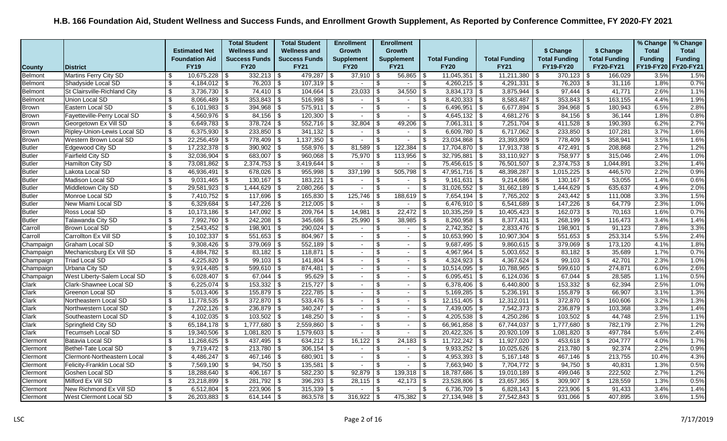|                |                              |                           |                          | <b>Total Student</b> |      | <b>Total Student</b> | <b>Enrollment</b>        |                | <b>Enrollment</b>        |                |                         |                      |                          |                      |      |                      | % Change       | % Change       |
|----------------|------------------------------|---------------------------|--------------------------|----------------------|------|----------------------|--------------------------|----------------|--------------------------|----------------|-------------------------|----------------------|--------------------------|----------------------|------|----------------------|----------------|----------------|
|                |                              |                           | <b>Estimated Net</b>     | <b>Wellness and</b>  |      | <b>Wellness and</b>  | <b>Growth</b>            |                | <b>Growth</b>            |                |                         |                      |                          | \$ Change            |      | \$ Change            | <b>Total</b>   | <b>Total</b>   |
|                |                              |                           | <b>Foundation Aid</b>    | <b>Success Funds</b> |      | <b>Success Funds</b> | <b>Supplement</b>        |                | <b>Supplement</b>        |                | <b>Total Funding</b>    | <b>Total Funding</b> |                          | <b>Total Funding</b> |      | <b>Total Funding</b> | <b>Funding</b> | <b>Funding</b> |
| <b>County</b>  | <b>District</b>              |                           | <b>FY19</b>              | <b>FY20</b>          |      | <b>FY21</b>          | <b>FY20</b>              |                | <b>FY21</b>              |                | <b>FY20</b>             | <b>FY21</b>          |                          | FY19-FY20            |      | <b>FY20-FY21</b>     | FY19-FY20      | FY20-FY21      |
| Belmont        | <b>Martins Ferry City SD</b> | \$                        | $10,675,228$ \ \\$       | $332,213$ \$         |      | $479,287$ \$         | $37,910$ \\$             |                | $56,865$ \ \$            |                | $11,045,351$ \\$        | 11,211,380           | \$                       | 370,123              | l \$ | 166,029              | 3.5%           | 1.5%           |
| Belmont        | Shadyside Local SD           | \$                        | $4,184,012$ \$           | 76,203 \$            |      | $107,319$ \$         | $\sim$                   | \$             | $\blacksquare$           | \$             | $4,260,215$ \$          | 4,291,331            | \$                       | $76,203$ \$          |      | 31,116               | 1.8%           | 0.7%           |
| <b>Belmont</b> | St Clairsville-Richland City | \$                        | $3,736,730$ \$           | $74,410$ \\$         |      | $104,664$ \ \$       | 23,033                   |                | 34,550                   | \$             | $3,834,173$ \$          | 3,875,944            | \$                       | 97,444               | \$   | 41,771               | 2.6%           | 1.1%           |
| <b>Belmont</b> | Union Local SD               | \$                        | $8,066,489$ \ \ \$       | 353,843              | \$   | $516,998$ \$         | $\sim$                   | -S             | $\overline{\phantom{a}}$ | \$             | $8,420,333$ \$          | 8,583,487            | $\overline{\mathcal{F}}$ | 353,843              | -\$  | 163,155              | 4.4%           | 1.9%           |
| Brown          | Eastern Local SD             | \$                        | $6,101,983$ \$           | 394,968              | l \$ | $575,911$ \$         | $\sim$                   |                | $\sim$                   | \$             | $6,496,951$ \$          | 6,677,894            | \$                       | 394,968              | ∣\$  | 180,943              | 6.5%           | 2.8%           |
| <b>Brown</b>   | Fayetteville-Perry Local SD  | $\boldsymbol{\mathsf{S}}$ | $4,560,976$ \$           |                      |      | $120,300$ \$         | $\sim$                   | \$.            | $\blacksquare$           | \$             | $4,645,132$ \$          | $4,681,276$ \$       |                          | $84,156$ \$          |      | 36,144               | 1.8%           | 0.8%           |
| <b>Brown</b>   | Georgetown Ex Vill SD        | \$                        | $6,649,783$ \\$          | $378,724$ \\$        |      | $552,716$ \$         | 32,804                   | - \$           | 49,206                   | -\$            | $7,061,311$ \$          | 7,251,704            | l \$                     | 411,528              | -\$  | 190,393              | 6.2%           | 2.7%           |
| <b>Brown</b>   | Ripley-Union-Lewis Local SD  | \$                        | $6,375,930$ \$           | $233,850$ \$         |      | $341,132$ \$         | $\sim$                   | \$.            | $\sim$                   | \$             | $6,609,780$ \$          | $6,717,062$ \$       |                          | $233,850$ \$         |      | 107,281              | 3.7%           | 1.6%           |
| <b>Brown</b>   | Western Brown Local SD       | $\overline{\mathbf{e}}$   | $22,256,459$ \$          | $778,409$ \$         |      | $1,137,350$ \$       | $\sim$                   | \$             | $\sim$                   | \$             | $23,034,868$ \$         | $23,393,809$ \$      |                          | $778,409$ \$         |      | 358,941              | 3.5%           | 1.6%           |
| <b>Butler</b>  | Edgewood City SD             | $\boldsymbol{\mathsf{s}}$ |                          | 390,902              | l \$ | $558,976$ \$         | 81,589                   |                | $122,384$ \$             |                | $17,704,870$ \$         | 17,913,738           | \$                       | 472,491              | \$   | 208,868              | 2.7%           | 1.2%           |
| <b>Butler</b>  | Fairfield City SD            | $\overline{\mathbf{3}}$   | $32,036,904$ \$          | 683,007 \$           |      | $960,068$ \$         | 75,970                   |                | $113,956$ \$             |                | $32,795,881$ \$         | 33,110,927           | \$                       | 758,977              | - \$ | 315,046              | 2.4%           | 1.0%           |
| <b>Butler</b>  | Hamilton City SD             | $\boldsymbol{\mathsf{S}}$ | $73,081,862$ \$          | 2,374,753            | \$   | $3,419,644$ \$       | $\sim$                   | \$             | $\sim$                   | \$             | $75,456,615$ \$         | 76,501,507           | \$                       | $2,374,753$ \$       |      | 1,044,891            | 3.2%           | 1.4%           |
| <b>Butler</b>  | Lakota Local SD              | \$                        | $46,936,491$ \$          | 678,026              | l \$ | $955,998$ \$         | 337,199                  | - \$           | $505,798$ \$             |                | $47,951,716$ \$         | 48,398,287           | $\sqrt{3}$               | $1,015,225$ \$       |      | 446,570              | 2.2%           | 0.9%           |
| <b>Butler</b>  | Madison Local SD             | \$                        | $9,031,465$ \\$          | $130,167$ \$         |      | $183,221$ \ \$       | $\sim$                   | - \$           | $\blacksquare$           | \$             | $9,161,631$ \$          | 9,214,686            | l \$                     | $130,167$ \$         |      | 53,055               | 1.4%           | 0.6%           |
| <b>Butler</b>  | Middletown City SD           | \$                        | $29,581,923$ \$          | $1,444,629$ \$       |      | $2,080,266$ \$       | $\sim$                   | \$             | $\sim$                   | \$             | $31,026,552$ \$         | $31,662,189$ \$      |                          | $1,444,629$ \$       |      | 635,637              | 4.9%           | 2.0%           |
| <b>Butler</b>  | Monroe Local SD              | $\overline{\mathcal{S}}$  | $7,410,752$ \$           | $117,696$ \$         |      | $165,830$ \ \$       | 125,746                  |                | $188,619$ \ \$           |                | $7,654,194$ \$          | $7,765,202$ \$       |                          | $243,442$ \$         |      | 111,008              | 3.3%           | 1.5%           |
| <b>Butler</b>  | New Miami Local SD           | \$                        |                          | $147,226$ \$         |      | $212,005$ \$         | $\sim$                   | $\mathcal{F}$  | $\blacksquare$           | \$             | $6,476,910$ \$          | 6,541,689            | l \$                     | 147,226              | \$   | 64,779               | 2.3%           | 1.0%           |
| <b>Butler</b>  | Ross Local SD                | \$                        | $10,173,186$ \\$         | 147,092              | \$   | $209,764$ \$         | 14,981                   | - \$           | 22,472                   | ∣\$            | $10,335,259$ \$         | 10,405,423           | \$                       | 162,073              | - \$ | 70,163               | 1.6%           | 0.7%           |
| <b>Butler</b>  | Talawanda City SD            | $\boldsymbol{\mathsf{s}}$ | 7,992,760   \$           | $242,208$ \$         |      | $345,686$ \$         | $25,990$ \ \$            |                | $38,985$ \$              |                | $8,260,958$ \ \ \$      |                      |                          | $268,199$ \\$        |      | 116,473              | 3.4%           | 1.4%           |
| Carroll        | Brown Local SD               | \$                        | $2,543,452$ \$           | $198,901$ \$         |      | $290,024$ \$         | $\sim$                   | $\mathfrak{L}$ | $\blacksquare$           | $\sqrt[6]{3}$  | $2,742,352$ \$          | $2,833,476$ \$       |                          | $198,901$ \$         |      | 91,123               | 7.8%           | 3.3%           |
| Carroll        | Carrollton Ex Vill SD        | \$                        | $10,102,337$ \\$         | 551,653              | l \$ | $804,967$ \$         | $\sim$                   | \$.            | $\sim$                   | \$             | $10,653,990$ \ \$       | 10,907,304           | \$                       | 551,653              | -\$  | 253,314              | 5.5%           | 2.4%           |
| Champaign      | Graham Local SD              | $\boldsymbol{\mathsf{s}}$ | $9,308,426$ \$           | $379,069$ \$         |      | $552,189$ \$         | $\sim$                   | \$             | $\sim$                   | $\sqrt[6]{3}$  | $9,687,495$ \$          | $9,860,615$ \$       |                          | $379,069$ \$         |      | 173,120              | 4.1%           | 1.8%           |
| Champaign      | Mechanicsburg Ex Vill SD     | \$                        | 4,884,782   \$           | $83,182$ \ \$        |      | $118,871$ \ \$       | $\sim$                   | \$.            | $\blacksquare$           | \$             | $4,967,964$ \$          | $5,003,652$ \$       |                          | $83,182$ \$          |      | 35,689               | 1.7%           | 0.7%           |
| Champaign      | <b>Triad Local SD</b>        | $\boldsymbol{\mathsf{S}}$ | $4,225,820$ \$           | 99,103               | \$   | $141,804$ \$         | $\sim$                   | \$.            | $\sim$                   | $\mathfrak{L}$ | $4,324,923$ \$          | 4,367,624            | \$                       | 99,103               | \$   | 42,701               | 2.3%           | 1.0%           |
| Champaign      | Urbana City SD               | \$                        | $9,914,485$   \$         | $599,610$   \$       |      |                      | $\sim$                   |                | $\overline{\phantom{a}}$ | \$             | $10,514,095$ \$         | 10,788,965           | \$                       | 599,610              | ∣\$  | 274,871              | 6.0%           | 2.6%           |
| Champaign      | West Liberty-Salem Local SD  | \$                        | 6,028,407   \$           | $67,044$ \ \$        |      | $95,629$ \$          | $\sim$                   | \$             | $\sim$                   | $\sqrt[6]{3}$  | $6,095,451$ \$          | $6,124,036$ \$       |                          | $67,044$ \$          |      | 28,585               | 1.1%           | 0.5%           |
| Clark          | Clark-Shawnee Local SD       | $\overline{\mathbf{s}}$   | $6,225,074$ \$           | 153,332              | -\$  | $215,727$ \$         | $\sim$                   | \$             | $\sim$                   | \$             | $6,378,406$ \$          | $6,440,800$ \$       |                          | $153,332$ \$         |      | 62,394               | 2.5%           | 1.0%           |
| Clark          | Greenon Local SD             | \$                        |                          | $155,879$ \$         |      | $222,785$ \$         | $\sim$                   |                | $\blacksquare$           | \$             | $5,169,285$ \$          | 5,236,191            | l \$                     | $155,879$ \$         |      | 66,907               | 3.1%           | 1.3%           |
| Clark          | Northeastern Local SD        | $\overline{\$}$           | $11,778,535$ \$          | $372,870$ \$         |      | $533,476$ \$         | $\sim$                   | - \$           | $\sim$                   | $\sqrt[6]{3}$  | $12,151,405$ \$         | 12,312,011           | ⊺\$                      | $372,870$ \$         |      | 160,606              | 3.2%           | 1.3%           |
| Clark          | Northwestern Local SD        | $\overline{\mathcal{L}}$  | $7,202,126$ \$           | 236,879 \$           |      | $340,247$ \ \$       | $\sim$                   |                | $\sim$                   | \$             | 7,439,005 \$            | $7,542,373$ \$       |                          | $236,879$ \$         |      | 103,368              | 3.3%           | 1.4%           |
| Clark          | Southeastern Local SD        | $\boldsymbol{\mathsf{S}}$ | 4,102,035   \$           | 103,502              | \$   | $148,250$ \ \$       | $\sim$                   |                | $\sim$                   | $\sqrt[6]{2}$  | $4,205,538$ \$          | $4,250,286$ \$       |                          | $103,502$ \$         |      | 44,748               | 2.5%           | 1.1%           |
| Clark          | Springfield City SD          | \$                        | 65,184,178 $\frac{1}{9}$ | 1,777,680            | \$   | $2,559,860$ \$       |                          | \$             | $\overline{\phantom{a}}$ | \$             | $66,961,858$ \$         | 67,744,037           | \$                       | $1,777,680$ \$       |      | 782,179              | 2.7%           | 1.2%           |
| Clark          | Tecumseh Local SD            | \$                        | $19,340,506$ \\$         | 1,081,820            | \$   | $1,579,603$ \$       | $\sim$                   |                | $\blacksquare$           | - \$           | $20,422,326$ \$         | $20,920,109$ \$      |                          | $1,081,820$ \$       |      | 497,784              | 5.6%           | 2.4%           |
| Clermont       | Batavia Local SD             | \$                        | $11,268,625$ \$          | 437,495 \$           |      | $634,212$ \$         | 16,122                   |                | $24,183$ \$              |                | $11,722,242$ \$         | 11,927,020           | \$                       | $453,618$ \$         |      | 204,777              | 4.0%           | 1.7%           |
| Clermont       | Bethel-Tate Local SD         | $\sqrt{3}$                |                          | 213,780              | \$   | $306,154$ \$         | $\sim$                   |                | $\blacksquare$           | \$             | $9,933,252$ \$          | 10,025,626           | l \$                     | 213,780              | -\$  | 92,374               | 2.2%           | 0.9%           |
| Clermont       | Clermont-Northeastern Local  | \$                        | $4,486,247$ \\$          | $467,146$ \$         |      | $680,901$ \$         | $\sim$                   | \$             | $\sim$                   | \$             | $4,953,393$ \$          | $5,167,148$ \$       |                          | $467,146$ \$         |      | 213,755              | 10.4%          | 4.3%           |
| Clermont       | Felicity-Franklin Local SD   | $\boldsymbol{\mathsf{S}}$ | $7,569,190$ \$           | $94,750$ \$          |      | $135,581$ \$         | $\overline{\phantom{a}}$ | \$.            | $\overline{\phantom{a}}$ | \$             | $7,663,940$ \$          | 7,704,772            | l \$                     | $94,750$ \$          |      | 40,831               | 1.3%           | 0.5%           |
| Clermont       | Goshen Local SD              | $\overline{\$}$           | $18,288,640$ \ \$        |                      |      | $582,230$ \$         | 92,879                   | - \$           | $139,318$   \$           |                | $18,787,686$   \$       | $19,010,189$ \$      |                          | 499,046              | -\$  | 222,502              | 2.7%           | 1.2%           |
| Clermont       | Milford Ex Vill SD           | \$                        | $23,218,899$ \$          | 281,792 \$           |      | $396,293$ \$         | $28,115$ \$              |                | $42,173$ \$              |                | 23,528,806 \$           | $23,657,365$ \$      |                          | 309,907              | ∣\$  | 128,559              | 1.3%           | 0.5%           |
| Clermont       | New Richmond Ex Vill SD      | \$                        |                          | 223,906              | \$   | $315,339$   \$       | $\sim$                   | -S             | $\sim$                   | -\$            | 6,736,709 $\frac{1}{3}$ | $6,828,143$ \$       |                          | $223,906$ \ \$       |      | 91,433               | 3.4%           | 1.4%           |
| Clermont       | West Clermont Local SD       | \$                        | $26,203,883$ \ \ \$      | 614,144 $\sqrt{$}$   |      | $863,578$ \$         | $316,922$ \$             |                | $475,382$ \ \$           |                | $27,134,948$ \$         | $27,542,843$ \$      |                          | $931,066$ \$         |      | 407,895              | 3.6%           | 1.5%           |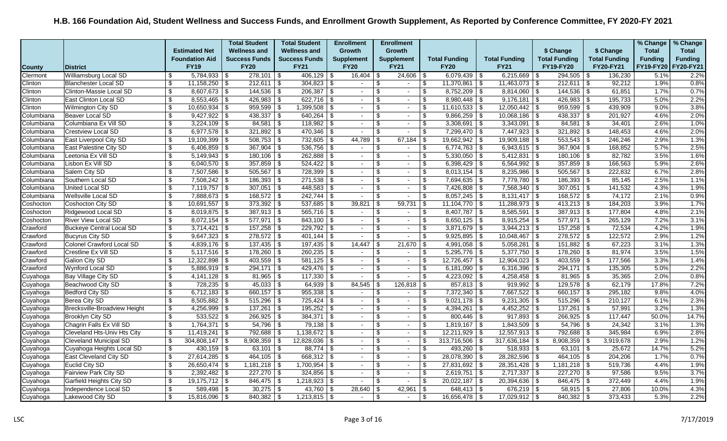|               |                               |                           |                       | <b>Total Student</b> | <b>Total Student</b> | <b>Enrollment</b> |                          | <b>Enrollment</b>                 |                         |                      |                      |                          |                      |                      | % Change       | % Change       |
|---------------|-------------------------------|---------------------------|-----------------------|----------------------|----------------------|-------------------|--------------------------|-----------------------------------|-------------------------|----------------------|----------------------|--------------------------|----------------------|----------------------|----------------|----------------|
|               |                               |                           | <b>Estimated Net</b>  | <b>Wellness and</b>  | <b>Wellness and</b>  | Growth            |                          | Growth                            |                         |                      |                      |                          | \$ Change            | \$ Change            | <b>Total</b>   | <b>Total</b>   |
|               |                               |                           | <b>Foundation Aid</b> | <b>Success Funds</b> | <b>Success Funds</b> | <b>Supplement</b> |                          | <b>Supplement</b>                 |                         | <b>Total Funding</b> | <b>Total Funding</b> |                          | <b>Total Funding</b> | <b>Total Funding</b> | <b>Funding</b> | <b>Funding</b> |
| <b>County</b> | District                      |                           | <b>FY19</b>           | <b>FY20</b>          | <b>FY21</b>          | <b>FY20</b>       |                          | <b>FY21</b>                       |                         | <b>FY20</b>          | <b>FY21</b>          |                          | <b>FY19-FY20</b>     | FY20-FY21            | FY19-FY20      | FY20-FY21      |
| Clermont      | <b>Williamsburg Local SD</b>  | \$                        | $5,784,933$ \$        | $278,101$ \$         | $406, 129$ \$        |                   | 16,404                   | \$<br>24,606                      | -\$                     | $6,079,439$ \ \$     | $6,215,669$ \$       |                          | $294,505$ \$         | 136,230              | 5.1%           | 2.2%           |
| Clinton       | Blanchester Local SD          | $\boldsymbol{\mathsf{s}}$ | $11,158,250$ \$       | $212,611$ \$         | $304,823$ \$         |                   | $\sim$                   | $\overline{\mathbf{s}}$<br>$\sim$ | \$                      | $11,370,861$ \$      | $11,463,073$ \$      |                          | $212,611$ \$         | 92,212               | 1.9%           | 0.8%           |
| Clinton       | Clinton-Massie Local SD       | \$                        | $8,607,673$ \$        | $144,536$ \ \$       | $206,387$ \$         |                   | $\sim$                   | \$<br>$\sim$                      | \$                      | $8,752,209$ \$       | $8,814,060$ \ \$     |                          | $144,536$ \ \$       | 61,851               | 1.7%           | 0.7%           |
| Clinton       | East Clinton Local SD         | \$                        | $8,553,465$ \$        | $426,983$ \$         | $622,716$ \$         |                   | $\sim$                   | \$<br>$\sim$                      | \$                      |                      | 9,176,181            | ∣\$.                     | $426,983$ \$         | 195,733              | 5.0%           | 2.2%           |
| Clinton       | <b>Wilmington City SD</b>     | \$                        | $10,650,934$   \$     | $959,599$ \$         | $1,399,508$ \$       |                   | $\sim$                   | \$<br>$\sim$                      | \$                      | $11,610,533$ \$      | $12,050,442$ \$      |                          | $959,599$ \$         | 439,909              | 9.0%           | 3.8%           |
| Columbiana    | Beaver Local SD               | \$                        | $9,427,922$ \$        | $438,337$ \\$        | $640,264$ \ \$       |                   | $\overline{\phantom{a}}$ | \$<br>$\sim$                      | \$                      | $9,866,259$ \$       | $10,068,186$ \$      |                          | $438,337$ \$         | 201,927              | 4.6%           | 2.0%           |
| Columbiana    | Columbiana Ex Vill SD         | $\overline{\mathbf{s}}$   | $3,224,109$ \$        | $84,581$ \$          |                      |                   | $\sim$                   | \$<br>$\sim$                      | \$                      | $3,308,691$ \$       | 3,343,091            | l \$                     | $84,581$ \$          | 34,401               | 2.6%           | 1.0%           |
| Columbiana    | <b>Crestview Local SD</b>     | \$                        | $6,977,578$ \$        | $321,892$ \$         |                      |                   | $\overline{\phantom{a}}$ | \$<br>$\sim$                      | \$                      | $7,299,470$ \$       | $7,447,923$ \$       |                          | $321,892$ \$         | 148,453              | 4.6%           | 2.0%           |
| Columbiana    | East Liverpool City SD        | \$                        | $19,109,399$ \$       | $508,753$ \$         | $732,605$ \$         |                   | 44,789                   | 67,184<br>\$                      | \$                      | 19,662,942 \$        | $19,909,188$ \$      |                          | $553,543$ \$         | 246,246              | 2.9%           | 1.3%           |
| Columbiana    | East Palestine City SD        | \$                        | $6,406,859$ \$        | $367,904$ \\$        | $536,756$ \\$        |                   | $\sim$                   | \$<br>$\sim$                      | \$                      | $6,774,763$ \$       | $6,943,615$ \$       |                          | $367,904$ \$         | 168,852              | 5.7%           | 2.5%           |
| Columbiana    | Leetonia Ex Vill SD           | $\boldsymbol{\mathsf{s}}$ | $5,149,943$ \$        | $180, 106$ \$        | $262,888$ \$         |                   | $\sim$                   | \$<br>$\sim$                      | \$                      | $5,330,050$ \$       | 5,412,831            | l \$                     | $180, 106$ \$        | 82,782               | 3.5%           | 1.6%           |
| Columbiana    | Lisbon Ex Vill SD             | \$                        | 6,040,570 $\vert$ \$  | $357,859$ \\$        |                      |                   | $\sim$                   | \$<br>$\sim$                      | \$                      | 6,398,429 \$         | $6,564,992$ \$       |                          | $357,859$ \$         | 166,563              | 5.9%           | 2.6%           |
| Columbiana    | Salem City SD                 | \$                        | $7,507,586$ \\$       | $505,567$ \$         | $728,399$ \$         |                   | $\sim$                   | \$<br>$\sim$                      | \$                      | $8,013,154$ \$       | $8,235,986$ \$       |                          | $505,567$ \$         | 222,832              | 6.7%           | 2.8%           |
| Columbiana    | Southern Local SD             | $\boldsymbol{\mathsf{s}}$ | $7,508,242$ \$        | $186,393$ \$         | $271,538$ \$         |                   | $\sim$                   | \$<br>$\blacksquare$              | \$                      | $7,694,635$   \$     | 7,779,780            | 15                       | $186,393$ \$         | 85,145               | 2.5%           | 1.1%           |
| Columbiana    | United Local SD               | $\boldsymbol{\mathsf{s}}$ | $7,119,757$ \$        | $307,051$ \$         | $448,583$ \$         |                   | $\sim$                   | \$<br>$\sim$                      | \$                      | $7,426,808$ \$       | $7,568,340$ \$       |                          | $307,051$ \$         | 141,532              | 4.3%           | 1.9%           |
| Columbiana    | Wellsville Local SD           | \$                        | $7,888,673$ \$        | $168,572$ \$         |                      |                   | $\overline{\phantom{a}}$ | \$<br>$\sim$                      | \$                      | $8,057,245$ \$       | $8,131,417$ \$       |                          | $168,572$ \$         | 74,172               | 2.1%           | 0.9%           |
| Coshocton     | Coshocton City SD             | \$                        | $10,691,557$ \$       | $373,392$ \$         | $537,685$ \$         |                   | 39,821                   | \$<br>59,731                      | \$                      | $11,104,770$ \$      | $11,288,973$ \$      |                          | $413,213$ \$         | 184,203              | 3.9%           | 1.7%           |
| Coshocton     | Ridgewood Local SD            | \$                        | $8,019,875$ \$        | $387,913$ \$         | $565,716$ \$         |                   | $\sim$                   | \$<br>$\blacksquare$              | \$                      | $8,407,787$ \$       | 8,585,591            | \$                       | $387,913$ \$         | 177,804              | 4.8%           | 2.1%           |
| Coshocton     | River View Local SD           | $\overline{\mathbf{s}}$   | $8,072,154$ \$        | $577,971$ \$         | $843,100$ \$         |                   | $\sim$                   | \$<br>$\sim$                      | \$                      | $8,650,125$ \$       | $8,915,254$ \$       |                          | $577,971$ \$         | 265,129              | 7.2%           | 3.1%           |
| Crawford      | Buckeye Central Local SD      | \$                        | $3,714,421$ \$        | $157,258$ \$         | $229,792$ \$         |                   | $\sim$                   | \$<br>$\sim$                      | \$                      | $3,871,679$ \$       | $3,944,213$ \$       |                          |                      | 72,534               | 4.2%           | 1.9%           |
| Crawford      | Bucyrus City SD               | \$                        | $9,647,323$ \$        | $278,572$ \$         | $401,144$ \ \$       |                   |                          | \$<br>$\blacksquare$              | \$                      | $9,925,895$ \$       | 10,048,467           | \$                       | $278,572$ \$         | 122,572              | 2.9%           | 1.2%           |
| Crawford      | Colonel Crawford Local SD     | $\boldsymbol{\mathsf{s}}$ | $4,839,176$ \$        | $137,435$ \$         | $197,435$ \$         |                   | 14,447                   | \$<br>21,670                      | $\sqrt[6]{3}$           | 4,991,058 \$         | 5,058,281            | l \$                     | $151,882$ \$         | 67,223               | 3.1%           | 1.3%           |
| Crawford      | Crestline Ex Vill SD          | $\boldsymbol{\mathsf{S}}$ | $5,117,516$ \$        | $178,260$ \$         | $260,235$ \$         |                   | $\overline{\phantom{a}}$ | \$<br>$\sim$                      | \$                      | $5,295,776$ \$       | $5,377,750$ \$       |                          | $178,260$ \$         | 81,974               | 3.5%           | 1.5%           |
| Crawford      | Galion City SD                | $\boldsymbol{\mathsf{s}}$ |                       | $403,559$ \$         | $581,125$ \$         |                   | $\sim$                   | \$<br>$\sim$                      | \$                      | $12,726,457$ \\$     | 12,904,023           | \$                       | $403,559$ \$         | 177,566              | 3.3%           | 1.4%           |
| Crawford      | Wynford Local SD              | $\boldsymbol{\mathsf{s}}$ | $5,886,919$ \$        | $294,171$ \$         | $429,476$ \$         |                   | $\sim$                   | \$<br>$\sim$                      | \$                      | $6,181,090$ \$       | $6,316,396$ \$       |                          | $294,171$ \\$        | 135,305              | 5.0%           | 2.2%           |
| Cuyahoga      | Bay Village City SD           | \$                        |                       | $81,965$ \$          | $117,330$ \$         |                   | $\sim$                   | \$<br>$\sim$                      | $\overline{\mathbf{S}}$ | $4,223,092$ \$       | $4,258,458$ \$       |                          | $81,965$ \$          | 35,365               | 2.0%           | 0.8%           |
| Cuyahoga      | Beachwood City SD             | \$                        | $728,235$ \$          | $45,033$ \$          | $64,939$ \$          |                   | 84,545                   | \$<br>126,818                     | \$                      | $857,813$ \$         | $919,992$ \$         |                          | $129,578$ \$         | 62,179               | 17.8%          | 7.2%           |
| Cuyahoga      | Bedford City SD               | \$                        | $6,712,183$ \$        | $660,157$ \$         | $955,338$ \$         |                   | $\overline{\phantom{a}}$ | \$<br>$\sim$                      | \$                      | $7,372,340$ \$       | 7,667,522            | $\overline{\mathcal{S}}$ | $660,157$ \$         | 295,182              | 9.8%           | 4.0%           |
| Cuyahoga      | Berea City SD                 | $\boldsymbol{\mathsf{s}}$ | $8,505,882$ \$        | $515,296$ \\$        | $725,424$ \$         |                   | $\sim$                   | \$<br>$\sim$                      | \$                      | $9,021,178$ \$       | 9,231,305            | l \$                     | $515,296$ \$         | 210,127              | 6.1%           | 2.3%           |
| Cuyahoga      | Brecksville-Broadview Height  | \$                        | $4,256,999$ \$        | $137,261$ \$         | $195,252$ \$         |                   | $\sim$                   | \$<br>$\sim$                      | \$                      | $4,394,261$ \$       | $4,452,252$ \$       |                          | $137,261$ \$         | 57,991               | 3.2%           | 1.3%           |
| Cuyahoga      | Brooklyn City SD              | \$                        | $533,522$ \ \$        | $266,925$ \$         | $384,371$ \$         |                   | $\sim$                   | \$<br>$\sim$                      | \$                      | $800,446$ \ \$       | $917,893$ \$         |                          | $266,925$ \$         | 117,447              | 50.0%          | 14.7%          |
| Cuyahoga      | Chagrin Falls Ex Vill SD      | $\boldsymbol{\mathsf{s}}$ | $1,764,371$ \$        | $54,796$ \\$         | $79,138$ \$          |                   | $\sim$                   | \$<br>$\sim$                      | \$                      | $1,819,167$ \$       | $1,843,509$ \\$      |                          | $54,796$ \$          | 24,342               | 3.1%           | 1.3%           |
| Cuyahoga      | Cleveland Hts-Univ Hts City   | \$                        | $11,419,241$ \$       | 792,688 \$           | $1,138,672$ \$       |                   | $\sim$                   | \$<br>$\sim$                      | \$                      | $12,211,929$ \$      | $12,557,913$ \$      |                          | $792,688$ \$         | 345,984              | 6.9%           | 2.8%           |
| Cuyahoga      | <b>Cleveland Municipal SD</b> | $\boldsymbol{\mathsf{s}}$ | $304,808,147$ \\$     | $8,908,359$ \$       | $12,828,036$ \$      |                   | $\sim$                   | \$<br>$\sim$                      | \$                      | $313,716,506$ \$     | 317,636,184          | \$                       | $8,908,359$ \$       | 3,919,678            | 2.9%           | 1.2%           |
| Cuyahoga      | Cuyahoga Heights Local SD     | $\sqrt[6]{\frac{1}{2}}$   | $430,159$ \\$         | $63,101$ \$          | $88,774$ \$          |                   | $\overline{\phantom{a}}$ | \$<br>$\sim$                      | \$                      | $493,260$ \ \$       | 518,933              | \$                       | $63,101$ \$          | 25,672               | 14.7%          | 5.2%           |
| Cuyahoga      | East Cleveland City SD        | \$                        |                       | $464,105$ \\$        | $668,312$ \$         |                   | $\sim$                   | \$<br>$\sim$                      | \$                      | 28,078,390 \$        | $28,282,596$ \$      |                          | $464,105$ \$         | 204,206              | 1.7%           | 0.7%           |
| Cuyahoga      | Euclid City SD                | $\boldsymbol{\mathsf{S}}$ | $26,650,474$ \$       | $1,181,218$ \$       | $1,700,954$ \$       |                   | $\sim$                   | \$<br>$\sim$                      | \$                      | $27,831,692$ \$      | $28,351,428$ \$      |                          | $1,181,218$ \$       | 519,736              | 4.4%           | 1.9%           |
| Cuyahoga      | Fairview Park City SD         | \$                        | $2,392,482$ \$        |                      |                      |                   | $\sim$                   | \$<br>$\overline{\phantom{a}}$    | \$                      | $2,619,751$ \$       | 2,717,337            | \$                       |                      | 97,586               | 9.5%           | 3.7%           |
| Cuyahoga      | Garfield Heights City SD      | $\boldsymbol{\mathsf{s}}$ | $19,175,712$ \$       | 846,475 \$           | $1,218,923$ \$       |                   | $\overline{\phantom{a}}$ | \$<br>$\blacksquare$              | \$                      | $20,022,187$ \$      | $20,394,636$ \$      |                          | 846,475 \$           | 372,449              | 4.4%           | 1.9%           |
| Cuyahoga      | Independence Local SD         | \$                        | $589,498$ \ \$        | $30,275$ \$          | $43,760$ \$          |                   | 28,640                   | \$<br>42,961                      | \$                      | $648,413$ \$         | $676,219$ \$         |                          | $58,915$ \$          | 27,806               | 10.0%          | 4.3%           |
| Cuyahoga      | Lakewood City SD              | \$                        | $15,816,096$ \ \$     | $840,382$ \ \$       | $1,213,815$ \$       |                   |                          | \$<br>$\sim$                      | $\mathfrak{s}$          | $16,656,478$ \\$     | $17,029,912$ \$      |                          | $840,382$ \$         | 373,433              | 5.3%           | 2.2%           |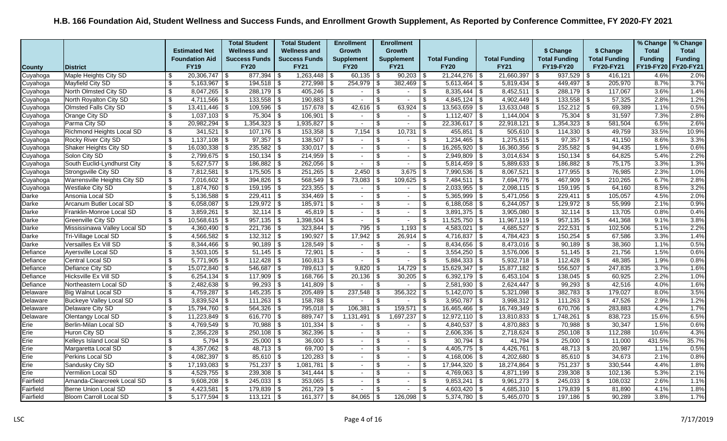|               |                                |                                  |                         | <b>Total Student</b>    |                           | <b>Total Student</b> | <b>Enrollment</b>        |                | <b>Enrollment</b>        |                          |                      |                         |            |                      |            |                      | % Change       | % Change       |
|---------------|--------------------------------|----------------------------------|-------------------------|-------------------------|---------------------------|----------------------|--------------------------|----------------|--------------------------|--------------------------|----------------------|-------------------------|------------|----------------------|------------|----------------------|----------------|----------------|
|               |                                |                                  | <b>Estimated Net</b>    | <b>Wellness and</b>     |                           | <b>Wellness and</b>  | <b>Growth</b>            |                | <b>Growth</b>            |                          |                      |                         |            | \$ Change            |            | \$ Change            | <b>Total</b>   | <b>Total</b>   |
|               |                                |                                  | <b>Foundation Aid</b>   | <b>Success Funds</b>    |                           | <b>Success Funds</b> | <b>Supplement</b>        |                | <b>Supplement</b>        |                          | <b>Total Funding</b> | <b>Total Funding</b>    |            | <b>Total Funding</b> |            | <b>Total Funding</b> | <b>Funding</b> | <b>Funding</b> |
| <b>County</b> | <b>District</b>                |                                  | <b>FY19</b>             | <b>FY20</b>             |                           | <b>FY21</b>          | <b>FY20</b>              |                | <b>FY21</b>              |                          | <b>FY20</b>          | <b>FY21</b>             |            | FY19-FY20            |            | <b>FY20-FY21</b>     | FY19-FY20      | FY20-FY21      |
| Cuyahoga      | Maple Heights City SD          | \$                               | $20,306,747$ \\$        | $877,394$ \$            |                           |                      | $60,135$ \\$             |                | $90,203$ \$              |                          | $21,244,276$ \\$     | 21,660,397              | -\$        | 937,529              | - \$       | 416,121              | 4.6%           | 2.0%           |
| Cuyahoga      | Mayfield City SD               | \$                               | $5,163,967$ \$          | $194,518$ \$            |                           | $272,998$ \$         | $254,979$ \$             |                | $382,469$ \$             |                          | $5,613,464$ \$       | 5,819,434               | $\vert$ \$ | 449,497              | \$         | 205,970              | 8.7%           | 3.7%           |
| Cuyahoga      | North Olmsted City SD          | \$                               |                         | $288,179$ \$            |                           |                      | $\overline{\phantom{a}}$ | \$.            | $\overline{\phantom{a}}$ | \$                       | $8,335,444$ \\$      | 8,452,511               | \$         | 288,179              | \$         | 117,067              | 3.6%           | 1.4%           |
| Cuyahoga      | North Royalton City SD         | \$                               | $4,711,566$ \\$         | 133,558                 | \$                        | $190,883$ \$         | $\sim$                   | \$.            | $\blacksquare$           | \$                       | $4,845,124$ \$       | 4,902,449               | ⊺\$        | 133,558              | -\$        | 57,325               | 2.8%           | 1.2%           |
| Cuyahoga      | Olmsted Falls City SD          | $\boldsymbol{\mathsf{s}}$        |                         | 109,596                 | \$                        | $157,678$ \$         | 42,616                   |                | 63,924                   | \$                       | $13,563,659$ \$      | $13,633,048$ \$         |            | $152,212$ \$         |            | 69,389               | 1.1%           | 0.5%           |
| Cuyahoga      | Orange City SD                 | $\sqrt[6]{3}$                    | $1,037,103$ \$          | $75,304$ \\$            |                           | $106,901$ \$         | $\sim$                   | \$.            | $\blacksquare$           | \$                       | $1,112,407$ \$       | $1,144,004$ \$          |            | $75,304$ \$          |            | 31,597               | 7.3%           | 2.8%           |
| Cuyahoga      | Parma City SD                  | $\boldsymbol{\mathsf{s}}$        | $20,982,294$ \\$        | 1,354,323               | -\$                       | $1,935,827$ \$       | $\sim$                   | $\mathfrak{L}$ | $\overline{\phantom{a}}$ | \$                       | $22,336,617$ \$      | 22,918,121              | l \$       | 1,354,323            | -\$        | 581,504              | 6.5%           | 2.6%           |
| Cuyahoga      | Richmond Heights Local SD      | \$                               | $341,521$ \$            | $107,176$ \\$           |                           | $153,358$ \$         | 7,154                    | - \$           | 10,731                   | -\$                      | $455,851$ \$         | $505,610$ \$            |            | $114,330$ \ \$       |            | 49,759               | 33.5%          | 10.9%          |
| Cuyahoga      | <b>Rocky River City SD</b>     | \$                               | $1,137,108$ \$          | $97,357$ \$             |                           | $138,507$ \$         | $\sim$                   | \$             | $\sim$                   | $\overline{\mathcal{S}}$ | $1,234,465$ \$       | $1,275,615$ \$          |            | $97,357$ \$          |            | 41,150               | 8.6%           | 3.3%           |
| Cuyahoga      | Shaker Heights City SD         | $\boldsymbol{\mathsf{s}}$        | $16,030,338$ \\$        | 235,582                 | \$                        | $330,017$ \$         | $\sim$                   | \$.            | $\sim$                   | \$                       | $16,265,920$ \$      | 16,360,356              | \$         | 235,582              | \$         | 94,435               | 1.5%           | 0.6%           |
| Cuyahoga      | Solon City SD                  | $\overline{\boldsymbol{\theta}}$ | $2,799,675$ \$          | 150,134                 | $\boldsymbol{\mathsf{S}}$ | $214,959$ \$         | $\sim$                   |                | $\sim$                   | \$                       | $2,949,809$ \$       | 3,014,634               | \$         | 150,134              | -\$        | 64,825               | 5.4%           | 2.2%           |
| Cuyahoga      | South Euclid-Lyndhurst City    | $\boldsymbol{\mathsf{S}}$        | $5,627,577$ \\$         | 186,882                 | -\$                       | $262,056$ \$         | $\sim$                   | \$             | $\sim$                   | \$                       | $5,814,459$ \$       | $5,889,633$ \$          |            | $186,882$ \$         |            | 75,175               | 3.3%           | 1.3%           |
| Cuyahoga      | Strongsville City SD           | $\overline{\mathbf{s}}$          | $7,812,581$ \$          | 175,505                 | $\sqrt{3}$                | $251,265$ \$         | 2,450                    | -S             | $3,675$ \$               |                          | $7,990,536$ \$       | 8,067,521               | \$         | 177,955              | $\sqrt{3}$ | 76,985               | 2.3%           | 1.0%           |
| Cuyahoga      | Warrensville Heights City SD   | \$                               | $7,016,602$ \\$         | $394,826$ \$            |                           | $568,549$ \$         | 73,083                   |                | 109,625                  | \$                       | $7,484,511$ \$       | 7,694,776 \$            |            | 467,909              | -\$        | 210,265              | 6.7%           | 2.8%           |
| Cuyahoga      | <b>Westlake City SD</b>        | $\boldsymbol{\mathsf{S}}$        | $1,874,760$ \$          | $159, 195$ \$           |                           | $223,355$ \$         | $\sim$                   | \$.            | $\sim$                   | \$                       | $2,033,955$ \$       | $2,098,115$ \$          |            | $159, 195$ \$        |            | 64,160               | 8.5%           | 3.2%           |
| <b>Darke</b>  | Ansonia Local SD               | $\overline{\$}$                  |                         | $229,411$ \\$           |                           | $334,469$ \$         | $\sim$                   |                | $\sim$                   | \$                       | $5,365,999$ \$       | $5,471,056$ \\$         |            | $229,411$ \\$        |            | 105,057              | 4.5%           | 2.0%           |
| Darke         | Arcanum Butler Local SD        | $\boldsymbol{\mathsf{s}}$        | $6,058,087$ \$          | $129,972$ \$            |                           | $185,971$ \$         | $\sim$                   | \$             | $\sim$                   | \$                       | $6,188,058$ \$       | 6,244,057               | \$         | $129,972$ \$         |            | 55,999               | 2.1%           | 0.9%           |
| Darke         | Franklin-Monroe Local SD       | \$                               | $3,859,261$ \$          | 32,114                  | \$                        | $45,819$ \$          | $\sim$                   |                | $\blacksquare$           | \$                       | $3,891,375$ \$       | 3,905,080               | \$         | 32,114               | - \$       | 13,705               | 0.8%           | 0.4%           |
| Darke         | <b>Greenville City SD</b>      | \$                               | $10,568,615$ \\$        | $\overline{957,135}$ \$ |                           |                      | $\sim$                   | \$             | $\sim$                   | \$                       | $11,525,750$ \\$     | $11,967,119$ \ \$       |            | $957,135$ \$         |            | 441,368              | 9.1%           | 3.8%           |
| Darke         | Mississinawa Valley Local SD   | $\boldsymbol{\mathsf{S}}$        | $4,360,490$ \$          | $221,736$ \$            |                           | $323,844$ \$         | 795                      | \$             | $1,193$ \$               |                          | $4,583,021$ \$       | 4,685,527               | \$         | 222,531              | \$         | 102,506              | 5.1%           | 2.2%           |
| Darke         | Tri-Village Local SD           | \$                               | $4,566,582$ \$          | $132,312$ \$            |                           | $190,927$ \$         | 17,942                   |                | 26,914                   | \$                       | $4,716,837$ \$       | 4,784,423               | \$         | 150,254              | \$         | 67,586               | 3.3%           | 1.4%           |
| Darke         | Versailles Ex Vill SD          | $\overline{\mathbf{S}}$          |                         | $90,189$ \$             |                           | $128,549$ \$         | $\sim$                   | \$             | $\sim$                   | $\sqrt[6]{3}$            | $8,434,656$ \$       | $8,473,016$ \$          |            | $90,189$ \$          |            | 38,360               | 1.1%           | 0.5%           |
| Defiance      | Ayersville Local SD            | \$                               | $3,503,105$ \\$         | $51,145$ \\$            |                           | $72,901$ \ \$        | $\sim$                   | \$.            | $\sim$                   | \$                       | $3,554,250$ \$       | $3,576,006$ \$          |            | $51,145$ \$          |            | 21,756               | 1.5%           | 0.6%           |
| Defiance      | Central Local SD               | $\boldsymbol{\mathsf{S}}$        | $5,771,905$ \\$         | 112,428                 | \$                        | $160,813$ \$         | $\sim$                   | \$             | $\blacksquare$           | \$                       | $5,884,333$ \$       | 5,932,718               | \$         | 112,428              | \$         | 48,385               | 1.9%           | 0.8%           |
| Defiance      | Defiance City SD               | \$                               | $15,072,840$   \$       | $546,687$ \$            |                           | 789,613   \$         | 9,820                    |                | 14,729                   | ∣\$                      | $15,629,347$ \$      | $15,877,182$ \$         |            | 556,507              | -\$        | 247,835              | 3.7%           | 1.6%           |
| Defiance      | Hicksville Ex Vill SD          | \$                               | $6,254,134$ \\$         | 117,909 \$              |                           | $168,766$ \ \$       |                          |                | $30,205$ \$              |                          | $6,392,179$ \$       | $6,453,104$ \$          |            | $138,045$ \$         |            | 60,925               | 2.2%           | 1.0%           |
| Defiance      | Northeastern Local SD          | $\overline{\mathbf{s}}$          | $2,482,638$ \$          | 99,293                  | l \$                      | $141,809$ \$         | $\sim$                   | \$             | $\blacksquare$           | -\$                      | $2,581,930$ \$       |                         |            | $99,293$ \$          |            | 42,516               | 4.0%           | 1.6%           |
| Delaware      | <b>Big Walnut Local SD</b>     | \$                               | $4,759,287$ \$          | $145,235$ \$            |                           | $205,489$ \ \$       | 237,548                  |                | $356,322$ \$             |                          | $5,142,070$ \\$      | 5,321,098               | l \$       | 382,783              | -\$        | 179,027              | 8.0%           | 3.5%           |
| Delaware      | <b>Buckeye Valley Local SD</b> | $\boldsymbol{\mathsf{S}}$        | $3,839,524$ \$          | 111,263                 | \$                        | $158,788$ \$         | $\sim$                   | S.             | $\sim$                   | $\overline{\$}$          | $3,950,787$ \$       | $3,998,312$ \$          |            | $111,263$ \$         |            | 47,526               | 2.9%           | 1.2%           |
| Delaware      | Delaware City SD               | \$                               | $15,794,760$ \\$        | 564,326                 | \$                        | $795,018$ \$         | 106,381                  | \$             | $159.571$ \ \$           |                          | 16,465,466 \$        | $16,749,349$ \$         |            | 670,706 \$           |            | 283,883              | 4.2%           | 1.7%           |
| Delaware      | <b>Olentangy Local SD</b>      | $\boldsymbol{\mathsf{S}}$        | $11,223,849$ \ \$       | 616,770 $\sqrt{3}$      |                           | $889,747$ \$         | 1,131,491                | \$             | $\overline{1,697}, 237$  | \$                       | $12,972,110$ \$      | 13,810,833              | \$         | 1,748,261            | \$         | 838,723              | 15.6%          | 6.5%           |
| Erie          | Berlin-Milan Local SD          | \$                               | 4,769,549 $\frac{1}{3}$ | 70,988                  | \$                        | $101,334$ \$         |                          | \$             | $\blacksquare$           | \$                       | $4,840,537$ \$       | 4,870,883               | \$         | 70,988               | -\$        | 30,347               | 1.5%           | 0.6%           |
| Erie          | Huron City SD                  | \$                               | $2,356,228$ \$          | $250,108$ \$            |                           | $362,396$ \$         | $\sim$                   | \$             | $\sim$                   | \$                       | $2,606,336$ \$       | $2,718,624$ \$          |            | $250,108$ \$         |            | 112,288              | 10.6%          | 4.3%           |
| Erie          | Kelleys Island Local SD        | \$                               | $5,794$ \\$             | $25,000$ \ \$           |                           | $36,000$ \$          | $\sim$                   | <b>β</b>       | $\sim$                   | \$                       | $30,794$ \$          | 41,794                  | \$         | $25,000$ \$          |            | 11,000               | 431.5%         | 35.7%          |
| Erie          | Margaretta Local SD            | \$                               |                         | 48,713                  | \$                        | $69,700$ \$          | $\sim$                   |                | $\sim$                   | \$                       | $4,405,775$ \\$      | 4,426,761               | -\$        | 48,713               | -\$        | 20,987               | 1.1%           | 0.5%           |
| Erie          | Perkins Local SD               | $\overline{\mathbf{s}}$          | $4,082,397$ \$          | 85,610                  | l \$                      | $120,283$ \$         | $\sim$                   | \$             | $\sim$                   | \$                       | $4,168,006$ \$       | $4,202,680$ \$          |            | $85,610$ \$          |            | 34,673               | 2.1%           | 0.8%           |
| Erie          | Sandusky City SD               | \$                               | $17,193,083$ \$         | 751,237 \$              |                           | $1,081,781$ \$       | $\sim$                   | \$.            | $\blacksquare$           | \$                       | $17,944,320$ \$      | 18,274,864              | -\$        | 751,237              | ∣\$        | 330,544              | 4.4%           | 1.8%           |
| Erie          | Vermilion Local SD             | $\overline{\mathcal{L}}$         | $4,529,755$ \\$         | 239,308                 | -\$                       |                      | $\sim$                   | \$.            | $\sim$                   | $\sqrt[6]{3}$            | $4,769,063$ \$       | 4,871,199               | $\sqrt{3}$ | 239,308              | -\$        | 102,136              | 5.3%           | 2.1%           |
| Fairfield     | Amanda-Clearcreek Local SD     | \$                               | $9,608,208$ \$          | $245,033$ \$            |                           | $353,065$ \$         | $\sim$                   | \$             | $\sim$                   | \$                       | $9,853,241$ \$       | $9,961,273$ \$          |            | $245,033$ \$         |            | 108,032              | 2.6%           | 1.1%           |
| Fairfield     | Berne Union Local SD           | $\boldsymbol{\mathsf{S}}$        | $4,423,581$ \\$         | $179,839$ \$            |                           | $261,729$ \$         | $\sim$                   | -S             | $\blacksquare$           | \$                       |                      | 4,685,310 $\frac{1}{3}$ |            | $179,839$ \$         |            | 81,890               | 4.1%           | 1.8%           |
| Fairfield     | Bloom Carroll Local SD         | \$                               | $5,177,594$ \\$         | $113,121$ \$            |                           | $161,377$ \$         | $84,065$ \ \$            |                | $126,098$ \ \$           |                          | $5,374,780$ \$       | $5,465,070$ \\$         |            | $197,186$ \$         |            | 90,289               | 3.8%           | 1.7%           |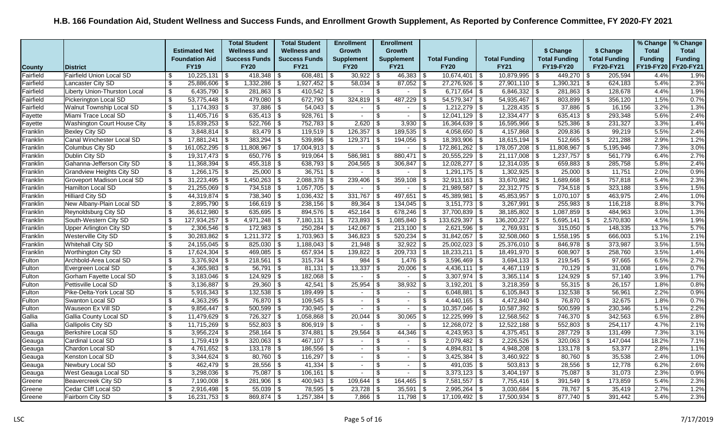|               |                                 |                                  |                       | <b>Total Student</b> |      | <b>Total Student</b> | <b>Enrollment</b>        |                | <b>Enrollment</b>        |                 |                      |                      |                          |                       |                           |                      | % Change       | % Change       |
|---------------|---------------------------------|----------------------------------|-----------------------|----------------------|------|----------------------|--------------------------|----------------|--------------------------|-----------------|----------------------|----------------------|--------------------------|-----------------------|---------------------------|----------------------|----------------|----------------|
|               |                                 |                                  | <b>Estimated Net</b>  | <b>Wellness and</b>  |      | <b>Wellness and</b>  | <b>Growth</b>            |                | <b>Growth</b>            |                 |                      |                      |                          | \$ Change             |                           | \$ Change            | <b>Total</b>   | <b>Total</b>   |
|               |                                 |                                  | <b>Foundation Aid</b> | <b>Success Funds</b> |      | <b>Success Funds</b> | <b>Supplement</b>        |                | <b>Supplement</b>        |                 | <b>Total Funding</b> | <b>Total Funding</b> |                          | <b>Total Funding</b>  |                           | <b>Total Funding</b> | <b>Funding</b> | <b>Funding</b> |
| <b>County</b> | <b>District</b>                 |                                  | <b>FY19</b>           | <b>FY20</b>          |      | <b>FY21</b>          | <b>FY20</b>              |                | <b>FY21</b>              |                 | <b>FY20</b>          | <b>FY21</b>          |                          | FY19-FY20             |                           | FY20-FY21            | FY19-FY20      | FY20-FY21      |
| Fairfield     | <b>Fairfield Union Local SD</b> | \$                               | $10,225,131$ \$       | 418,348              | \$   | $608,481$ \ \$       |                          |                |                          |                 | $10,674,401$ \$      | 10,879,995           | l \$                     | 449,270               | ∣\$                       | 205,594              | 4.4%           | 1.9%           |
| Fairfield     | Lancaster City SD               | \$                               | 25,886,606 \$         | 1,332,286            | \$   | $1,927,452$ \$       | $58,034$ \\$             |                | $87,052$ \$              |                 | $27,276,926$ \$      | $27,901,110$ \$      |                          | 1,390,321             | $\sqrt{3}$                | 624,183              | 5.4%           | 2.3%           |
| Fairfield     | Liberty Union-Thurston Local    | \$                               | $6,435,790$ \$        | $281,863$ \$         |      | $410,542$ \$         | $\sim$                   | $\mathfrak{L}$ | $\blacksquare$           | \$              | $6,717,654$ \$       | 6,846,332            | $\vert$ \$               | 281,863               | \$                        | 128,678              | 4.4%           | 1.9%           |
| Fairfield     | Pickerington Local SD           | $\overline{\mathcal{L}}$         | $53,775,448$ \\$      | 479,080              | \$   | $672,790$ \$         | 324,819                  |                | 487,229                  | -\$             | $54,579,347$ \$      | 54,935,467           | $\overline{\mathcal{F}}$ | 803,899               | \$                        | 356,120              | 1.5%           | 0.7%           |
| Fairfield     | Walnut Township Local SD        | \$                               | $1,174,393$ \\$       | $37,886$ \$          |      | $54,043$ \$          | $\sim$                   | \$             | $\sim$                   | \$              | $1,212,279$ \$       | $1,228,435$ \$       |                          | $37,886$ \$           |                           | 16,156               | 3.2%           | 1.3%           |
| Fayette       | Miami Trace Local SD            | $\sqrt[6]{3}$                    | $11,405,716$ \$       | $635,413$ \$         |      | $928,761$ \$         | $\sim$                   | -S             | $\sim$                   | \$              | $12,041,129$ \$      | $12,334,477$ \\$     |                          | $635,413$ \$          |                           | 293,348              | 5.6%           | 2.4%           |
| Fayette       | Washington Court House City     | \$                               | $15,839,253$ \\$      | $522,766$ \ \$       |      | $752,783$ \$         | 2,620                    | - \$           | $3,930$   \$             |                 | $16,364,639$ \$      | 16,595,966           | \$                       | 525,386               | -\$                       | 231,327              | 3.3%           | 1.4%           |
| Franklin      | <b>Bexley City SD</b>           | \$                               | $3,848,814$ \$        |                      |      | $119,519$ \$         |                          |                | $189,535$ \$             |                 | $4,058,650$ \$       | $4,157,868$ \$       |                          | $209,836$ \$          |                           | 99,219               | 5.5%           | 2.4%           |
| Franklin      | Canal Winchester Local SD       | \$                               | $17,881,241$ \$       | $383,294$ \$         |      | $539,896$ \$         | $129,371$ \$             |                | $194,056$ \$             |                 | $18,393,906$ \$      | $18,615,194$ \$      |                          | $512,665$ \$          |                           | 221,288              | 2.9%           | 1.2%           |
| Franklin      | <b>Columbus City SD</b>         | \$                               | $161,052,295$ \$      | 11,808,967           | \$   | $17,004,913$ \$      | $\sim$                   | \$             | $\sim$                   | \$              | $172,861,262$ \$     | 178,057,208          | \$                       | 11,808,967            | \$                        | 5,195,946            | 7.3%           | 3.0%           |
| Franklin      | Dublin City SD                  | $\overline{\boldsymbol{\theta}}$ | $19,317,473$ \$       | 650,776              | \$   | $919,064$ \$         | 586,981                  |                | 880,471   \$             |                 | $20,555,229$ \$      | 21,117,008           | \$                       | 1,237,757             | \$                        | 561,779              | 6.4%           | 2.7%           |
| Franklin      | Gahanna-Jefferson City SD       | $\boldsymbol{\mathsf{S}}$        | $11,368,394$ \ \$     | $455,318$ \$         |      | $638,793$ \$         | $204,565$ \ \$           |                | $306,847$ \$             |                 | $12,028,277$ \$      | $12,314,035$ \$      |                          | $659,883$ \$          |                           | 285,758              | 5.8%           | 2.4%           |
| Franklin      | Grandview Heights City SD       | $\overline{\mathbf{s}}$          | $1,266,175$ \$        | $25,000$ \$          |      | $36,751$ \$          | $\sim$                   | \$             | $\sim$                   | $\sqrt{3}$      | $1,291,175$ \$       | $1,302,925$ \$       |                          | $25,000$ \$           |                           | 11,751               | 2.0%           | 0.9%           |
| Franklin      | Groveport Madison Local SD      | \$                               | $31,223,495$ \\$      | 1,450,263            | l \$ |                      | 239,406                  |                | $359,108$ \\$            |                 | $32,913,163$ \$      | 33,670,982           | \$                       | $1,689,668$ \$        |                           | 757,818              | 5.4%           | 2.3%           |
| Franklin      | Hamilton Local SD               | $\,$                             | $21,255,069$ \$       | $734,518$ \$         |      | $1,057,705$ \$       | $\sim$                   | \$             | $\sim$                   | \$              | $21,989,587$ \$      | $22,312,775$ \$      |                          | $734,518$ \$          |                           | 323,188              | 3.5%           | 1.5%           |
| Franklin      | <b>Hilliard City SD</b>         | \$                               | $44,319,874$ \$       | 738,340 \\$          |      | $1,036,432$ \$       | 331,767                  |                | $497,651$ \ \$           |                 | $45,389,981$ \$      | 45,853,957           | \$                       | $1,070,107$ \$        |                           | 463,975              | 2.4%           | 1.0%           |
| Franklin      | New Albany-Plain Local SD       | \$                               | $2,895,790$ \$        | $166,619$ \$         |      | $238,156$ \$         | $89,364$ \$              |                | $134,045$ \$             |                 | $3,151,773$ \$       | 3,267,991            | $\sqrt{2}$               | 255,983               | \$                        | 116,218              | 8.8%           | 3.7%           |
| Franklin      | Reynoldsburg City SD            | $\overline{\boldsymbol{\theta}}$ | $36,612,980$ \$       | 635,695              | \$   | $894,576$ \$         | $452,164$ \\$            |                | $678,246$ \$             |                 | $37,700,839$ \$      | 38,185,802           | \$                       | 1,087,859             | - \$                      | 484,963              | 3.0%           | 1.3%           |
| Franklin      | South-Western City SD           | \$                               | 127,934,257   \$      |                      |      | $7,180,131$ \$       | $723,893$ \$             |                | $1,085,840$ \ \$         |                 | $133,629,397$ \$     | 136,200,227          | $\vert$ \$               | $5,695,141$ \$        |                           | 2,570,830            | 4.5%           | 1.9%           |
| Franklin      | Upper Arlington City SD         | $\boldsymbol{\mathsf{S}}$        | $2,306,546$ \$        | $172,983$ \$         |      | $250,284$ \$         | $142,067$ \$             |                | $213,100$ \$             |                 | $2,621,596$ \$       | 2,769,931            | န                        | $315,050$ \$          |                           | 148,335              | 13.7%          | 5.7%           |
| Franklin      | Westerville City SD             | \$                               | $30,283,862$ \$       | $1,211,372$ \$       |      | $1,703,963$ \$       | $346,823$ \$             |                | $520,234$ \$             |                 | $31,842,057$ \$      | 32,508,060           | l \$                     | 1,558,195             | \$                        | 666,003              | 5.1%           | 2.1%           |
| Franklin      | Whitehall City SD               | $\overline{\mathbf{S}}$          | $24,155,045$ \$       | 825,030              | \$   | $1,188,043$ \$       | $21,948$ \$              |                | $32,922$ \$              |                 | $25,002,023$ \$      | $25,376,010$ \$      |                          | $846,978$ \$          |                           | 373,987              | 3.5%           | 1.5%           |
| Franklin      | <b>Worthington City SD</b>      | \$                               | $17,624,304$ \\$      | $469,085$ \$         |      | 657,934 \\$          | $139,822$ \ \$           |                | $209,733$ \$             |                 | $18,233,211$ \$      | 18,491,970 \$        |                          | $608,907$ \$          |                           | 258,760              | 3.5%           | 1.4%           |
| Fulton        | Archbold-Area Local SD          | \$                               |                       | 218,561              | \$   | $315,734$ \$         | $984  $ \$               |                | $1,476$ \ \$             |                 | $3,596,469$ \$       | 3,694,133            | \$                       | 219,545               | \$                        | 97,665               | 6.5%           | 2.7%           |
| Fulton        | Evergreen Local SD              | \$                               | $4,365,983$ \$        | $56,791$ \\$         |      | $81,131$ \$          | $13,337$ \$              |                |                          |                 | $4,436,111$ \$       | $4,467,119$ \$       |                          | 70,129                | -\$                       | 31,008               | 1.6%           | 0.7%           |
| Fulton        | Gorham Fayette Local SD         | \$                               | $3,183,046$ \\$       | 124,929              | -\$  | $182,068$ \$         | $\sim$                   | \$             | $\sim$                   | \$              | $3,307,974$ \$       | $3,365,114$ \$       |                          | $124,929$ \$          |                           | 57,140               | 3.9%           | 1.7%           |
| Fulton        | Pettisville Local SD            | $\overline{\$}$                  | $3,136,887$ \$        | 29,360               | \$   | $42,541$ \$          | 25,954                   | \$             | $38,932$ \$              |                 | $3,192,201$ \$       | $3,218,359$ \$       |                          | $55,315$ \$           |                           | 26,157               | 1.8%           | 0.8%           |
| Fulton        | Pike-Delta-York Local SD        | \$                               | $5,916,343$ \\$       | 132,538              | -\$  | $189,499$ \$         | $\sim$                   |                | $\sim$                   | \$              | $6,048,881$ \$       | $6,105,843$ \$       |                          | 132,538               | -\$                       | 56,961               | 2.2%           | 0.9%           |
| Fulton        | Swanton Local SD                | $\overline{\$}$                  | $4,363,295$ \$        | 76,870 \$            |      | $109,545$ \$         | $\sim$                   | - \$           | $\sim$                   | $\overline{\$}$ | $4,440,165$ \$       | $4,472,840$ \$       |                          | 76,870 \$             |                           | 32,675               | 1.8%           | 0.7%           |
| Fulton        | Wauseon Ex Vill SD              | \$                               | $9,856,447$ \ \$      | 500,599              | -\$  | 730,945 \$           | $\sim$                   | \$.            | $\sim$                   | \$              | $10,357,046$ \$      | $10,587,392$ \$      |                          | $500,599$ \$          |                           | 230,346              | 5.1%           | 2.2%           |
| Gallia        | Gallia County Local SD          | $\boldsymbol{\mathsf{S}}$        | $11,479,629$ \$       | $\overline{726,}327$ | \$   | $1,058,868$ \ \$     | 20,044                   |                | 30,065                   | - \$            | $12,225,999$ \$      | $12,568,562$ \$      |                          | 746,370 \$            |                           | 342,563              | 6.5%           | 2.8%           |
| Gallia        | Gallipolis City SD              | \$                               | $11,715,269$ \\$      | 552,803              | \$   | $806,919$ \$         |                          | \$             | $\blacksquare$           | \$              | $12,268,072$ \$      | $12,522,188$ \$      |                          | $552,803$ \$          |                           | 254,117              | 4.7%           | 2.1%           |
| Geauga        | Berkshire Local SD              | \$                               | $3,956,224$ \ \ \$    | $258,164$ \$         |      | $374,881$ \$         | 29,564                   |                |                          |                 | $4,243,953$ \$       | $4,375,451$ \$       |                          | $287,729$ \$          |                           | 131,499              | 7.3%           | 3.1%           |
| Geauga        | Cardinal Local SD               | \$                               | $1,759,419$ \$        | $320,063$ \$         |      | $467,107$ \$         | $\sim$                   | <b>β</b>       | $\blacksquare$           | \$              | $2,079,482$ \$       | 2,226,526            | \$                       | $320,063$ \$          |                           | 147,044              | 18.2%          | 7.1%           |
| Geauga        | Chardon Local SD                | $\boldsymbol{\mathsf{s}}$        | $4,761,652$ \$        | 133,178              | \$   | $186,556$ \$         | $\sim$                   |                | $\sim$                   | \$              | 4,894,831 \$         | 4,948,208            | \$                       | 133,178               | -\$                       | 53,377               | 2.8%           | 1.1%           |
| Geauga        | Kenston Local SD                | $\overline{\boldsymbol{\theta}}$ |                       | $80,760$ \$          |      | $116,297$ \$         | $\sim$                   | \$             | $\sim$                   | \$              | $3,425,384$ \$       | $3,460,922$ \$       |                          | $80,760$ \$           |                           | 35,538               | 2.4%           | 1.0%           |
| Geauga        | Newbury Local SD                | \$                               |                       | $28,556$ \ \$        |      |                      | $\overline{\phantom{a}}$ | \$.            | $\blacksquare$           | $\sqrt[6]{2}$   | $491,035$ \$         | $503,813$ \$         |                          | $28,556$ \$           |                           | 12,778               | 6.2%           | 2.6%           |
| Geauga        | West Geauga Local SD            | $\overline{\$}$                  | $3,298,036$ \$        | 75,087               | l \$ | $106, 161$   \$      | $\sim$                   | \$.            | $\overline{\phantom{a}}$ | $\sqrt[6]{2}$   |                      | 3,404,197            | $\overline{\mathcal{F}}$ | 75,087                | $\overline{\mathfrak{s}}$ | 31,073               | 2.3%           | 0.9%           |
| Greene        | <b>Beavercreek City SD</b>      | $\boldsymbol{\mathsf{s}}$        | $7,190,008$ \ \$      | 281,906              | \$   | $400,943$ \$         | 109,644                  |                | $164,465$ \$             |                 | 7,581,557 \$         | $7,755,416$ \$       |                          | 391,549 $\frac{1}{3}$ |                           | 173,859              | 5.4%           | 2.3%           |
| Greene        | Cedar Cliff Local SD            | \$                               | $2,916,498$ \\$       | $55,039$ \\$         |      | 78,595   \$          |                          |                | $35,591$ \$              |                 |                      | $3,030,684$ \$       |                          | 78,767   \$           |                           | 35,419               | 2.7%           | 1.2%           |
| Greene        | Fairborn City SD                | \$                               | $16,231,753$ \\$      | $869,874$ \$         |      | $1,257,384$ \$       | $7,866$ \ \$             |                | $11,798$ \ \$            |                 | $17,109,492$ \$      | 17,500,934           | \$                       | $877,740$ \$          |                           | 391,442              | 5.4%           | 2.3%           |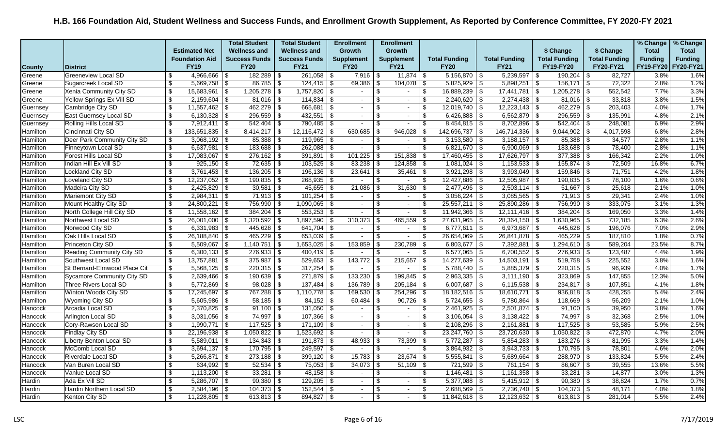|               |                                   |                           |                       | <b>Total Student</b> | <b>Total Student</b> | <b>Enrollment</b>        |                           | <b>Enrollment</b>        |                         |                      |                      |                      |                      |                      | % Change       | % Change       |
|---------------|-----------------------------------|---------------------------|-----------------------|----------------------|----------------------|--------------------------|---------------------------|--------------------------|-------------------------|----------------------|----------------------|----------------------|----------------------|----------------------|----------------|----------------|
|               |                                   |                           | <b>Estimated Net</b>  | <b>Wellness and</b>  | <b>Wellness and</b>  | Growth                   |                           | Growth                   |                         |                      |                      |                      | \$ Change            | \$ Change            | <b>Total</b>   | <b>Total</b>   |
|               |                                   |                           | <b>Foundation Aid</b> | <b>Success Funds</b> | <b>Success Funds</b> | <b>Supplement</b>        |                           | <b>Supplement</b>        |                         | <b>Total Funding</b> | <b>Total Funding</b> |                      | <b>Total Funding</b> | <b>Total Funding</b> | <b>Funding</b> | <b>Funding</b> |
| <b>County</b> | <b>District</b>                   |                           | <b>FY19</b>           | <b>FY20</b>          | <b>FY21</b>          | <b>FY20</b>              |                           | <b>FY21</b>              |                         | <b>FY20</b>          | <b>FY21</b>          |                      | <b>FY19-FY20</b>     | FY20-FY21            | FY19-FY20      | FY20-FY21      |
| Greene        | Greeneview Local SD               | \$                        | $4,966,666$ \$        | $182,289$ \ \$       |                      | 7,916                    | \$                        | $11,874$ \\$             |                         | $5,156,870$ \$       | 5,239,597            | l \$                 | $190,204$ \$         | 82,727               | 3.8%           | 1.6%           |
| Greene        | Sugarcreek Local SD               | $\mathfrak{S}$            | $5,669,758$ \$        | $86,785$ \$          | $124,415$ \$         | 69,386                   | $\boldsymbol{\mathsf{S}}$ | $104,078$ \$             |                         | $5,825,929$ \$       | $5,898,251$ \$       |                      | $156, 171$ \$        | 72,322               | 2.8%           | 1.2%           |
| Greene        | Xenia Community City SD           | \$                        | $15,683,961$ \$       | $1,205,278$ \$       | $1,757,820$ \$       | $\sim$                   | \$                        | $\sim$                   | \$                      | $16,889,239$ \$      | $17,441,781$ \\$     |                      | $1,205,278$ \$       | 552,542              | 7.7%           | 3.3%           |
| Greene        | Yellow Springs Ex Vill SD         | \$                        | $2,159,604$ \$        | $81,016$ \$          |                      | $\sim$                   | $\overline{\mathbb{S}}$   | $\sim$                   | $\overline{\$}$         | $2,240,620$ \$       | 2,274,438            | ∣\$.                 | $81,016$ \$          | 33,818               | 3.8%           | 1.5%           |
| Guernsey      | Cambridge City SD                 | $\boldsymbol{\mathsf{s}}$ | $11,557,462$ \$       | $462,279$ \\$        | 665,681 \$           | $\sim$                   | \$                        | $\sim$                   | \$                      | $12,019,740$ \$      | $12,223,143$ \$      |                      | $462,279$ \$         | 203,403              | 4.0%           | 1.7%           |
| Guernsey      | <b>East Guernsey Local SD</b>     | \$                        | $6,130,328$ \$        | $296,559$ \$         | $432,551$ \\$        | $\overline{\phantom{a}}$ | \$                        | $\sim$                   | \$                      | $6,426,888$ \$       | $6,562,879$ \$       |                      | $296,559$ \$         | 135,991              | 4.8%           | 2.1%           |
| Guernsey      | Rolling Hills Local SD            | \$                        | $7,912,411$ \\$       | $542,404$ \\$        | $790,485$ \$         | $\sim$                   | \$                        | $\sim$                   | \$                      | $8,454,815$ \$       | 8,702,896            | \$                   | $542,404$ \\$        | 248,081              | 6.9%           | 2.9%           |
| Hamilton      | Cincinnati City SD                | \$                        | $133,651,835$ \$      | $8,414,217$ \$       | $12,116,472$ \ \$    | 630,685                  | \$                        | 946,028                  | \$                      | $142,696,737$ \\$    | $146,714,336$ \\$    |                      | $9,044,902$ \$       | 4,017,598            | 6.8%           | 2.8%           |
| Hamilton      | Deer Park Community City SD       | \$                        | $3,068,192$ \$        |                      | $119,965$ \$         | $\sim$                   | \$                        | $\overline{a}$           | \$                      | $3,153,580$ \$       | $3,188,157$ \$       |                      |                      | 34,577               | 2.8%           | 1.1%           |
| Hamilton      | Finneytown Local SD               | \$                        | $6,637,981$ \$        | $183,688$ \$         | $262,088$ \$         | $\sim$                   | \$                        | $\sim$                   | \$                      | $6,821,670$ \$       | $6,900,069$ \$       |                      | $183,688$ \$         | 78,400               | 2.8%           | 1.1%           |
| Hamilton      | Forest Hills Local SD             | $\boldsymbol{\mathsf{S}}$ | $17,083,067$ \$       | $276,162$ \$         | $391,891$ \$         | 101,225                  | \$                        | 151,838                  | $\sqrt[6]{3}$           | $17,460,455$ \$      | 17,626,797           | $\bar{\mathfrak{F}}$ | $377,388$ \$         | 166,342              | 2.2%           | 1.0%           |
| Hamilton      | Indian Hill Ex Vill SD            | \$                        | $925,150$ \$          | $72,635$ \$          | $103,525$ \$         | 83,238                   | \$                        | $124,858$ \$             |                         | $1,081,024$ \$       | $1,153,533$ \$       |                      | $155,874$ \$         | 72,509               | 16.8%          | 6.7%           |
| Hamilton      | Lockland City SD                  | \$                        | $3,761,453$ \$        | $136,205$ \$         | $196, 136$ \$        | 23,641                   | $\sqrt[6]{3}$             | 35,461                   | $\sqrt{3}$              | $3,921,298$ \$       | $3,993,049$ \$       |                      | $159,846$ \$         | 71,751               | 4.2%           | 1.8%           |
| Hamilton      | Loveland City SD                  | $\boldsymbol{\mathsf{s}}$ | $12,237,052$ \$       | $190,835$ \$         | $268,935$ \$         | $\overline{\phantom{a}}$ | \$                        | $\overline{\phantom{a}}$ | \$                      |                      | $12,505,987$ \ \$    |                      | $190,835$ \$         | 78,100               | 1.6%           | 0.6%           |
| Hamilton      | Madeira City SD                   | $\boldsymbol{\mathsf{S}}$ | $2,425,829$ \$        | $30,581$ \$          | $45,655$ \$          | 21,086                   | \$                        | 31,630                   | $\sqrt[6]{3}$           | $2,477,496$ \$       | $2,503,114$ \$       |                      | $51,667$ \$          | 25,618               | 2.1%           | 1.0%           |
| Hamilton      | Mariemont City SD                 | \$                        | $2,984,311$ \$        | $71,913$ \$          |                      | $\sim$                   | \$                        | $\sim$                   | \$                      | $3,056,224$ \$       | $3,085,565$ \$       |                      | $71,913$ \$          | 29,341               | 2.4%           | 1.0%           |
| Hamilton      | Mount Healthy City SD             | $\boldsymbol{\mathsf{s}}$ | $24,800,221$ \$       | 756,990 \$           | $1,090,065$ \$       | $\sim$                   | \$                        | $\sim$                   | \$                      | $25,557,211$ \$      | $25,890,286$ \$      |                      | 756,990 \$           | 333,075              | 3.1%           | 1.3%           |
| Hamilton      | North College Hill City SD        | \$                        | $11,558,162$ \$       | $384,204$ \ \$       | $553,253$ \$         |                          | $\overline{\mathbf{S}}$   | $\overline{\phantom{a}}$ | \$                      | $11,942,366$ \$      | 12,111,416           | \$                   | $384,204$ \$         | 169,050              | 3.3%           | 1.4%           |
| Hamilton      | Northwest Local SD                | \$                        | $26,001,000$ \$       | $1,320,592$ \$       | 1,897,590 \$         | 310,373                  | \$                        | 465,559                  | $\sqrt[6]{3}$           | $27,631,965$ \$      | $28,364,150$ \$      |                      | $1,630,965$ \$       | 732,185              | 6.3%           | 2.6%           |
| Hamilton      | Norwood City SD                   | $\boldsymbol{\mathsf{s}}$ | $6,331,983$ \$        | $445,628$ \$         | $641,704$ \ \$       | $\sim$                   | \$                        | $\overline{\phantom{a}}$ | \$                      | $6,777,611$ \$       | $6,973,687$ \$       |                      | $445,628$ \$         | 196,076              | 7.0%           | 2.9%           |
| Hamilton      | Oak Hills Local SD                | $\boldsymbol{\mathsf{s}}$ | $26,188,840$ \$       | $465,229$ \$         | $653,039$ \$         | $\overline{\phantom{a}}$ | \$                        | $\blacksquare$           | \$                      | $26,654,069$ \$      | $26,841,878$ \$      |                      | $465,229$ \$         | 187,810              | 1.8%           | 0.7%           |
| Hamilton      | Princeton City SD                 | $\boldsymbol{\mathsf{s}}$ | $5,509,067$ \$        | $1,140,751$ \$       | $1,653,025$ \$       | 153,859                  | \$                        | 230,789                  | $\sqrt[6]{3}$           | $6,803,677$ \$       | 7,392,881            | \$                   | $1,294,610$ \$       | 589,204              | 23.5%          | 8.7%           |
| Hamilton      | Reading Community City SD         | \$                        | $6,300,133$ \$        | $276,933$ \$         | $400,419$ \$         | $\overline{\phantom{a}}$ | \$                        | $\sim$                   | \$                      | $6,577,065$ \$       | $6,700,552$ \$       |                      | $276,933$ \$         | 123,487              | 4.4%           | 1.9%           |
| Hamilton      | Southwest Local SD                | \$                        | $13,757,881$ \$       | $375,987$ \$         | $529,653$ \$         | 143,772                  | \$                        | 215,657                  | $\sqrt[6]{3}$           | $14,277,639$ \$      | 14,503,191           | $\sqrt{3}$           | $519,758$ \\$        | 225,552              | 3.8%           | 1.6%           |
| Hamilton      | St Bernard-Elmwood Place Cit      | \$                        | $5,568,125$ \$        | $220,315$ \$         |                      |                          | \$                        |                          | \$                      | $5,788,440$ \ \$     | 5,885,379            | $\overline{\$}$      | $220,315$ \$         | 96,939               | 4.0%           | 1.7%           |
| Hamilton      | <b>Sycamore Community City SD</b> | $\boldsymbol{\mathsf{S}}$ | $2,639,466$ \$        | $190,639$ \$         | $271,879$ \$         | 133,230                  | \$                        | 199,845                  | $\sqrt[6]{3}$           | $2,963,335$ \$       | $3,111,190$ \$       |                      | $323,869$ \$         | 147,855              | 12.3%          | 5.0%           |
| Hamilton      | Three Rivers Local SD             | \$                        | $5,772,869$ \\$       | $98,028$ \$          |                      | 136,789                  | \$                        | $205,184$ \$             |                         | $6,007,687$ \$       | $6,115,538$ \$       |                      | $234,817$ \$         | 107,851              | 4.1%           | 1.8%           |
| Hamilton      | Winton Woods City SD              | $\boldsymbol{\mathsf{s}}$ | $17,245,697$ \\$      | 767,288 \$           |                      | 169,530                  | \$                        | $254,296$ \$             |                         | $18,182,516$ \$      | 18,610,771           | l \$                 | $936,818$ \$         | 428,255              | 5.4%           | 2.4%           |
| Hamilton      | Wyoming City SD                   | $\boldsymbol{\mathsf{S}}$ | $5,605,986$ \$        | $58,185$ \$          | $84,152$ \$          | 60,484                   | \$                        | $90,726$ \$              |                         | $5,724,655$ \$       | $5,780,864$ \$       |                      | $118,669$ \$         | 56,209               | 2.1%           | 1.0%           |
| Hancock       | Arcadia Local SD                  | \$                        | $2,370,825$ \$        | $91,100$ \$          | $131,050$ \$         | $\sim$                   | \$                        | $\sim$                   | \$                      | $2,461,925$ \$       | $2,501,874$ \$       |                      | $91,100$ \$          | 39,950               | 3.8%           | 1.6%           |
| Hancock       | Arlington Local SD                | $\boldsymbol{\mathsf{S}}$ | $3,031,056$ \ \ \$    | $74,997$ \\$         | $107,366$ \ \$       | $\sim$                   | \$                        | $\sim$                   | \$                      | $3,106,054$ \$       | $3,138,422$ \$       |                      | 74,997 \$            | 32,368               | 2.5%           | 1.0%           |
| Hancock       | Cory-Rawson Local SD              | $\boldsymbol{\mathsf{s}}$ | $1,990,771$ \$        | $117,525$ \$         | $171,109$ \$         | $\sim$                   | \$                        | $\sim$                   | \$                      | $2,108,296$ \$       | 2,161,881            | \$                   | $117,525$ \$         | 53,585               | 5.9%           | 2.5%           |
| Hancock       | <b>Findlay City SD</b>            | \$                        | $22,196,938$ \$       | $1,050,822$ \$       | $1,523,692$ \$       | $\sim$                   | \$                        | $\sim$                   | \$                      | $23,247,760$ \$      | $23,720,630$ \$      |                      | $1,050,822$ \$       | 472,870              | 4.7%           | 2.0%           |
| Hancock       | Liberty Benton Local SD           | \$                        | $5,589,011$ \$        | $134,343$ \$         | $191,873$ \$         | 48,933                   | \$                        | 73,399                   | \$                      | $5,772,287$ \$       | $5,854,283$ \$       |                      | $183,276$ \$         | 81,995               | 3.3%           | 1.4%           |
| Hancock       | McComb Local SD                   | \$                        | $3,694,137$ \$        | $170,795$ \$         | $249,597$ \$         |                          | \$                        | $\overline{\phantom{a}}$ | \$                      | $3,864,932$ \$       | 3,943,733            | ∣\$.                 | $170,795$ \$         | 78,801               | 4.6%           | 2.0%           |
| Hancock       | Riverdale Local SD                | \$                        | $5,266,871$ \$        | $273,188$ \$         | $399,120$ \$         | 15,783                   | \$                        | 23,674                   | \$                      | $5,555,841$ \$       | $5,689,664$ \$       |                      | $288,970$ \$         | 133,824              | 5.5%           | 2.4%           |
| Hancock       | Van Buren Local SD                | \$                        | $634,992$ \$          |                      | $75,053$ \$          | 34,073                   | \$                        | $51,109$ \\$             |                         | $721,599$ \$         |                      |                      | $86,607$ \$          | 39,555               | 13.6%          | 5.5%           |
| Hancock       | Vanlue Local SD                   | \$                        | $1,113,200$ \$        |                      | $48,158$ \$          | $\sim$                   | $\overline{\mathbb{S}}$   | $\sim$                   | $\overline{\$}$         | $1,146,481$ \$       | $1,161,358$ \$       |                      | $33,281$ \$          | 14,877               | 3.0%           | 1.3%           |
| Hardin        | Ada Ex Vill SD                    | $\boldsymbol{\mathsf{s}}$ | $5,286,707$ \$        | $90,380$ \$          | $129,205$ \$         | $\sim$                   | \$                        | $\sim$                   | $\sqrt[6]{\frac{1}{2}}$ | $5,377,088$ \$       | $5,415,912$ \$       |                      | $90,380$ \$          | 38,824               | 1.7%           | 0.7%           |
| Hardin        | Hardin Northern Local SD          | \$                        | $2,584,196$ \ \$      | $104,373$ \\$        | $152,544$ \ \$       | $\sim$                   | \$                        | $\sim$                   | \$                      | $2,688,569$ \ \$     | $2,736,740$ \$       |                      | $104,373$ \$         | 48,171               | 4.0%           | 1.8%           |
| Hardin        | Kenton City SD                    | \$                        | $11,228,805$ \ \$     | $613,813$ \$         | $894,827$ \$         |                          | \$                        | $\sim$                   | \$                      | $11,842,618$ \$      |                      |                      | $613,813$ \$         | 281,014              | 5.5%           | 2.4%           |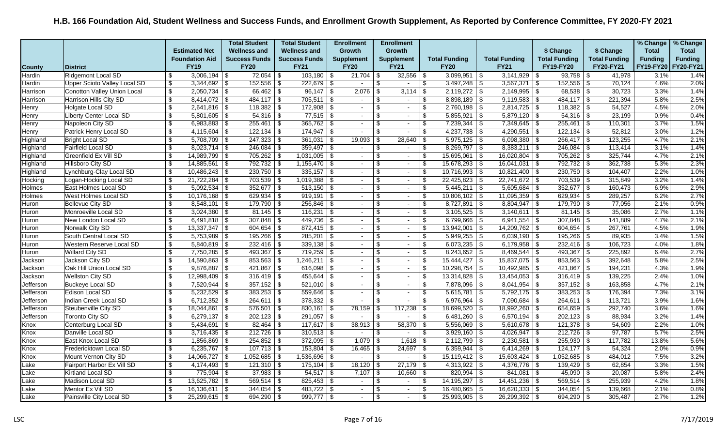|               |                                     |                           |                            | <b>Total Student</b>  | <b>Total Student</b> |      | <b>Enrollment</b> | <b>Enrollment</b> |                          |                 |                         |                      |            |                       |                           |                      | % Change       | % Change       |
|---------------|-------------------------------------|---------------------------|----------------------------|-----------------------|----------------------|------|-------------------|-------------------|--------------------------|-----------------|-------------------------|----------------------|------------|-----------------------|---------------------------|----------------------|----------------|----------------|
|               |                                     |                           | <b>Estimated Net</b>       | <b>Wellness and</b>   | <b>Wellness and</b>  |      | <b>Growth</b>     | Growth            |                          |                 |                         |                      |            | \$ Change             |                           | \$ Change            | <b>Total</b>   | <b>Total</b>   |
|               |                                     |                           | <b>Foundation Aid</b>      | <b>Success Funds</b>  | <b>Success Funds</b> |      | <b>Supplement</b> | <b>Supplement</b> |                          |                 | <b>Total Funding</b>    | <b>Total Funding</b> |            | <b>Total Funding</b>  |                           | <b>Total Funding</b> | <b>Funding</b> | <b>Funding</b> |
| <b>County</b> | <b>District</b>                     |                           | <b>FY19</b>                | <b>FY20</b>           | <b>FY21</b>          |      | <b>FY20</b>       | <b>FY21</b>       |                          |                 | <b>FY20</b>             | <b>FY21</b>          |            | <b>FY19-FY20</b>      |                           | FY20-FY21            | FY19-FY20      | FY20-FY21      |
| Hardin        | Ridgemont Local SD                  | \$                        |                            | $72,054$ \\$          | $103,180$ \$         |      | $21,704$ \\$      |                   | $32,556$ \ \\$           |                 | $3,099,951$ \$          | 3,141,929            | -\$        | 93,758                | - \$                      | 41,978               | 3.1%           | 1.4%           |
| Hardin        | <b>Upper Scioto Valley Local SD</b> | -\$                       | $3,344,692$ \$             | $152,556$ \$          | $222,679$ \$         |      | $\sim$            | -\$               | $\sim$                   | \$              | $3,497,248$ \$          | 3,567,371            | \$         | $152,556$ \$          |                           | 70,124               | 4.6%           | 2.0%           |
| Harrison      | <b>Conotton Valley Union Local</b>  | \$                        | $2,050,734$ \$             | $66,462$ \$           |                      |      | 2,076             | -S                | $3,114$ \$               |                 | $2,119,272$ \$          | 2,149,995            | \$         | $68,538$ \$           |                           | 30,723               | 3.3%           | 1.4%           |
| Harrison      | Harrison Hills City SD              | $\sqrt{2}$                | $8,414,072$ \$             | $484,117$ \$          | 705,511              | \$   | $\sim$            | \$                | $\blacksquare$           | \$              | $8,898,189$ \$          | 9,119,583            | -\$        | $484,117$ \\$         |                           | 221,394              | 5.8%           | 2.5%           |
| Henry         | Holgate Local SD                    | \$                        | $2,641,816$ \$             | $118,382$ \$          | $172,908$ \$         |      | $\sim$            |                   | $\sim$                   | $\sqrt[6]{3}$   | $2,760,198$ \$          | 2,814,725            | \$         | $118,382$ \$          |                           | 54,527               | 4.5%           | 2.0%           |
| Henry         | Liberty Center Local SD             | $\boldsymbol{\mathsf{S}}$ | $5,801,605$ \$             | $54,316$ \\$          | $77,515$ \$          |      | $\sim$            | \$.               | $\blacksquare$           | \$              | $5,855,921$ \$          | $5,879,120$ \$       |            | $54,316$ \$           |                           | 23,199               | 0.9%           | 0.4%           |
| Henry         | Napoleon City SD                    | \$                        | $6,983,883$ \ \ \$         | $255,461$ \ \$        | 365,762              | -\$  | $\sim$            | \$.               | $\overline{\phantom{a}}$ | \$              |                         | 7,349,645            | \$         | 255,461               | l \$                      | 110,301              | 3.7%           | 1.5%           |
| Henry         | Patrick Henry Local SD              | \$                        | $4,115,604$ \$             | $122, 134$ \$         | $174,947$ \\$        |      |                   | \$.               | $\overline{\phantom{a}}$ | \$              | $4,237,738$ \$          | 4,290,551            | -\$        | $122, 134$ \$         |                           | 52,812               | 3.0%           | 1.2%           |
| Highland      | <b>Bright Local SD</b>              | \$                        | $5,708,709$ \$             | $247,323$ \$          | $361,031$ \$         |      | 19,093            | - \$              | $28,640$ \ \$            |                 | $5,975,125$ \$          | $6,098,380$ \$       |            | $266,417$ \$          |                           | 123,255              | 4.7%           | 2.1%           |
| Highland      | <b>Fairfield Local SD</b>           | $\mathfrak{L}$            | $8,023,714$ \$             | $246,084$ \$          | $359,497$ \$         |      | $\sim$            | \$.               | $\sim$                   | \$              | $8,269,797$ \$          | 8,383,211            | \$         | $246,084$ \$          |                           | 113,414              | 3.1%           | 1.4%           |
| Highland      | Greenfield Ex Vill SD               | $\boldsymbol{\mathsf{S}}$ | $14,989,799$ \$            | $705,262$ \$          | $1,031,005$ \$       |      | $\sim$            |                   | $\blacksquare$           | $\mathfrak{L}$  | $15,695,061$ \$         | 16,020,804           | \$         | 705,262               | - \$                      | 325,744              | 4.7%           | 2.1%           |
| Highland      | Hillsboro City SD                   | $\boldsymbol{\mathsf{S}}$ | $14,885,561$ \ \$          | $792,732$ \$          | $1,155,470$ \$       |      | $\sim$            | \$                | $\sim$                   | $\sqrt[6]{3}$   | $15,678,293$ \$         | 16,041,031           | \$         | $792,732$ \$          |                           | 362,738              | 5.3%           | 2.3%           |
| Highland      | Lynchburg-Clay Local SD             | \$                        | $10,486,243$ \$            | $230,750$ \$          | $335,157$ \$         |      | $\sim$            | \$                | $\sim$                   | $\sqrt[6]{3}$   | $10,716,993$ \$         | 10,821,400           | $\sqrt{3}$ | $230,750$ \$          |                           | 104,407              | 2.2%           | 1.0%           |
| Hocking       | Logan-Hocking Local SD              | \$                        |                            | 703,539 \$            | $1,019,388$ \ \$     |      | $\sim$            | \$.               | $\overline{\phantom{a}}$ | \$              | $22,425,823$ \$         | 22,741,672           | \$         | $703,539$ \$          |                           | 315,849              | 3.2%           | 1.4%           |
| Holmes        | East Holmes Local SD                | $\boldsymbol{\mathsf{S}}$ | $5,092,534$ \$             | $352,677$ \$          | $513,150$ \$         |      | $\sim$            | \$.               | $\sim$                   | \$              | $5,445,211$ \$          | 5,605,684            | \$         | $352,677$ \$          |                           | 160,473              | 6.9%           | 2.9%           |
| <b>Holmes</b> | West Holmes Local SD                | \$                        | $10,176,168$ \ \$          | $629,934$ \$          | $919,191$ \\$        |      | $\sim$            | \$.               | $\sim$                   | \$              | $10,806,102$ \ \$       | 11,095,359           | l \$       | $629,934$ \$          |                           | 289,257              | 6.2%           | 2.7%           |
| Huron         | <b>Bellevue City SD</b>             | \$                        | $8,548,101$ \$             | $179,790$ \$          | 256,846              | - \$ | $\sim$            |                   | $\overline{\phantom{a}}$ | \$              | $8,727,891$ \$          | 8,804,947            | \$         | 179,790               | \$                        | 77,056               | 2.1%           | 0.9%           |
| Huron         | Monroeville Local SD                | \$                        | $3,024,380$ \$             |                       | 116,231              | 5    | $\sim$            | \$.               | $\blacksquare$           | \$              | $3,105,525$ \$          | 3,140,611            | -\$        | 81,145                | - \$                      | 35,086               | 2.7%           | 1.1%           |
| Huron         | New London Local SD                 | \$                        |                            | $307,848$ \ \$        | $449,736$ \$         |      | $\sim$            | \$                | $\sim$                   | \$              | $6,799,666$ \ \$        | 6,941,554            | l \$       | $307,848$ \$          |                           | 141,889              | 4.7%           | 2.1%           |
| Huron         | Norwalk City SD                     | \$                        | $13,337,347$ \$            | $604,654$ \$          | $872,415$ \$         |      | $\sim$            | $\mathfrak{L}$    | $\overline{\phantom{a}}$ | $\sqrt[6]{3}$   | $13,942,001$ \$         | 14,209,762           | \$         | $604,654$ \$          |                           | 267,761              | 4.5%           | 1.9%           |
| Huron         | South Central Local SD              | \$                        | $5,753,989$ \$             | $195,266$ \$          | 285,201              | -\$  | $\sim$            | \$.               | $\overline{\phantom{a}}$ | \$              | $5,949,255$ \$          | 6,039,190            | \$         | 195,266               | l \$                      | 89,935               | 3.4%           | 1.5%           |
| Huron         | Western Reserve Local SD            | \$                        | $5,840,819$ \\$            | $232,416$ \$          | $339,138$ \$         |      | $\sim$            |                   | $\sim$                   | $\sqrt{2}$      | $6,073,235$ \$          | 6,179,958            | \$         | $232,416$ \$          |                           | 106,723              | 4.0%           | 1.8%           |
| Huron         | Willard City SD                     | \$                        | $7,750,285$ \\$            | 493,367 $\frac{1}{3}$ | $719,259$ \$         |      | $\sim$            | \$.               | $\overline{\phantom{a}}$ | \$              | $8,243,652$ \$          | 8,469,544            | \$         | $493,367$ \$          |                           | 225,892              | 6.4%           | 2.7%           |
| Jackson       | Jackson City SD                     | $\boldsymbol{\mathsf{S}}$ | $14,590,863$   \$          | $853,563$ \$          | $1,246,211$ \\$      |      | $\sim$            | \$.               | $\sim$                   | \$              |                         | 15,837,075           | \$         | $853,563$ \$          |                           | 392,648              | 5.8%           | 2.5%           |
| Jackson       | Oak Hill Union Local SD             | \$                        | $9,876,887$ \$             | $421,867$ \$          | $616,098$ \$         |      | $\sim$            |                   | $\overline{\phantom{a}}$ | \$              | $10,298,754$ \$         | 10,492,985           | -\$        | 421,867               | l \$                      | 194,231              | 4.3%           | 1.9%           |
| Jackson       | <b>Wellston City SD</b>             | \$                        | 12,998,409 \$              | $316,419$ \$          | $455,644$ \$         |      | $\sim$            | \$                | $\sim$                   | $\sqrt[6]{3}$   | $13,314,828$ \$         | $13,454,053$ \$      |            | $316,419$ \$          |                           | 139,225              | 2.4%           | 1.0%           |
| Jefferson     | <b>Buckeye Local SD</b>             | \$                        | $7,520,944$ \$             | $357,152$ \$          | $521,010$ \ \$       |      | $\sim$            | \$                | $\sim$                   | \$              | $7,878,096$ \$          | 8,041,954            | -\$        | $357,152$ \$          |                           | 163,858              | 4.7%           | 2.1%           |
| Jefferson     | Edison Local SD                     | \$                        | $5,232,529$ \$             | $383,253$ \$          | 559,646   \$         |      | $\sim$            |                   | $\sim$                   | \$              | $5,615,781$ \$          | 5,792,175            | \$         | $383,253$ \$          |                           | 176,394              | 7.3%           | 3.1%           |
| Jefferson     | Indian Creek Local SD               | $\boldsymbol{\mathsf{S}}$ | $6,712,352$ \$             | $264,611$ \$          | $378,332$ \$         |      | $\sim$            | \$.               | $\sim$                   | $\overline{\$}$ | $6,976,964$ \$          | 7,090,684            | \$         | $264,611$ \$          |                           | 113,721              | 3.9%           | 1.6%           |
| Jefferson     | Steubenville City SD                | \$                        | $18,044,861$ \$            | $576,501$ \$          | $830,161$ \$         |      | 78,159            |                   | $117,238$ \$             |                 | 18,699,520 \$           | 18,992,260           | l \$       | $654,659$ \$          |                           | 292,740              | 3.6%           | 1.6%           |
| Jefferson     | Toronto City SD                     | $\boldsymbol{\mathsf{S}}$ | 6,279,137 $\vert$ \$       | $202,123$ \$          | $291,057$ \\$        |      | $\sim$            |                   | $\blacksquare$           | \$              | $6,481,260$ \$          | 6,570,194            | $\sqrt{3}$ | $202, 123$ \$         |                           | 88,934               | 3.2%           | 1.4%           |
| Knox          | Centerburg Local SD                 | \$                        | $5,434,691$ \\$            | $82,464$ \ \$         | $117,617$ \$         |      | 38,913            | - \$              | $58,370$ \\$             |                 | $5,556,069$ \$          | 5,610,678            | \$         | $121,378$ \$          |                           | 54,609               | 2.2%           | 1.0%           |
| Knox          | Danville Local SD                   | \$                        | $\overline{3,716,435}$ \\$ | $212,726$ \$          | $310,513$ \$         |      | $\sim$            | \$                | $\sim$                   | l \$            | $3,929,160$ \$          | 4,026,947            | \$         | $212,726$ \$          |                           | 97,787               | 5.7%           | 2.5%           |
| Knox          | East Knox Local SD                  | \$                        | $1,856,869$ \$             | $254,852$ \$          | $372,095$ \$         |      | $1,079$ \$        |                   | $1,618$ \$               |                 | $2,112,799$ \$          | 2,230,581            | -\$        | $255,930$ \$          |                           | 117,782              | 13.8%          | 5.6%           |
| Knox          | Fredericktown Local SD              | \$                        | 6,235,767 $\frac{1}{3}$    | $107,713$ \\$         | $153,804$ \ \$       |      | 16,465            |                   | $24,697$ \$              |                 | $6,359,944$ \$          | 6,414,269            | -\$        | 124,177               | l \$                      | 54,324               | 2.0%           | 0.9%           |
| Knox          | Mount Vernon City SD                | \$                        | $14,066,727$ \\$           | $1,052,685$   \$      | $1,536,696$ \$       |      | $\sim$            | -\$               | $\blacksquare$           | -\$             | $15,119,412$ \$         | 15,603,424           | -\$        | $1,052,685$   \$      |                           | 484,012              | 7.5%           | 3.2%           |
| Lake          | Fairport Harbor Ex Vill SD          | \$                        | $4,174,493$ \\$            | $121,310$ \$          | $175,104$ \$         |      | $18,120$ \ \$     |                   | $27,179$ \\$             |                 | 4,313,922 $\frac{1}{9}$ | 4,376,776            | -\$        | $139,429$ \$          |                           | 62,854               | 3.3%           | 1.5%           |
| Lake          | Kirtland Local SD                   | $\boldsymbol{\mathsf{S}}$ | $775,904$ \\$              | $37,983  $ \$         | $54,517$ \$          |      | 7,107             | -\$               | $10,660$ \$              |                 | $820,994$ \$            | 841,081              | \$         | 45,090                | $\overline{\mathfrak{s}}$ | 20,087               | 5.8%           | 2.4%           |
| Lake          | <b>Madison Local SD</b>             | \$                        | $13,625,782$ \$            | $569,514$ \$          | $825,453$ \$         |      | $\sim$            | \$                | $\sim$                   | \$              | $14,195,297$ \$         | 14,451,236           | -\$        | $569,514$ \$          |                           | 255,939              | 4.2%           | 1.8%           |
| Lake          | Mentor Ex Vill SD                   | \$                        | $16, 136, 611$ \ \$        | $344,054$ \\$         | $483,722$ \$         |      | $\sim$            | \$.               | $\sim$                   | $\sqrt[6]{3}$   | $16,480,665$ \$         | $16,620,333$ \$      |            | $344,054$ \\$         |                           | 139,668              | 2.1%           | 0.8%           |
| Lake          | Painsville City Local SD            | \$                        | $25,299,615$ \$            | 694,290 $\frac{1}{9}$ | $999,777$ \$         |      | $\sim$            | \$                | $\sim$                   | \$              | $25,993,905$ \$         | 26,299,392           | l \$       | 694,290 $\frac{1}{9}$ |                           | 305,487              | 2.7%           | 1.2%           |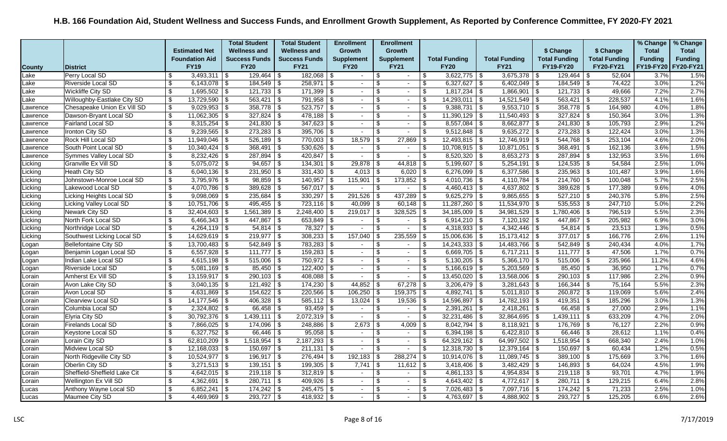|               |                              |                                  |                       | <b>Total Student</b> |      | <b>Total Student</b> | <b>Enrollment</b> |          | <b>Enrollment</b>        |                         |                      |                      |            |                       |      |                      | % Change       | % Change       |
|---------------|------------------------------|----------------------------------|-----------------------|----------------------|------|----------------------|-------------------|----------|--------------------------|-------------------------|----------------------|----------------------|------------|-----------------------|------|----------------------|----------------|----------------|
|               |                              |                                  | <b>Estimated Net</b>  | <b>Wellness and</b>  |      | <b>Wellness and</b>  | <b>Growth</b>     |          | <b>Growth</b>            |                         |                      |                      |            | \$ Change             |      | \$ Change            | <b>Total</b>   | <b>Total</b>   |
|               |                              |                                  | <b>Foundation Aid</b> | <b>Success Funds</b> |      | <b>Success Funds</b> | <b>Supplement</b> |          | <b>Supplement</b>        |                         | <b>Total Funding</b> | <b>Total Funding</b> |            | <b>Total Funding</b>  |      | <b>Total Funding</b> | <b>Funding</b> | <b>Funding</b> |
| <b>County</b> | <b>District</b>              |                                  | <b>FY19</b>           | <b>FY20</b>          |      | <b>FY21</b>          | <b>FY20</b>       |          | <b>FY21</b>              |                         | <b>FY20</b>          | <b>FY21</b>          |            | FY19-FY20             |      | FY20-FY21            | FY19-FY20      | FY20-FY21      |
| Lake          | Perry Local SD               | \$                               | $3,493,311$ \\$       | $129,464$ \\$        |      | $182,068$ \$         |                   | \$       | $\sim$                   | \$                      | $3,622,775$ \$       | $3,675,378$ \$       |            | 129,464               | - \$ | 52,604               | 3.7%           | 1.5%           |
| Lake          | <b>Riverside Local SD</b>    | \$                               |                       | $184,549$ \$         |      | $258,971$ \$         | $\sim$ $-$        | \$       | $\sim$                   | $\sqrt[6]{3}$           | $6,327,627$ \$       | $6,402,049$ \$       |            | $184,549$ \$          |      | 74,422               | 3.0%           | 1.2%           |
| Lake          | Wickliffe City SD            | \$                               | $1,695,502$ \$        | $121,733$ \$         |      | $171,399$ \$         | $\sim$            | \$.      | $\sim$                   | \$                      | $1,817,234$ \$       | 1,866,901            | \$         | $121,733$ \$          |      | 49,666               | 7.2%           | 2.7%           |
| Lake          | Willoughby-Eastlake City SD  | \$                               | $13,729,590$ \$       | 563,421              | \$   | $791,958$ \$         | $\sim$            | \$.      | $\blacksquare$           | \$                      | $14,293,011$ \$      | 14,521,549           | \$         | 563,421               | \$   | 228,537              | 4.1%           | 1.6%           |
| Lawrence      | Chesapeake Union Ex Vill SD  | \$                               | $9,029,953$ \$        | $358,778$ \$         |      | $523,757$ \$         | $\sim$            | -S       | $\sim$                   | \$                      | $9,388,731$ \$       | $9,553,710$ \$       |            | $358,778$ \$          |      | 164,980              | 4.0%           | 1.8%           |
| Lawrence      | Dawson-Bryant Local SD       | $\sqrt[6]{3}$                    | $11,062,305$ \$       | $327,824$ \$         |      | $478,188$ \$         | $\sim$            | \$.      | $\blacksquare$           | \$                      | $11,390,129$ \$      | $11,540,493$ \$      |            | $327,824$ \$          |      | 150,364              | 3.0%           | 1.3%           |
| Lawrence      | <b>Fairland Local SD</b>     | $\boldsymbol{\mathsf{s}}$        | $8,315,254$ \$        | 241,830              | l \$ | $347,623$ \$         | $\sim$            | \$.      | $\sim$                   | \$                      | $8,557,084$ \$       | $8,662,877$ \$       |            | 241,830               | -\$  | 105,793              | 2.9%           | 1.2%           |
| Lawrence      | <b>Ironton City SD</b>       | \$                               | $9,239,565$ \$        | $273,283$ \$         |      | $395,706$ \$         |                   | \$.      | $\sim$                   | \$                      | $9,512,848$ \$       | $9,635,272$ \$       |            | $273,283$ \$          |      | 122,424              | 3.0%           | 1.3%           |
| Lawrence      | Rock Hill Local SD           | \$                               | $11,949,046$ \ \$     | $526,189$ \$         |      | $770,003$ \$         | 18,579            | - \$     | $27,869$ \$              |                         | $12,493,815$ \$      | $12,746,919$ \$      |            |                       |      | 253,104              | 4.6%           | 2.0%           |
| Lawrence      | South Point Local SD         | $\boldsymbol{\mathsf{s}}$        |                       | 368,491              | \$   | $530,626$ \$         | $\sim$            | \$.      | $\sim$                   | \$                      | $10,708,915$ \$      | 10,871,051           | \$         | 368,491               | \$   | 162,136              | 3.6%           | 1.5%           |
| Lawrence      | Symmes Valley Local SD       | \$                               |                       | 287,894              | \$   | $420,847$ \$         | $\sim$            |          | $\blacksquare$           | \$                      | $8,520,320$ \$       | $8,653,273$ \$       |            | 287,894               | - \$ | 132,953              | 3.5%           | 1.6%           |
| Licking       | Granville Ex Vill SD         | \$                               | $5,075,072$ \$        | $94,657$ \$          |      | $134,301$ \ \$       | $29,878$ \ \$     |          |                          |                         | $5,199,607$ \$       | 5,254,191            | \$         | $124,535$ \$          |      | 54,584               | 2.5%           | 1.0%           |
| Licking       | Heath City SD                | \$                               | $6,040,136$ \\$       | $231,950$ \$         |      | $331,430$ \$         | $4,013$ \$        |          | $6,020$ \$               |                         | $6,276,099$ \$       | $6,377,586$ \$       |            | $235,963$ \$          |      | 101,487              | 3.9%           | 1.6%           |
| Licking       | Johnstown-Monroe Local SD    | \$                               | $3,795,976$ \\$       | $98,859$ \\$         |      | $140,957$ \$         | $115,901$ \\$     |          | $173,852$ \$             |                         | $4,010,736$ \$       | 4,110,784            | \$         | $214,760$ \$          |      | 100,048              | 5.7%           | 2.5%           |
| Licking       | Lakewood Local SD            | $\boldsymbol{\mathsf{S}}$        | $4,070,786$ \\$       | $389,628$ \$         |      | $567,017$ \$         | $\sim$            | \$       | $\sim$                   | $\sqrt[6]{\frac{1}{2}}$ | $4,460,413$ \$       | $4,637,802$ \$       |            | $389,628$ \$          |      | 177,389              | 9.6%           | 4.0%           |
| Licking       | Licking Heights Local SD     | $\overline{\$}$                  | $9,098,069$ \$        | $235,684$ \$         |      | $330,297$ \$         | 291,526           |          | $437,289$ \$             |                         | $9,625,279$ \$       | $9,865,655$ \$       |            | $\sqrt{527,210}$ \ \$ |      | 240,376              | 5.8%           | 2.5%           |
| Licking       | Licking Valley Local SD      | \$                               | $10,751,706$ \$       | $495,455$ \$         |      | $723,116$ \$         | $40,099$ \$       |          | $60,148$ \$              |                         | $11,287,260$ \$      | 11,534,970           | \$         | 535,553               | \$   | 247,710              | 5.0%           | 2.2%           |
| Licking       | Newark City SD               | \$                               | $32,404,603$ \\$      | 1,561,389            | \$   | $2,248,400$ \$       | 219,017           | - \$     | $328,525$ \$             |                         | $34,185,009$ \$      | 34,981,529           | \$         | 1,780,406             | - \$ | 796,519              | 5.5%           | 2.3%           |
| Licking       | North Fork Local SD          | \$                               | $6,466,343$ \\$       | $447,867$ \$         |      | $653,849$ \$         | $\sim$            | -\$      | $\sim$                   | -\$                     | $6,914,210$ \ \$     | $7,120,192$ \$       |            | $447,867$ \$          |      | 205,982              | 6.9%           | 3.0%           |
| Licking       | Northridge Local SD          | $\boldsymbol{\mathsf{S}}$        | $4,264,119$ \$        | $54,814$ \$          |      | $78,327$ \$          | $\sim$            | \$       | $\sim$                   | $\sqrt[6]{3}$           | $4,318,933$ \$       |                      |            | $54,814$ \$           |      | 23,513               | 1.3%           | 0.5%           |
| Licking       | Southwest Licking Local SD   | $\boldsymbol{\mathsf{s}}$        | $14,629,619$ \$       | $219,977$ \$         |      | $308,233$ \$         | 157,040           |          | 235,559                  | -\$                     | $15,006,636$ \$      | $15,173,412$ \$      |            | $377,017$ \$          |      | 166,776              | 2.6%           | 1.1%           |
| Logan         | <b>Bellefontaine City SD</b> | $\overline{\boldsymbol{\theta}}$ | $13,700,483$ \$       | $542,849$ \$         |      | $783,283$ \$         | $\sim$            | \$       | $\sim$                   | -\$                     | $14,243,333$ \$      | $14,483,766$ \ \$    |            | $542,849$ \$          |      | 240,434              | 4.0%           | 1.7%           |
| Logan         | Benjamin Logan Local SD      | \$                               | $6,557,928$ \\$       | $111,777$ \\$        |      | $159,283$ \$         | $\sim$            | \$       | $\blacksquare$           | \$                      | $6,669,705$ \$       | $6,717,211$ \\$      |            | $111,777$ \\$         |      | 47,506               | 1.7%           | 0.7%           |
| Logan         | Indian Lake Local SD         | \$                               |                       | 515,006              | \$   | 750,972 \$           | $\sim$            | \$.      | $\sim$                   | \$                      | $5,130,205$ \$       | 5,366,170            | $\vert$ \$ | 515,006               | -\$  | 235,966              | 11.2%          | 4.6%           |
| Logan         | <b>Riverside Local SD</b>    | \$                               | $5,081,169$ \$        | $85,450$   \$        |      | $122,400$ \$         | $\sim$            | \$       | $\sim$                   | \$                      | $5,166,619$ \$       | $5,203,569$ \$       |            | 85,450                | ∣\$  | 36,950               | 1.7%           | 0.7%           |
| Lorain        | Amherst Ex Vill SD           | $\sqrt[6]{\frac{1}{2}}$          | $13,159,917$ \$       | 290,103 \$           |      | $408,088$ \$         | $\sim$            | \$       | $\sim$                   | \$                      | $13,450,020$ \$      | $13,568,006$ \$      |            | $290,103$ \$          |      | 117,986              | 2.2%           | 0.9%           |
| Lorain        | Avon Lake City SD            | $\overline{\mathbf{s}}$          | $3,040,135$ \\$       | 121,492              | -\$  | $174,230$ \$         | 44,852            | - \$     |                          |                         | $3,206,479$ \$       | $3,281,643$ \$       |            | $166,344$ \$          |      | 75,164               | 5.5%           | 2.3%           |
| Lorain        | Avon Local SD                | \$                               | $4,631,869$ \ \$      | 154,622              | -\$  | $220,566$ \$         | 106,250           |          | $159,375$ \$             |                         | $4,892,741$ \\$      | $5,011,810$ \ \$     |            | 260,872               | ∣\$  | 119,069              | 5.6%           | 2.4%           |
| Lorain        | Clearview Local SD           | $\boldsymbol{\mathsf{S}}$        | $14,177,546$ \\$      | 406,328              | \$   | $585,112$ \$         | 13,024            | - \$     | $19,536$ \$              |                         | $14,596,897$ \$      | $14,782,193$ \$      |            | $419,351$ \$          |      | 185,296              | 3.0%           | 1.3%           |
| Lorain        | Columbia Local SD            | \$                               |                       | 66,458               | l \$ | $93,459$ \$          | $\sim$            | \$.      | $\sim$                   | -\$                     | $2,391,261$ \$       | 2,418,261            | l \$       | 66,458 \$             |      | 27,000               | 2.9%           | 1.1%           |
| Lorain        | Elyria City SD               | $\boldsymbol{\mathsf{S}}$        | $30,792,376$ \\$      | $1,439,111$ \$       |      | $2,072,319$ \$       | $\sim$            | -S       | $\blacksquare$           | \$                      | $32,231,486$ \$      | 32,864,695           | \$         | $1,439,111$ \$        |      | 633,209              | 4.7%           | 2.0%           |
| Lorain        | <b>Firelands Local SD</b>    | \$                               | $7,866,025$ \\$       | 174,096              | \$   | $248,886$ \ \$       | 2,673             | \$       | 4,009                    | -\$                     | $8,042,794$ \\$      | 8,118,921            | \$         | $176,769$ \$          |      | 76,127               | 2.2%           | 0.9%           |
| Lorain        | Keystone Local SD            | $\sqrt{3}$                       | $6,327,752$ \$        | $66,446$ \ \$        |      | $95,058$ \$          | $\sim$            | \$       | $\sim$                   | -\$                     |                      | $6,422,810$ \$       |            | $66,446$ \$           |      | 28,612               | 1.1%           | 0.4%           |
| Lorain        | Lorain City SD               | \$                               | 62,810,209 \$         | 1,518,954            | \$   | $2,187,293$ \$       | $\sim$            | <b>β</b> | $\sim$                   | -\$                     | $64,329,162$ \$      | $64,997,502$ \$      |            | $1,518,954$ \$        |      | 668,340              | 2.4%           | 1.0%           |
| Lorain        | Midview Local SD             | $\boldsymbol{\mathsf{s}}$        | $12,168,033$ \$       | 150,697              | -\$  | $211,131$ \$         | $\sim$            | \$       | $\overline{\phantom{a}}$ | \$                      | $12,318,730$ \$      | 12,379,164           | \$         | 150,697               | -\$  | 60,434               | 1.2%           | 0.5%           |
| Lorain        | North Ridgeville City SD     | \$                               | $10,524,977$   \$     | $196,917$ \ \$       |      | $276,494$ \ \$       | 192,183           |          | 288,274                  | \$                      | $10,914,076$ \$      | $11,089,745$ \$      |            | $389,100$ \$          |      | 175,669              | 3.7%           | 1.6%           |
| Lorain        | Oberlin City SD              | \$                               | $3,271,513$ \$        | $139,151$ \$         |      | $199,305$ \$         | $7,741$ \\$       |          | $11,612$ \$              |                         | $3,418,406$ \$       | $3,482,429$ \$       |            | $146,893$ \$          |      | 64,024               | 4.5%           | 1.9%           |
| Lorain        | Sheffield-Sheffield Lake Cit | $\overline{\mathcal{L}}$         | $4,642,015$ \$        |                      |      | $312,819$ \$         | $\sim$            | \$.      | $\sim$                   | $\sqrt[6]{2}$           | $4,861,133$ \$       | 4,954,834            | $\sqrt{3}$ |                       |      | 93,701               | 4.7%           | 1.9%           |
| Lorain        | Wellington Ex Vill SD        | \$                               | $4,362,691$ \$        | 280,711 \$           |      | 409,926 \$           | $\sim$            | \$       | $\sim$                   | \$                      | 4,643,402 \$         | 4,772,617   \$       |            | $280,711$ \$          |      | 129,215              | 6.4%           | 2.8%           |
| Lucas         | Anthony Wayne Local SD       | \$                               | $6,852,241$ \ \\$     | $174,242$ \ \$       |      | $245,475$ \$         | $\sim$            | \$       | $\sim$                   | \$                      |                      | $7,097,716$ \$       |            | $174,242$ \$          |      | 71,233               | 2.5%           | 1.0%           |
| Lucas         | Maumee City SD               | \$                               | $4,469,969$ \\$       | $293,727$ \$         |      | $418,932$ \$         |                   | \$       | $\sim$                   | \$                      | $4,763,697$ \$       | 4,888,902   \$       |            | $293,727$ \$          |      | 125,205              | 6.6%           | 2.6%           |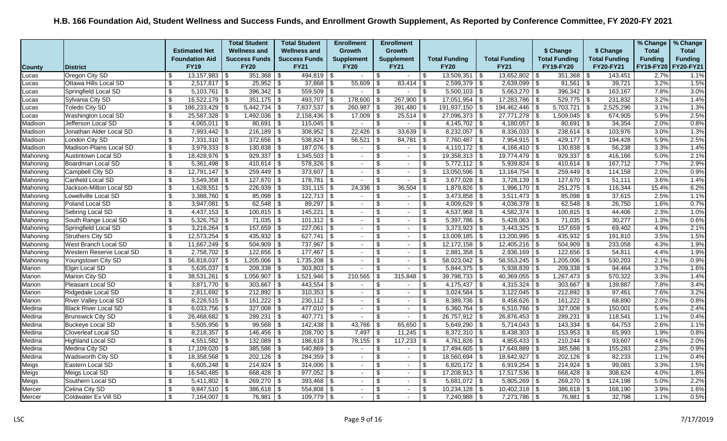|               |                             |                           |                       | <b>Total Student</b> | <b>Total Student</b> |      | <b>Enrollment</b> |                | <b>Enrollment</b>        |                           |                      |                      |                                  |                      |                         |                      | % Change       | % Change       |
|---------------|-----------------------------|---------------------------|-----------------------|----------------------|----------------------|------|-------------------|----------------|--------------------------|---------------------------|----------------------|----------------------|----------------------------------|----------------------|-------------------------|----------------------|----------------|----------------|
|               |                             |                           | <b>Estimated Net</b>  | <b>Wellness and</b>  | <b>Wellness and</b>  |      | <b>Growth</b>     |                | Growth                   |                           |                      |                      |                                  | \$ Change            |                         | \$ Change            | <b>Total</b>   | <b>Total</b>   |
|               |                             |                           | <b>Foundation Aid</b> | <b>Success Funds</b> | <b>Success Funds</b> |      | <b>Supplement</b> |                | <b>Supplement</b>        |                           | <b>Total Funding</b> | <b>Total Funding</b> |                                  | <b>Total Funding</b> |                         | <b>Total Funding</b> | <b>Funding</b> | <b>Funding</b> |
| <b>County</b> | <b>District</b>             |                           | <b>FY19</b>           | <b>FY20</b>          | <b>FY21</b>          |      | <b>FY20</b>       |                | <b>FY21</b>              |                           | <b>FY20</b>          | <b>FY21</b>          |                                  | FY19-FY20            |                         | FY20-FY21            | FY19-FY20      | FY20-FY21      |
| Lucas         | Oregon City SD              | -\$                       | $13,157,983$ \$       | $351,368$ \$         | $494,819$ \$         |      | $\sim$            | \$             | $\sim$                   | \$                        | $13,509,351$ \$      | 13,652,802           | -\$                              | $351,368$ \$         |                         | 143,451              | 2.7%           | 1.1%           |
| Lucas         | Ottawa Hills Local SD       | \$                        | $2,517,817$ \$        | $25,952$ \$          | $37,868$ \$          |      | 55,609            | - \$           |                          |                           | $2,599,379$ \$       | $2,639,099$ \$       |                                  | $81,561$ \$          |                         | 39,721               | 3.2%           | 1.5%           |
| Lucas         | Springfield Local SD        | \$                        | $5,103,761$ \$        | $396,342$ \$         | $559,509$ \$         |      | $\sim$            | -S             | $\blacksquare$           | \$                        | $5,500,103$ \$       | 5,663,270            | \$                               | 396,342              | l \$                    | 163,167              | 7.8%           | 3.0%           |
| Lucas         | Sylvania City SD            | \$                        | $16,522,179$ \$       | $351,175$ \$         | $493,707$ \$         |      | $178,600$ \ \$    |                | 267,900                  | l \$                      | $17,051,954$ \$      | 17,283,786           | -\$                              | $529,775$ \$         |                         | 231,832              | 3.2%           | 1.4%           |
| Lucas         | Toledo City SD              | \$                        | $186,233,429$ \$      | $5,442,734$ \$       | $7,837,537$ \$       |      | 260,987           | - \$           | $391,480$ \$             |                           | $191,937,150$ \$     | 194,462,446          | \$                               | 5,703,721            | \$                      | 2,525,296            | 3.1%           | 1.3%           |
| Lucas         | <b>Washington Local SD</b>  | \$                        | $25,587,328$ \$       | $1,492,036$ \$       | $2,158,436$ \$       |      | $17,009$ \$       |                | $25,514$ \$              |                           | $27,096,373$ \$      | 27,771,278           | \$                               | $1,509,045$ \$       |                         | 674,905              | 5.9%           | 2.5%           |
| Madison       | Jefferson Local SD          | \$                        | $4,065,011$ \$        | $80,691$ \$          | $115,045$ \$         |      | $\sim$            | \$             | $\overline{\phantom{a}}$ | $\overline{\mathbf{3}}$   | $4,145,702$ \$       | 4,180,057            | $\overline{\boldsymbol{\theta}}$ | 80,691               | $\overline{\mathbf{3}}$ | 34,354               | 2.0%           | 0.8%           |
| Madison       | Jonathan Alder Local SD     | \$                        | $7,993,442$ \$        | $216,189$ \$         | $308,952$ \$         |      | 22,426            | - \$           | $33,639$ \$              |                           | $8,232,057$ \$       | 8,336,033            | \$                               | $238,614$ \$         |                         | 103,976              | 3.0%           | 1.3%           |
| Madison       | London City SD              | \$                        | $7,331,310$ \$        | $372,656$ \$         | $538,824$ \$         |      | $56,521$ \$       |                | $84,781$ \$              |                           | $7,760,487$ \$       | $7,954,915$ \$       |                                  | $429,177$ \$         |                         | 194,428              | 5.9%           | 2.5%           |
| Madison       | Madison-Plains Local SD     | $\boldsymbol{\mathsf{S}}$ | $3,979,333$ \$        | $130,838$ \$         | $187,076$ \$         |      | $\sim$            | \$             | $\sim$                   | \$                        | $4,110,172$ \$       | 4,166,410            | \$                               | $130,838$ \$         |                         | 56,238               | 3.3%           | 1.4%           |
| Mahoning      | <b>Austintown Local SD</b>  | \$                        | $18,428,976$ \$       | $929,337$ \$         | $1,345,503$ \$       |      | $\sim$            | \$.            | $\overline{\phantom{a}}$ | \$                        | $19,358,313$ \$      | 19,774,479           | \$                               | 929,337              | -\$                     | 416,166              | 5.0%           | 2.1%           |
| Mahoning      | Boardman Local SD           | \$                        | $5,361,498$ \\$       | $410,614$ \$         | $578,326$ \$         |      | $\sim$            | \$             | $\sim$                   | \$                        | $5,772,112$ \$       | 5,939,824            | \$                               | 410,614 \\$          |                         | 167,712              | 7.7%           | 2.9%           |
| Mahoning      | Campbell City SD            | $\overline{\mathcal{S}}$  | $12,791,147$ \$       | $259,449$ \$         | $373,607$ \$         |      | $\sim$            | \$.            | $\sim$                   | \$                        | $13,050,596$ \$      | 13, 164, 754         | l \$                             | $259,449$ \$         |                         | 114,158              | 2.0%           | 0.9%           |
| Mahoning      | Canfield Local SD           | \$                        |                       | $127,670$ \$         | $178,781$ \$         |      | $\blacksquare$    |                | $\blacksquare$           | \$                        | $3,677,028$ \$       | 3,728,139            | \$                               | $127,670$ \$         |                         | 51,111               | 3.6%           | 1.4%           |
| Mahoning      | Jackson-Milton Local SD     | $\boldsymbol{\mathsf{S}}$ | $1,628,551$ \$        | $226,939$ \$         | $331,115$ \$         |      | 24,336            |                | 36,504                   | \$                        | $1,879,826$ \$       | $1,996,170$ \$       |                                  | $251,275$ \$         |                         | 116,344              | 15.4%          | 6.2%           |
| Mahoning      | Lowellville Local SD        | $\boldsymbol{\mathsf{S}}$ | $3,388,760$ \$        | $85,098$ \$          | $122,713$ \$         |      | $\sim$            | \$.            | $\sim$                   | \$                        | $3,473,858$ \$       | 3,511,473            | \$                               | $85,098$ \$          |                         | 37,615               | 2.5%           | 1.1%           |
| Mahoning      | Poland Local SD             | \$                        | $3,947,081$ \$        |                      | $89,297$ \$          |      | $\sim$            | \$.            | $\overline{\phantom{a}}$ | \$                        | $4,009,629$ \$       | 4,036,378            | -\$                              | $62,548$ \$          |                         | 26,750               | 1.6%           | 0.7%           |
| Mahoning      | Sebring Local SD            | \$                        | $4,437,153$ \$        | $100,815$ \$         | $145,221$ \$         |      | $\sim$            | \$.            | $\blacksquare$           | \$                        | $4,537,968$ \$       | 4,582,374            | \$                               | $100,815$ \$         |                         | 44,406               | 2.3%           | 1.0%           |
| Mahoning      | South Range Local SD        | \$                        | $5,326,752$ \$        | $71,035$ \$          | $101,312$ \$         |      | $\sim$            | \$             | $\sim$                   | \$                        | $5,397,786$ \$       | $5,428,063$ \$       |                                  | $71,035$ \$          |                         | 30,277               | 1.3%           | 0.6%           |
| Mahoning      | Springfield Local SD        | \$                        |                       | $157,659$ \$         | $227,061$ \$         |      | $\sim$            | \$.            | $\overline{\phantom{a}}$ | $\sqrt[6]{3}$             | $3,373,923$ \$       | 3,443,325            | l \$                             | $157,659$ \$         |                         | 69,402               | 4.9%           | 2.1%           |
| Mahoning      | <b>Struthers City SD</b>    | $\overline{\mathcal{L}}$  | $12,573,254$ \$       | $435,932$ \$         | $627,741$ \$         |      | $\sim$            | \$.            | $\overline{\phantom{a}}$ | \$                        | $13,009,185$   \$    | 13,200,995           | $\overline{\mathcal{F}}$         | 435,932              | -\$                     | 191,810              | 3.5%           | 1.5%           |
| Mahoning      | West Branch Local SD        | \$                        | $11,667,249$ \$       | $504,909$ \$         | $737,967$ \$         |      | $\sim$            |                | $\sim$                   | \$                        | $12,172,158$ \$      | $12,405,216$ \$      |                                  | $504,909$ \$         |                         | 233,058              | 4.3%           | 1.9%           |
| Mahoning      | Western Reserve Local SD    | $\boldsymbol{\mathsf{S}}$ | $2,758,702$ \$        | $122,656$ \$         | $177,467$ \$         |      | $\sim$            | \$.            | $\blacksquare$           | $\boldsymbol{\mathsf{S}}$ | $2,881,358$ \$       | $2,936,169$ \$       |                                  | $122,656$ \$         |                         | 54,811               | 4.4%           | 1.9%           |
| Mahoning      | Youngstown City SD          | \$                        | $56,818,037$ \\$      | $1,205,006$ \$       | 1,735,208            | l \$ | $\sim$            | \$.            | $\sim$                   | \$                        | $58,023,042$ \$      | 58,553,245           | -\$                              | 1,205,006            | - \$                    | 530,203              | 2.1%           | 0.9%           |
| Marion        | Elgin Local SD              | \$                        | $5,635,037$ \$        | $209,338$ \$         | $303,803$ \$         |      |                   |                | $\overline{\phantom{a}}$ | \$                        | $5,844,375$ \$       | 5,938,839            | \$                               | $209,338$ \$         |                         | 94,464               | 3.7%           | 1.6%           |
| Marion        | Marion City SD              | \$                        | $38,531,261$ \$       | $1,056,907$ \$       | $1,521,946$ \$       |      | 210,565           | - \$           | $315,848$ \$             |                           | $39,798,733$ \$      | 40,369,055           | \$                               | $1,267,473$ \$       |                         | 570,322              | 3.3%           | 1.4%           |
| Marion        | Pleasant Local SD           | $\boldsymbol{\mathsf{S}}$ | $3,871,770$ \$        | $303,667$ \$         | $443,554$ \$         |      | $\sim$            | \$.            | $\sim$                   | \$                        | $4,175,437$ \$       | 4,315,324            | \$                               | 303,667              | l \$                    | 139,887              | 7.8%           | 3.4%           |
| Marion        | Ridgedale Local SD          | $\boldsymbol{\mathsf{S}}$ | $2,811,692$ \$        | $212,892$ \$         | $310,353$ \$         |      | $\sim$            |                | $\overline{\phantom{a}}$ | $\boldsymbol{\mathsf{S}}$ | $3,024,584$ \$       | 3,122,045            | \$                               | $212,892$ \$         |                         | 97,461               | 7.6%           | 3.2%           |
| Marion        | River Valley Local SD       | \$                        | $8,228,515$ \\$       | $161,222$ \ \$       | $230,112$ \$         |      | $\sim$            | \$             | $\sim$                   | \$                        | $8,389,736$ \$       | $8,458,626$ \$       |                                  | $161,222$ \ \$       |                         | 68,890               | 2.0%           | 0.8%           |
| Medina        | <b>Black River Local SD</b> | \$                        | $6,033,756$ \$        | $327,008$ \$         | $477,010$ \$         |      | $\sim$            | \$.            | $\sim$                   | \$                        | $6,360,764$ \$       | 6,510,766            | \$                               | $327,008$ \$         |                         | 150,001              | 5.4%           | 2.4%           |
| Medina        | <b>Brunswick City SD</b>    | \$                        | $26,468,682$ \$       | $289,231$ \$         | $407,771$ \\$        |      | $\sim$            | <b>β</b>       | $\blacksquare$           | \$                        | $26,757,912$ \$      | 26,876,453           | \$                               | 289,231              | l \$                    | 118,541              | 1.1%           | 0.4%           |
| Medina        | <b>Buckeye Local SD</b>     | \$                        | $5,505,956$ \$        | $99,568$ \$          | $142,438$ \$         |      | 43,766            |                | $65,650$ \$              |                           | $5,649,290$ \$       | 5,714,043            | \$                               | 143,334              | \$                      | 64,753               | 2.6%           | 1.1%           |
| Medina        | Cloverleaf Local SD         | \$                        | $8,218,357$ \\$       | $146,456$ \$         | $208,700$ \$         |      | 7,497             | -\$            |                          |                           | $8,372,310$ \$       | 8,438,303            | l \$                             | $153,953$ \$         |                         | 65,993               | 1.9%           | 0.8%           |
| Medina        | <b>Highland Local SD</b>    | \$                        | $4,551,582$ \$        | $132,089$ \$         | $186,618$ \$         |      | 78,155            |                | $117,233$ \$             |                           | $4,761,826$ \$       | 4,855,433            | \$                               | $210,244$ \$         |                         | 93,607               | 4.6%           | 2.0%           |
| Medina        | Medina City SD              | $\sqrt[6]{2}$             | $17,109,020$ \$       | $385,586$ \$         | $540,869$ \$         |      | $\sim$            | \$             | $\blacksquare$           | \$                        | $17,494,605$ \$      | 17,649,889           | $\sqrt{3}$                       | 385,586              | -\$                     | 155,283              | 2.3%           | 0.9%           |
| Medina        | Wadsworth City SD           | \$                        | $18,358,568$ \ \$     | $202,126$ \ \$       | $284,359$ \$         |      | $\sim$            | \$             | $\sim$                   | \$                        | $18,560,694$ \$      | 18,642,927           | \$                               | $202,126$ \$         |                         | 82,233               | 1.1%           | 0.4%           |
| Meigs         | Eastern Local SD            | $\boldsymbol{\mathsf{S}}$ | $6,605,248$ \$        | $214,924$ \$         | $314,006$ \$         |      | $\sim$            | $\mathfrak{L}$ | $\overline{\phantom{a}}$ | \$                        | $6,820,172$ \$       | 6,919,254            | \$                               | $214,924$ \$         |                         | 99,081               | 3.3%           | 1.5%           |
| Meigs         | Meigs Local SD              | \$                        | $16,540,485$ \$       | $668,428$ \$         | 977,052              | -\$  | $\sim$            | \$             | $\sim$                   | \$                        | $17,208,913$ \$      | 17,517,536           | -\$                              | 668,428              | -\$                     | 308,624              | 4.0%           | 1.8%           |
| Meigs         | Southern Local SD           | \$                        | $5,411,802$ \$        | $269,270$ \$         | $393,468$ \$         |      | $\sim$            |                | $\sim$                   | $\sqrt[6]{3}$             | $5,681,072$ \$       | 5,805,269            | \$                               | $269,270$ \$         |                         | 124,198              | 5.0%           | 2.2%           |
| Mercer        | Celina City SD              | $\boldsymbol{\mathsf{S}}$ | $9,847,510$ \$        | $386,618$ \$         | $554,808$ \$         |      | $\sim$            | \$.            | $\overline{\phantom{a}}$ | $\sqrt[6]{3}$             | $10,234,128$ \$      | $10,402,318$ \$      |                                  | $386,618$ \$         |                         | 168,190              | 3.9%           | 1.6%           |
| Mercer        | <b>Coldwater Ex Vill SD</b> | \$                        | $7,164,007$ \\$       | 76,981   \$          | $109,779$ \$         |      |                   | $\mathfrak{L}$ | $\blacksquare$           | \$                        | $7,240,988$ \$       | 7,273,786            | \$                               | 76,981               | -\$                     | 32,798               | 1.1%           | 0.5%           |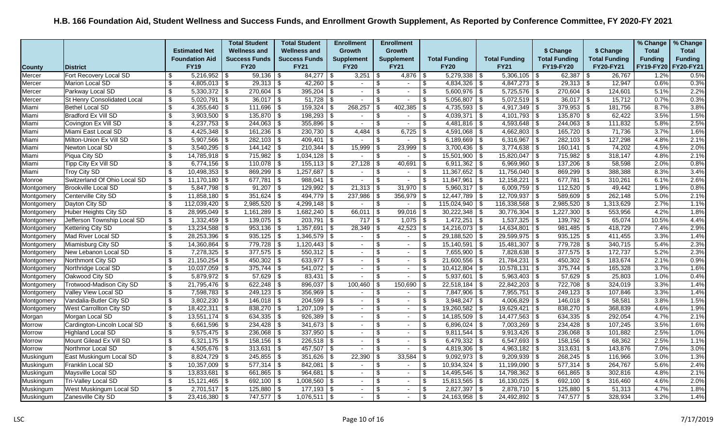|               |                                    |                           |                             | <b>Total Student</b>  | <b>Total Student</b>  | <b>Enrollment</b>        | <b>Enrollment</b>                                    |                          |                      |                      |            |                      |                      | % Change       | % Change       |
|---------------|------------------------------------|---------------------------|-----------------------------|-----------------------|-----------------------|--------------------------|------------------------------------------------------|--------------------------|----------------------|----------------------|------------|----------------------|----------------------|----------------|----------------|
|               |                                    |                           | <b>Estimated Net</b>        | <b>Wellness and</b>   | <b>Wellness and</b>   | <b>Growth</b>            | Growth                                               |                          |                      |                      |            | \$ Change            | \$ Change            | <b>Total</b>   | <b>Total</b>   |
|               |                                    |                           | <b>Foundation Aid</b>       | <b>Success Funds</b>  | <b>Success Funds</b>  | <b>Supplement</b>        | <b>Supplement</b>                                    |                          | <b>Total Funding</b> | <b>Total Funding</b> |            | <b>Total Funding</b> | <b>Total Funding</b> | <b>Funding</b> | <b>Funding</b> |
| <b>County</b> | District                           |                           | <b>FY19</b>                 | <b>FY20</b>           | <b>FY21</b>           | <b>FY20</b>              | <b>FY21</b>                                          |                          | <b>FY20</b>          | <b>FY21</b>          |            | <b>FY19-FY20</b>     | FY20-FY21            | FY19-FY20      | FY20-FY21      |
| Mercer        | Fort Recovery Local SD             | \$                        | $5,216,952$ \$              | $59,136$ \$           |                       | 3,251                    | \$<br>4,876                                          | -\$                      | $5,279,338$ \$       | $5,306,105$ \$       |            | $62,387$ \$          | 26,767               | 1.2%           | 0.5%           |
| Mercer        | Marion Local SD                    | $\overline{\mathbf{s}}$   | $4,805,013$ \$              | $29,313$ \$           |                       | $\sim$                   | \$<br>$\sim$                                         | \$                       | $4,834,326$ \$       | $4,847,273$ \$       |            | $29,313$ \$          | 12,947               | 0.6%           | 0.3%           |
| Mercer        | Parkway Local SD                   | \$                        | $5,330,372$ \$              | $270,604$ \$          | $395,204$ \\$         | $\sim$                   | \$<br>$\sim$                                         | \$                       | $5,600,976$ \\$      | $5,725,576$ \\$      |            | $270,604$ \$         | 124,601              | 5.1%           | 2.2%           |
| Mercer        | <b>St Henry Consolidated Local</b> | \$                        | $5,020,791$ \$              | $36,017$ \$           |                       |                          | $\overline{\mathcal{S}}$<br>$\overline{\phantom{a}}$ | \$                       | $5,056,807$ \$       | 5,072,519            | \$         | $36,017$ \$          | 15,712               | 0.7%           | 0.3%           |
| Miami         | <b>Bethel Local SD</b>             | $\overline{\mathbf{s}}$   | $4,355,640$   \$            | $111,696$ \$          | $159,324$ \$          | 268,257                  | \$<br>402,385                                        | $\overline{\mathbf{3}}$  | $4,735,593$ \$       | $4,917,349$ \$       |            | $379,953$ \$         | 181,756              | 8.7%           | 3.8%           |
| Miami         | Bradford Ex Vill SD                | \$                        | $3,903,500$ \$              | $135,870$ \$          | $198,293$ \$          | $\overline{\phantom{a}}$ | \$<br>$\blacksquare$                                 | \$                       | $4,039,371$ \$       | $4,101,793$ \$       |            | $135,870$ \$         | 62,422               | 3.5%           | 1.5%           |
| Miami         | Covington Ex Vill SD               | $\overline{\mathbf{s}}$   | $4,237,753$ \$              | $244,063$ \$          | $355,896$ \$          | $\sim$                   | \$<br>$\overline{\phantom{a}}$                       | $\overline{\mathbf{S}}$  | $4,481,816$ \$       | 4,593,648            | l \$       | $244,063$ \$         | 111,832              | 5.8%           | 2.5%           |
| Miami         | Miami East Local SD                | \$                        | $4,425,348$ \$              | $161,236$ \$          | $230,730$ \$          | 4,484                    | 6,725<br>\$                                          | \$                       | $4,591,068$ \$       | $4,662,803$ \$       |            | $165,720$ \$         | 71,736               | 3.7%           | 1.6%           |
| Miami         | Milton-Union Ex Vill SD            | \$                        | $5,907,566$ \$              | $282,103$ \$          | $409,401$ \\$         | $\sim$                   | \$<br>$\sim$                                         | $\sqrt[6]{\frac{1}{2}}$  | $6,189,669$ \$       | $6,316,967$ \$       |            | $282,103$ \$         | 127,298              | 4.8%           | 2.1%           |
| Miami         | Newton Local SD                    | \$                        | $3,540,295$ \$              | $144, 142$ \\$        | $210,344$ \ \$        | 15,999                   | \$<br>23,999                                         | \$                       | $3,700,436$ \$       |                      |            | $160, 141$ \$        | 74,202               | 4.5%           | 2.0%           |
| Miami         | Piqua City SD                      | $\boldsymbol{\mathsf{s}}$ | $14,785,918$ \$             | $715,982$ \$          | $1,034,128$ \$        |                          | \$                                                   | \$                       | $15,501,900$ \$      | 15,820,047           | l \$       | $715,982$ \$         | 318,147              | 4.8%           | 2.1%           |
| Miami         | Tipp City Ex Vill SD               | \$                        |                             | $110,078$ \$          | $155, 113$ \$         | 27,128                   | \$<br>40,691                                         | $\sqrt[6]{3}$            | $6,911,362$ \$       | $6,969,960$ \$       |            |                      | 58,598               | 2.0%           | 0.8%           |
| Miami         | <b>Troy City SD</b>                | \$                        | $10,498,353$ \\$            | $869,299$ \$          | $1,257,687$ \\$       | $\overline{\phantom{a}}$ | \$<br>$\sim$                                         | \$                       | $11,367,652$ \$      | $11,756,040$ \$      |            | $869,299$ \$         | 388,388              | 8.3%           | 3.4%           |
| Monroe        | Switzerland Of Ohio Local SD       | $\boldsymbol{\mathsf{s}}$ | $11,170,180$   \$           | $677,781$ \$          | $988,041$ \ \$        | $\sim$                   | \$<br>$\blacksquare$                                 | \$                       | $11,847,961$ \$      | 12, 158, 221         | 15         | $677,781$ \\$        | 310,261              | 6.1%           | 2.6%           |
| Montgomery    | <b>Brookville Local SD</b>         | $\boldsymbol{\mathsf{s}}$ | $5,847,798$ \$              | $91,207$ \$           | $129,992$ \$          | 21,313                   | 31,970<br>\$                                         | $\sqrt[6]{3}$            | $5,960,317$ \$       | $6,009,759$ \$       |            | $112,520$ \$         | 49,442               | 1.9%           | 0.8%           |
| Montgomery    | Centerville City SD                | $\overline{\$}$           | $11,858,180$ \$             | $351,624$ \$          | $494,779$ \$          | 237,986                  | \$<br>$356,979$ \$                                   |                          | $12,447,789$ \$      | $12,709,937$ \$      |            | $589,609$ \$         | 262,148              | 5.0%           | 2.1%           |
| Montgomery    | Dayton City SD                     | \$                        | $112,039,420$ \$            | $2,985,520$ \$        | $4,299,148$ \$        | $\sim$                   | \$<br>$\overline{\phantom{a}}$                       | \$                       | $115,024,940$ \$     | 116,338,568          | \$         | $2,985,520$ \$       | 1,313,629            | 2.7%           | 1.1%           |
| Montgomery    | Huber Heights City SD              | \$                        | $28,995,049$ \$             | $1,161,289$ \$        | $1,682,240$ \ \$      | 66,011                   | \$<br>99,016                                         | \$                       | $30,222,348$ \$      | 30,776,304           | \$         | $1,227,300$ \$       | 553,956              | 4.2%           | 1.8%           |
| Montgomery    | Jefferson Township Local SD        | \$                        | $\overline{1,332,459}$ \ \$ | $139,075$ \$          | $203,791$ \$          | 717                      | \$<br>$1,075$ \$                                     |                          | $1,472,251$ \$       | $1,537,325$ \$       |            | $139,792$ \$         | 65,074               | 10.5%          | 4.4%           |
| Montgomery    | Kettering City SD                  | $\boldsymbol{\mathsf{s}}$ |                             | $953,136$ \\$         | $1,357,691$ \$        | 28,349                   | 42,523<br>\$                                         | -\$                      | $14,216,073$ \$      | 14,634,801           | l \$       | $981,485$ \$         | 418,729              | 7.4%           | 2.9%           |
| Montgomery    | Mad River Local SD                 | $\overline{\$}$           | $28,253,396$ \$             | $935,125$ \$          | $1,346,579$ \\$       | $\overline{\phantom{a}}$ | $\overline{\$}$<br>$\sim$                            | $\overline{\$}$          | $29,188,520$ \$      | 29,599,975           | \$         | $935,125$ \$         | 411,455              | 3.3%           | 1.4%           |
| Montgomery    | Miamisburg City SD                 | $\boldsymbol{\mathsf{s}}$ | $14,360,864$ \$             | 779,728 \$            | $1,120,443$ \$        | $\sim$                   | \$<br>$\sim$                                         | \$                       | $15,140,591$ \$      | $15,481,307$ \$      |            | 779,728 \$           | 340,715              | 5.4%           | 2.3%           |
| Montgomery    | New Lebanon Local SD               | \$                        | $7,278,325$ \$              | $377,575$ \$          | $550,312$ \$          | $\overline{\phantom{a}}$ | \$<br>$\sim$                                         | \$                       | $7,655,900$ \$       | $7,828,638$ \$       |            | $377,575$ \$         | 172,737              | 5.2%           | 2.3%           |
| Montgomery    | Northmont City SD                  | $\boldsymbol{\mathsf{s}}$ | $21,150,254$ \\$            | $450,302$ \$          | $633,977$ \$          | $\blacksquare$           | \$<br>$\sim$                                         | \$                       | $21,600,556$ \\$     | 21,784,231           | \$         | $450,302$ \$         | 183,674              | 2.1%           | 0.9%           |
| Montgomery    | Northridge Local SD                | \$                        | $10,037,059$ \$             | $375,744$ \\$         | $541,072$ \$          | $\sim$                   | \$<br>$\sim$                                         | \$                       | $10,412,804$ \$      | 10,578,131           | l \$       | $375,744$ \$         | 165,328              | 3.7%           | 1.6%           |
| Montgomery    | Oakwood City SD                    | \$                        | $5,879,972$ \$              | $57,629$ \$           |                       | $\sim$                   | \$<br>$\sim$                                         | $\overline{\mathcal{S}}$ | $5,937,601$ \$       | $5,963,403$ \$       |            | $57,629$ \$          | 25,803               | 1.0%           | 0.4%           |
| Montgomery    | Trotwood-Madison City SD           | \$                        | $21,795,476$ \$             |                       | $896,037$ \$          | 100,460                  | 150,690<br>\$                                        | $\sqrt[6]{3}$            | $22,518,184$ \$      | 22,842,203           | \$         | 722,708 \$           | 324,019              | 3.3%           | 1.4%           |
| Montgomery    | Valley View Local SD               | \$                        | $7,598,783$ \$              | $249,123$ \$          | $356,969$ \$          | $\overline{\phantom{a}}$ | \$<br>$\sim$                                         | \$                       | $7,847,906$ \$       | 7,955,751            | $\sqrt{3}$ | $249,123$ \$         | 107,846              | 3.3%           | 1.4%           |
| Montgomery    | Vandalia-Butler City SD            | \$                        | $3,802,230$ \$              | $146,018$ \ \$        | $204,599$ \$          | $\sim$                   | \$<br>$\sim$                                         | \$                       | $3,948,247$ \$       | $4,006,829$ \$       |            | $146,018$ \$         | 58,581               | 3.8%           | 1.5%           |
| Montgomery    | <b>West Carrollton City SD</b>     | \$                        | $18,422,311$ \$             | $838,270$ \$          | $1,207,109$ \$        | $\sim$                   | \$<br>$\sim$                                         | \$                       | $19,260,582$ \$      | 19,629,421           | l \$       | $838,270$ \$         | 368,839              | 4.6%           | 1.9%           |
| Morgan        | Morgan Local SD                    | $\boldsymbol{\mathsf{S}}$ | $13,551,174$ \\$            | $634,335$ \$          | $926,389$ \$          | $\sim$                   | \$<br>$\sim$                                         | \$                       | $14,185,509$ \\$     | 14,477,563           | \$         | $634,335$ \$         | 292,054              | 4.7%           | 2.1%           |
| Morrow        | Cardington-Lincoln Local SD        | $\boldsymbol{\mathsf{s}}$ | $6,661,596$ \$              | $234,428$ \$          | $341,673$ \$          | $\sim$                   | \$<br>$\sim$                                         | \$                       | 6,896,024 \$         | $7,003,269$ \$       |            | $234,428$ \$         | 107,245              | 3.5%           | 1.6%           |
| Morrow        | Highland Local SD                  | \$                        | $9,575,475$ \$              | $236,068$ \$          | $337,950$ \$          | $\sim$                   | \$<br>$\sim$                                         | \$                       | $9,811,544$ \$       | $9,913,426$ \$       |            | $236,068$ \$         | 101,882              | 2.5%           | 1.0%           |
| Morrow        | Mount Gilead Ex Vill SD            | \$                        | $6,321,175$ \$              | $158,156$ \$          | $226,518$ \$          | $\sim$                   | \$<br>$\sim$                                         | \$                       | $6,479,332$ \$       | $6,547,693$ \$       |            | $158,156$ \$         | 68,362               | 2.5%           | 1.1%           |
| Morrow        | Northmor Local SD                  | \$                        | 4,505,676 \$                | $313,631$ \$          | $457,507$ \\$         |                          | \$<br>$\blacksquare$                                 | $\sqrt[6]{\frac{1}{2}}$  | $4,819,306$ \$       | 4,963,182            | $\sqrt{3}$ | $313,631$ \$         | 143,876              | 7.0%           | 3.0%           |
| Muskingum     | East Muskingum Local SD            | \$                        | $8,824,729$ \$              | $245,855$ \ \$        | $351,626$ \$          | 22,390                   | \$<br>33,584                                         | \$                       | $9,092,973$ \$       | $9,209,939$ \$       |            | $268,245$ \$         | 116,966              | 3.0%           | 1.3%           |
| Muskingum     | Franklin Local SD                  | $\boldsymbol{\mathsf{S}}$ | $10,357,009$ \$             | $577,314$ \$          | $842,081$ \$          | $\sim$                   | \$<br>$\overline{\phantom{a}}$                       | \$                       | $10,934,324$ \$      | $11,199,090$ \$      |            | $577,314$ \\$        | 264,767              | 5.6%           | 2.4%           |
| Muskingum     | Maysville Local SD                 | $\overline{\$}$           | $13,833,681$   \$           | $661,865$   \$        | $964,681$ \ \$        | $\sim$                   | \$<br>$\overline{\phantom{a}}$                       | \$                       |                      | 14,798,362           | \$         | $661,865$ \$         | 302,816              | 4.8%           | 2.1%           |
| Muskingum     | Tri-Valley Local SD                | \$                        | $15,121,465$ \$             | 692,100 $\frac{1}{3}$ | 1,008,560 \$          | $\sim$                   | \$<br>$\sim$                                         | \$                       | $15,813,565$ \$      | $16,130,025$ \$      |            | $692,100$ \$         | 316,460              | 4.6%           | 2.0%           |
| Muskingum     | West Muskingum Local SD            | $\boldsymbol{\mathsf{S}}$ | $2,701,517$   \$            | $125,880$ \ \$        | $\frac{1}{77,193}$ \$ | $\overline{\phantom{a}}$ | \$<br>$\sim$                                         | \$                       | $2,827,397$ \$       | $2,878,710$ \$       |            | $125,880$ \$         | 51,313               | 4.7%           | 1.8%           |
| Muskingum     | Zanesville City SD                 | \$                        | $23,416,380$ \ \$           | 747,577   \$          | $1,076,511$ \$        |                          | \$<br>$\sim$                                         | \$                       |                      | 24,492,892           | \$         | $747,577$ \\$        | 328,934              | 3.2%           | 1.4%           |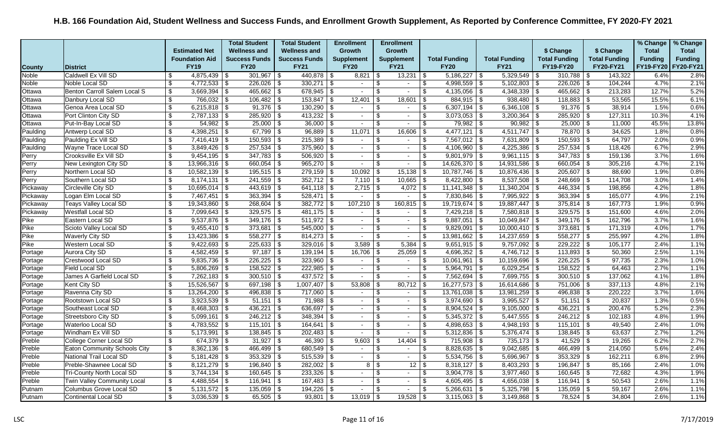|               |                                     |                           |                           | <b>Total Student</b>  | <b>Total Student</b> |            | <b>Enrollment</b> |             | <b>Enrollment</b>        |                         |                              |                      |                                  |                      |      |                      | % Change         | % Change       |
|---------------|-------------------------------------|---------------------------|---------------------------|-----------------------|----------------------|------------|-------------------|-------------|--------------------------|-------------------------|------------------------------|----------------------|----------------------------------|----------------------|------|----------------------|------------------|----------------|
|               |                                     |                           | <b>Estimated Net</b>      | <b>Wellness and</b>   | <b>Wellness and</b>  |            | <b>Growth</b>     |             | <b>Growth</b>            |                         |                              |                      |                                  | \$ Change            |      | \$ Change            | <b>Total</b>     | <b>Total</b>   |
|               |                                     |                           | <b>Foundation Aid</b>     | <b>Success Funds</b>  | <b>Success Funds</b> |            | <b>Supplement</b> |             | <b>Supplement</b>        |                         | <b>Total Funding</b>         | <b>Total Funding</b> |                                  | <b>Total Funding</b> |      | <b>Total Funding</b> | <b>Funding</b>   | <b>Funding</b> |
| <b>County</b> | <b>District</b>                     |                           | <b>FY19</b>               | <b>FY20</b>           | <b>FY21</b>          |            | <b>FY20</b>       | <b>FY21</b> |                          |                         | <b>FY20</b>                  | <b>FY21</b>          |                                  | FY19-FY20            |      | <b>FY20-FY21</b>     | <b>FY19-FY20</b> | FY20-FY21      |
| Noble         | Caldwell Ex Vill SD                 | -\$                       |                           | $301,967$ \$          | $440,878$ \$         |            | $8,821$   \$      |             | 13,231                   | l \$                    |                              | 5,329,549            | - \$                             | 310,788              | - \$ | 143,322              | 6.4%             | 2.8%           |
| Noble         | Noble Local SD                      | \$                        |                           | $226,026$ \$          | $330,271$ \$         |            | $\sim$            | \$          | $\sim$                   | \$                      | 4,998,559 \$                 | 5,102,803            | \$                               | $226,026$ \$         |      | 104,244              | 4.7%             | 2.1%           |
| Ottawa        | Benton Carroll Salem Local S        | $\boldsymbol{\mathsf{S}}$ | $3,669,394$ \$            | $465,662$ \$          | $678,945$ \$         |            | $\sim$            | \$.         | $\blacksquare$           | $\sqrt[6]{\frac{1}{2}}$ | $4,135,056$ \$               | 4,348,339            | \$                               | $465,662$ \$         |      | 213,283              | 12.7%            | 5.2%           |
| Ottawa        | Danbury Local SD                    | \$                        | 766,032 \$                | $106,482$ \$          | $153,847$ \$         |            | 12,401            | - \$        | 18,601                   | \$                      | $884,915$ \$                 | 938,480              | -\$                              | 118,883              | - \$ | 53,565               | 15.5%            | 6.1%           |
| Ottawa        | Genoa Area Local SD                 | \$                        | $6,215,818$ \$            | $91,376$ \$           | $130,290$ \$         |            | $\sim$            | \$          | $\sim$                   | \$                      | $6,307,194$ \ \$             | $6,346,108$ \$       |                                  | $91,376$ \$          |      | 38,914               | 1.5%             | 0.6%           |
| Ottawa        | Port Clinton City SD                | \$                        | $2,787,133$ \$            | $285,920$ \$          | $413,232$ \$         |            | $\sim$            | .ኖ          | $\overline{\phantom{0}}$ | \$                      | $3,073,053$ \$               | 3,200,364            | -\$                              | $285,920$ \$         |      | 127,311              | 10.3%            | 4.1%           |
| Ottawa        | Put-In-Bay Local SD                 | \$                        |                           | $25,000$ \$           | 36,000               | $\sqrt{3}$ | $\sim$            | \$.         | $\overline{\phantom{a}}$ | \$                      | $79,982$ \$                  | 90,982               | \$                               | 25,000               | -\$  | 11,000               | 45.5%            | 13.8%          |
| Paulding      | Antwerp Local SD                    | \$                        | $4,398,251$ \$            | $67,799$ \$           | $96,889$ \ \$        |            | 11,071            | -S          | 16,606                   | -\$                     | $4,477,121$ \$               | 4,511,747            | -\$                              | 78,870   \$          |      | 34,625               | 1.8%             | 0.8%           |
| Paulding      | Paulding Ex Vill SD                 | \$                        | $7,416,419$ \$            | $150,593$ \$          | $215,389$ \$         |            | $\sim$            | \$          | $\sim$                   | \$                      | $7,567,012$ \$               | 7,631,809            | \$                               | $150,593$ \$         |      | 64,797               | 2.0%             | 0.9%           |
| Paulding      | Wayne Trace Local SD                | $\mathfrak{L}$            | $3,849,426$ \$            | $257,534$ \$          | $375,960$ \$         |            |                   | \$.         | $\blacksquare$           | \$                      | $4,106,960$ \$               | 4,225,386            | -\$                              | $257,534$ \$         |      | 118,426              | 6.7%             | 2.9%           |
| Perry         | Crooksville Ex Vill SD              | \$                        | $9,454,195$ \$            | $347,783$ \$          | $506,920$ \$         |            | $\sim$            |             | $\overline{\phantom{a}}$ | \$                      | $9,801,979$ \$               | 9,961,115            | \$                               | $347,783$ \$         |      | 159,136              | 3.7%             | 1.6%           |
| Perry         | New Lexington City SD               | \$                        | $13,966,316$ \\$          | $660,054$ \$          | $965,270$ \$         |            | $\sim$            | \$          | $\sim$                   | \$                      | $14,626,370$ \$              | 14,931,586           | \$                               | 660,054 \$           |      | 305,216              | 4.7%             | 2.1%           |
| Perry         | Northern Local SD                   | $\overline{\mathcal{S}}$  | $10,582,139$ \$           | $195,515$ \$          | $279,159$ \\$        |            | 10,092            | -\$         | $15,138$ \$              |                         | $\overline{10,787,746}$ \ \$ | 10,876,436           | \$                               | $205,607$ \$         |      | 88,690               | 1.9%             | 0.8%           |
| Perry         | Southern Local SD                   | \$                        | $8,174,131$ $\frac{8}{9}$ | $241,559$ \$          | $352,712$ \$         |            | $7,110$ \\$       |             | $10,665$ \$              |                         | $8,422,800$ \$               | 8,537,508            | -\$                              | $248,669$ \$         |      | 114,708              | 3.0%             | 1.4%           |
| Pickaway      | Circleville City SD                 | $\boldsymbol{\mathsf{S}}$ | $10,695,014$ \$           | $443,619$ \$          | $641,118$ \$         |            | $2,715$ \\$       |             | $4,072$ \$               |                         | $11,141,348$ \$              | 11,340,204           | \$                               | 446,334              | -\$  | 198,856              | 4.2%             | 1.8%           |
| Pickaway      | Logan Elm Local SD                  | \$                        | $7,467,451$ \$            | $363,394$ \$          | $528,471$ \$         |            | $\sim$            | -\$         | $\blacksquare$           | \$                      | $7,830,846$ \$               | 7,995,922            | \$                               | $363,394$ \$         |      | 165,077              | 4.9%             | 2.1%           |
| Pickaway      | Teays Valley Local SD               | \$                        | $19,343,860$ \$           | $268,604$ \$          | $382,772$ \$         |            | 107,210           |             | $160,815$ \$             |                         | $19,719,674$ \$              | 19,887,447           | -\$                              | $375,814$ \$         |      | 167,773              | 1.9%             | 0.9%           |
| Pickaway      | <b>Westfall Local SD</b>            | \$                        | $7,099,643$ \$            | $329,575$ \$          | $481,175$ \$         |            |                   |             | $\blacksquare$           | \$                      | $7,429,218$ \$               | 7,580,818            | l \$                             | $329,575$ \$         |      | 151,600              | 4.6%             | 2.0%           |
| Pike          | Eastern Local SD                    | \$                        | $9,537,876$ \$            | $349,176$ \$          | $511,972$ \$         |            | $\sim$            | \$          | $\sim$                   | \$                      | $9,887,051$ \$               | $10,049,847$ \$      |                                  | $349,176$ \$         |      | 162,796              | 3.7%             | 1.6%           |
| Pike          | Scioto Valley Local SD              | \$                        | $9,455,410$ \$            | $373,681$ \$          | $545,000$ \$         |            | $\sim$            | \$.         | $\sim$                   | \$                      | $9,829,091$ \$               | 10,000,410           | \$                               | $373,681$ \$         |      | 171,319              | 4.0%             | 1.7%           |
| Pike          | <b>Waverly City SD</b>              | \$                        | $13,423,386$ \$           | $558,277$ \\$         | $814,273$ \\$        |            | $\sim$            | \$.         | $\blacksquare$           | \$                      | $13,981,662$ \$              | 14,237,659           | -\$                              | 558,277              | -\$  | 255,997              | 4.2%             | 1.8%           |
| Pike          | Western Local SD                    | \$                        | $9,422,693$ \$            | $225,633$ \$          | $329,016$ \$         |            | 3,589             |             | 5,384                    | -\$                     | $9,651,915$ \$               | $9,757,092$ \$       |                                  | $229,222$ \$         |      | 105,177              | 2.4%             | 1.1%           |
| Portage       | Aurora City SD                      | \$                        | $4,582,459$ \$            | $97,187$ \$           | $139,194$ \ \$       |            | $16,706$ \ \$     |             | $25,059$ \$              |                         | $4,696,352$ \$               | $4,746,712$ \$       |                                  | $113,893$ \$         |      | 50,360               | 2.5%             | 1.1%           |
| Portage       | Crestwood Local SD                  | \$                        | $9,835,736$ \$            | $226,225$ \$          | 323,960              | -\$        | $\sim$            | \$          | $\sim$                   | \$                      | $10,061,961$ \$              | 10,159,696           | $\overline{\boldsymbol{\theta}}$ | 226,225              | -\$  | 97,735               | 2.3%             | 1.0%           |
| Portage       | Field Local SD                      | \$                        | $5,806,269$ \$            | $158,522$ \$          | $222,985$ \$         |            | $\sim$            |             | $\sim$                   | \$                      | $5,964,791$ \$               | 6,029,254            | -\$                              | $158,522$ \$         |      | 64,463               | 2.7%             | 1.1%           |
| Portage       | James A Garfield Local SD           | \$                        | $7,262,183$ \$            | $300,510$ \$          | $437,572$ \$         |            | $\sim$            | \$.         | $\sim$                   | \$                      | $7,562,694$ \$               | $7,699,755$ \$       |                                  | $300,510$ \$         |      | 137,062              | 4.1%             | 1.8%           |
| Portage       | Kent City SD                        | \$                        | $15,526,567$ \$           | 697,198 $\frac{1}{3}$ | $1,007,407$ \$       |            | 53,808            |             | 80,712                   | l \$                    | $16,277,573$ \\$             | 16,614,686           | -\$                              | 751,006              | l \$ | 337,113              | 4.8%             | 2.1%           |
| Portage       | Ravenna City SD                     | \$                        | $13,264,200$ \ \$         | 496,838 $\frac{1}{3}$ | 717,060 \$           |            | $\sim$            | \$.         | $\overline{\phantom{a}}$ | \$                      | $13,761,038$ \$              | 13,981,259           | -\$                              | $496,838$ \$         |      | 220,222              | 3.7%             | 1.6%           |
| Portage       | Rootstown Local SD                  | $\boldsymbol{\mathsf{S}}$ | $3,923,539$ \$            | $51,151$ \$           | $71,988$ \$          |            | $\sim$            | \$.         | $\sim$                   | $\overline{\$}$         | $3,974,690$ \$               | 3,995,527            | \$                               | $51,151$ \$          |      | 20,837               | 1.3%             | 0.5%           |
| Portage       | Southeast Local SD                  | \$                        | $8,468,303$ \$            | $436,221$ \$          | $636,697$ \$         |            | $\sim$            | \$.         | $\sim$                   | \$                      | $8,904,524$ \$               | 9,105,000            | -\$                              | 436,221              | l \$ | 200,476              | 5.2%             | 2.3%           |
| Portage       | <b>Streetsboro City SD</b>          | \$                        |                           | $246,212$ \\$         | 348,394              | - \$       | $\sim$            |             | $\blacksquare$           | \$                      | $5,345,372$ \$               | 5,447,555            | \$                               | $246,212$ \$         |      | 102,183              | 4.8%             | 1.9%           |
| Portage       | Waterloo Local SD                   | \$                        | $4,783,552$ \$            | $115,101$ \$          | $164,641$ \ \$       |            | $\sim$            | \$          | $\sim$                   | $\overline{\mathbf{s}}$ | $4,898,653$ \$               | $4,948,193$ \$       |                                  | $115,101$ \$         |      | 49,540               | 2.4%             | 1.0%           |
| Portage       | Windham Ex Vill SD                  | \$                        | $5,173,991$ \$            | $138,845$ \$          | $202,483$ \$         |            | $\blacksquare$    | \$.         | $\blacksquare$           | \$                      | $5,312,836$ \$               | 5,376,474            | l \$                             | $138,845$ \$         |      | 63,637               | 2.7%             | 1.2%           |
| Preble        | College Corner Local SD             | \$                        | $674,379$ \$              | $31,927$ \$           | 46,390               | - \$       | 9,603             |             | 14,404                   | \$                      | $715,908$ \$                 | 735,173              | \$                               | $41,529$ \$          |      | 19,265               | 6.2%             | 2.7%           |
| Preble        | <b>Eaton Community Schools City</b> | \$                        | $8,362,136$ \\$           | $466,499$ \\$         | 680,549 \$           |            | $\sim$            |             | $\sim$                   | \$                      | 8,828,635 \$                 | 9,042,685            | -\$                              | 466,499              | \$   | 214,050              | 5.6%             | 2.4%           |
| Preble        | National Trail Local SD             | \$                        |                           | $353,329$ \$          | $515,539$ \$         |            | $\sim$            | \$.         | $\sim$                   | \$                      | $5,534,756$ \$               | 5,696,967            | l \$                             | $353,329$ \$         |      | 162,211              | 6.8%             | 2.9%           |
| Preble        | Preble-Shawnee Local SD             | \$                        | $8,121,279$ \$            | $196,840$ \ \$        | $282,002$ \$         |            | 8 <sup>1</sup>    | -86         | 12 <sup>1</sup>          | l \$                    | $8,318,127$ \$               | 8,403,293            | -\$                              | $196,847$ \$         |      | 85,166               | 2.4%             | 1.0%           |
| Preble        | <b>Tri-County North Local SD</b>    | \$                        | $3,744,134$ \$            | $160,645$ \$          | 233,326              | l \$       | $\sim$            |             | $\overline{\phantom{a}}$ | \$                      | $3,904,778$ \$               | 3,977,460            | -\$                              | 160,645              | -\$  | 72,682               | 4.3%             | 1.9%           |
| Preble        | Twin Valley Community Local         | $\sqrt[6]{3}$             | $4,488,554$ \$            | $116,941$ \ \$        | $167,483$ \$         |            | $\sim$            | \$          | $\sim$                   | $\sqrt[6]{3}$           | $4,605,495$ \$               | $4,656,038$   \$     |                                  | $116,941$ \\$        |      | 50,543               | 2.6%             | 1.1%           |
| Putnam        | Columbus Grove Local SD             | \$                        | $5,131,572$ \$            | $135,059$ \$          | $194,226$ \ \$       |            | $\sim$            | <b>β</b>    | $\overline{\phantom{0}}$ | \$                      | $5,266,631$ \$               | 5,325,798            | l \$                             | $135,059$ \$         |      | 59,167               | 2.6%             | 1.1%           |
| Putnam        | <b>Continental Local SD</b>         | \$                        | $3,036,539$ \ \ \$        | $65,505$ \\$          | $93,801$ \$          |            | $13,019$ \ \$     |             |                          |                         |                              | 3,149,868            | -\$                              | 78,524               | -\$  | 34.804               | 2.6%             | 1.1%           |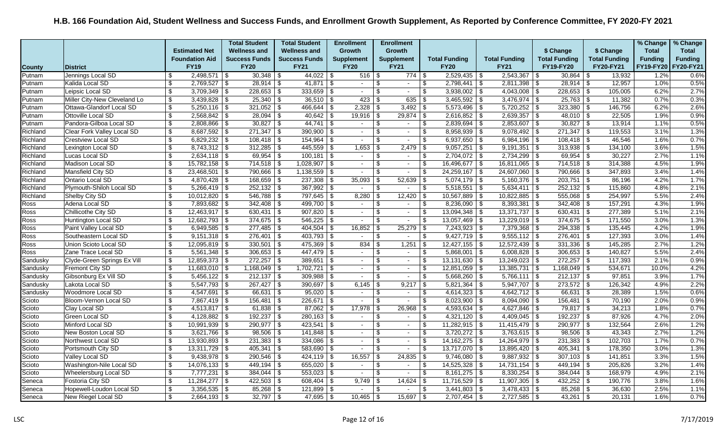|               |                                 |                            |                       | <b>Total Student</b> | <b>Total Student</b>  |            | <b>Enrollment</b> |                 | <b>Enrollment</b>        |                         |                      |                            |            |                      |                      | % Change       | % Change       |
|---------------|---------------------------------|----------------------------|-----------------------|----------------------|-----------------------|------------|-------------------|-----------------|--------------------------|-------------------------|----------------------|----------------------------|------------|----------------------|----------------------|----------------|----------------|
|               |                                 |                            | <b>Estimated Net</b>  | <b>Wellness and</b>  | <b>Wellness and</b>   |            | <b>Growth</b>     |                 | Growth                   |                         |                      |                            |            | \$ Change            | \$ Change            | <b>Total</b>   | <b>Total</b>   |
|               |                                 |                            | <b>Foundation Aid</b> | <b>Success Funds</b> | <b>Success Funds</b>  |            | <b>Supplement</b> |                 | <b>Supplement</b>        |                         | <b>Total Funding</b> | <b>Total Funding</b>       |            | <b>Total Funding</b> | <b>Total Funding</b> | <b>Funding</b> | <b>Funding</b> |
| <b>County</b> | <b>District</b>                 |                            | <b>FY19</b>           | <b>FY20</b>          | <b>FY21</b>           |            | <b>FY20</b>       |                 | <b>FY21</b>              |                         | <b>FY20</b>          | <b>FY21</b>                |            | <b>FY19-FY20</b>     | <b>FY20-FY21</b>     | FY19-FY20      | FY20-FY21      |
| Putnam        | Jennings Local SD               | \$                         | $2,498,571$ \$        |                      | $44,022$ \$           |            | $516$ \$          |                 | $774$   \$               |                         | $2,529,435$ \$       | 2,543,367                  | - \$       | $30,864$ \$          | 13,932               | 1.2%           | 0.6%           |
| Putnam        | Kalida Local SD                 | \$                         | $2,769,527$ \$        | $28,914$ \$          |                       |            | $\sim$            | \$              | $\sim$                   | \$                      | $2,798,441$ \\$      | $2,811,398$ \$             |            |                      | 12,957               | 1.0%           | 0.5%           |
| Putnam        | Leipsic Local SD                | \$                         | $3,709,349$ \$        | $228,653$ \$         | $333,659$ \$          |            | $\sim$            | \$              | $\sim$                   | \$                      | $3,938,002$ \$       | $4,043,008$ \$             |            | $228,653$ \$         | 105,005              | 6.2%           | 2.7%           |
| Putnam        | Miller City-New Cleveland Lo    | \$                         | $3,439,828$ \$        | $25,340$ \$          | $36,510$ \$           |            | 423               | \$              | 635                      | -\$                     | $3,465,592$ \$       | $3,476,974$ \$             |            | $25,763$ \$          | 11,382               | 0.7%           | 0.3%           |
| Putnam        | Ottawa-Glandorf Local SD        | \$                         | $5,250,116$ \$        | $321,052$ \$         | $466,644$ \ \$        |            | 2,328             | \$              | $3,492$ \$               |                         | $5,573,496$ \$       | $5,720,252$ \$             |            | $323,380$ \$         | 146,756              | 6.2%           | 2.6%           |
| Putnam        | Ottoville Local SD              | \$                         | $2,568,842$ \$        | $28,094$ \$          |                       |            | $19,916$ \$       |                 | $29,874$ \$              |                         | $2,616,852$ \$       | $2,639,357$ \$             |            | $48,010$ \$          | 22,505               | 1.9%           | 0.9%           |
| Putnam        | Pandora-Gilboa Local SD         | \$                         | $2,808,866$ \$        | $30,827$ \$          | $44,741$ \\$          |            | $\sim$            | \$              | $\sim$                   | \$                      | $2,839,694$ \$       | 2,853,607                  | \$         | $30,827$ \$          | 13,914               | 1.1%           | 0.5%           |
| Richland      | Clear Fork Valley Local SD      | $\overline{\$}$            | $8,687,592$ \$        | $271,347$ \$         | $390,900$ \$          |            | $\sim$            | \$              | $\sim$                   | $\overline{\$}$         | 8,958,939 \$         | 9,078,492                  | $\sqrt{3}$ | $271,347$ \$         | 119,553              | 3.1%           | 1.3%           |
| Richland      | <b>Crestview Local SD</b>       | \$                         | $6,829,232$ \$        | $108,418$ \$         | $154,964$ \$          |            | $\sim$            | \$              | $\sim$                   | \$                      | $6,937,650$ \$       | $6,984,196$ \$             |            | $108,418$ \$         | 46,546               | 1.6%           | 0.7%           |
| Richland      | Lexington Local SD              | \$                         | $8,743,312$ \$        | $312,285$ \$         | $445,559$ \$          |            | 1,653             | \$              | 2,479                    | $\sqrt[6]{3}$           | $9,057,251$ \$       | 9,191,351                  | l \$       | $313,938$ \$         | 134,100              | 3.6%           | 1.5%           |
| Richland      | Lucas Local SD                  | \$                         | $2,634,118$ \$        | $69,954$ \$          | $100, 181$   \$       |            | $\sim$            | \$              | $\sim$                   | \$                      | $2,704,072$ \$       | 2,734,299                  | \$         | $69,954$ \$          | 30,227               | 2.7%           | 1.1%           |
| Richland      | Madison Local SD                | $\boldsymbol{\mathsf{S}}$  |                       | $714,518$ \$         |                       |            | $\sim$            | \$              | $\sim$                   | \$                      | $16,496,677$ \\$     | $16,811,065$ \$            |            | $714,518$ \$         | 314,388              | 4.5%           | 1.9%           |
| Richland      | Mansfield City SD               | \$                         | $23,468,501$ \$       | $790,666$ \ \$       | $1,138,559$ \$        |            | $\sim$            | \$              | $\overline{\phantom{a}}$ | \$                      | $24,259,167$ \$      | $24,607,060$ \$            |            | $790,666$ \$         | 347,893              | 3.4%           | 1.4%           |
| Richland      | <b>Ontario Local SD</b>         | \$                         | $4,870,428$ \$        | 168,659 \$           | $237,308$   \$        |            | 35,093            | \$              | 52,639                   | -\$                     | $5,074,179$ \\$      | $5,160,376$ \ \ \$         |            | $203,751$ \$         | 86,196               | 4.2%           | 1.7%           |
| Richland      | Plymouth-Shiloh Local SD        | \$                         | $5,266,419$ \$        | $252,132$ \$         | $367,992$ \$          |            | $\sim$            | \$              | $\sim$                   | \$                      | $5,518,551$ \$       | 5,634,411                  | \$         | $252,132$ \$         | 115,860              | 4.8%           | 2.1%           |
| Richland      | Shelby City SD                  | \$                         | $10,012,820$ \$       | $546,788$ \$         | $797,645$ \$          |            | 8,280             | \$              | 12,420                   | $\sqrt[6]{3}$           | $10,567,889$ \$      | $10,822,885$ \$            |            | $555,068$ \$         | 254,997              | 5.5%           | 2.4%           |
| Ross          | Adena Local SD                  | $\overline{\$}$            | 7,893,682 \$          | $342,408$ \$         | 499,700 \$            |            | $\sim$            | \$              | $\sim$                   | \$                      | $8,236,090$ \$       | 8,393,381                  | \$         | $342,408$ \$         | 157,291              | 4.3%           | 1.9%           |
| Ross          | Chillicothe City SD             | \$                         | $12,463,917$ \$       | $630,431$ \$         | $907,820$ \$          |            | $\sim$            | \$              | $\overline{\phantom{a}}$ | \$                      | $13,094,348$ \$      | 13,371,737                 | \$         | $630,431$ \$         | 277,389              | 5.1%           | 2.1%           |
| Ross          | Huntington Local SD             | $\overline{\mathbf{3}}$    | $12,682,793$ \$       | $374,675$ \$         | $546,225$ \$          |            | $\sim$            | \$              | $\sim$                   | \$                      | $13,057,469$ \$      | $13,229,019$ \$            |            | $374,675$ \$         | 171,550              | 3.0%           | 1.3%           |
| Ross          | Paint Valley Local SD           | \$                         | $6,949,585$ \$        | $277,485$ \$         | $404,504$ \ \$        |            | 16,852            | \$              | 25,279                   | \$                      | $7,243,923$ \$       | 7,379,368                  | \$         | $294,338$ \$         | 135,445              | 4.2%           | 1.9%           |
| Ross          | Southeastern Local SD           | $\overline{\$}$            | $9,151,318$ \$        | $276,401$ \$         | $403,793$ \$          |            | $\sim$            | $\overline{\$}$ | $\sim$                   | \$                      | $9,427,719$ \$       | 9,555,112                  | \$         | $276,401$ \$         | 127,393              | 3.0%           | 1.4%           |
| Ross          | Union Scioto Local SD           | \$                         | $12,095,819$ \$       | $330,501$ \$         | $475,369$ \$          |            | 834               | \$              | 1,251                    | \$                      | $12,427,155$ \$      | $\overline{12,572,439}$ \$ |            | $331,336$ \$         | 145,285              | 2.7%           | 1.2%           |
| Ross          | Zane Trace Local SD             | \$                         | $5,561,348$ \\$       | $306,653$ \$         | $447,479$ \$          |            | $\sim$            | \$              | $\sim$                   | \$                      | $5,868,001$ \$       | $6,008,828$ \$             |            | $306,653$ \$         | 140,827              | 5.5%           | 2.4%           |
| Sandusky      | Clyde-Green Springs Ex Vill     | \$                         | $12,859,373$ \$       | $272,257$ \$         | 389,651               | $\vert$ \$ | $\sim$            | \$              | $\sim$                   | \$                      | $13,131,630$ \$      | 13,249,023                 | \$         | $272,257$ \$         | 117,393              | 2.1%           | 0.9%           |
| Sandusky      | <b>Fremont City SD</b>          | \$                         | $11,683,010$ \$       | $1,168,049$ \$       | $1,702,721$ \$        |            | $\sim$            | \$              | $\sim$                   | \$                      | $12,851,059$ \$      | $13,385,731$ \$            |            | $1,168,049$ \$       | 534,671              | 10.0%          | 4.2%           |
| Sandusky      | Gibsonburg Ex Vill SD           | $\sqrt[6]{3}$              | $5,456,122$ \$        | $212,137$ \$         | $309,988$ \$          |            | $\sim$            | \$              | $\sim$                   | $\sqrt[6]{\frac{1}{2}}$ | $5,668,260$ \$       | $5,766,111$ \$             |            | $212,137$ \$         | 97,851               | 3.9%           | 1.7%           |
| Sandusky      | Lakota Local SD                 | \$                         | $5,547,793$ \$        | $267,427$ \$         | $390,697$ \$          |            | 6,145             | \$              | 9,217                    | \$                      | $5,821,364$ \$       | 5,947,707                  | l \$       | $273,572$ \$         | 126,342              | 4.9%           | 2.2%           |
| Sandusky      | Woodmore Local SD               | \$                         | $4,547,691$ \$        | $66,631$ \$          | $95,020$ \$           |            | $\sim$            | \$              | $\sim$                   | \$                      | $4,614,323$ \$       | $4,642,712$ \$             |            | $66,631$ \$          | 28,389               | 1.5%           | 0.6%           |
| Scioto        | Bloom-Vernon Local SD           | $\boldsymbol{\mathsf{\$}}$ | $7,867,419$ \$        | $156,481$ \$         | $226,671$ \$          |            | $\sim$            | \$              | $\sim$                   | \$                      | $8,023,900$ \$       | $8,094,090$ \$             |            | $156,481$ \$         | 70,190               | 2.0%           | 0.9%           |
| Scioto        | Clay Local SD                   | \$                         | $4,513,817$ \$        | $61,838$ \$          | $87,062$ \$           |            | 17,978            | \$              | 26,968                   | \$                      | 4,593,634 \$         | $4,627,846$ \$             |            | 79,817 \$            | 34,213               | 1.8%           | 0.7%           |
| Scioto        | Green Local SD                  | \$                         | 4,128,882   \$        | $192,237$ \$         | $280,163$ \$          |            | $\sim$            | \$              | $\sim$                   | \$                      | $4,321,120$ \$       | 4,409,045                  | \$         | $192,237$ \$         | 87,926               | 4.7%           | 2.0%           |
| Scioto        | Minford Local SD                | \$                         | $10,991,939$ \$       | $290,977$ \$         | $423,541$ \\$         |            | $\sim$            | \$              | $\sim$                   | \$                      | $11,282,915$ \$      | $11,415,479$ \$            |            | $290,977$ \$         | 132,564              | 2.6%           | 1.2%           |
| Scioto        | New Boston Local SD             | \$                         | $3,621,766$ \\$       | $98,506$ \$          | $141,848$ \ \$        |            | $\sim$            | \$              | $\sim$                   | \$                      | $3,720,272$ \$       | $3,763,615$ \$             |            | $98,506$ \$          | 43,343               | 2.7%           | 1.2%           |
| Scioto        | Northwest Local SD              | $\overline{\$}$            | $13,930,893$ \$       | $231,383$ \$         | $334,086$ \$          |            | $\sim$            | \$              | $\sim$                   | \$                      | $14,162,275$ \$      | $14,264,979$ \$            |            | $231,383$ \$         | 102,703              | 1.7%           | 0.7%           |
| Scioto        | Portsmouth City SD              | \$                         | $13,311,729$ \$       | $405,341$ \$         | $583,690$ \$          |            | $\sim$            | \$              | $\blacksquare$           | $\sqrt[6]{\frac{1}{2}}$ | $13,717,070$ \$      | $13,895,420$ \$            |            | $405,341$ \$         | 178,350              | 3.0%           | 1.3%           |
| Scioto        | Valley Local SD                 | \$                         | $9,438,978$ \$        | $290,546$ \$         |                       |            | 16,557            | \$              | 24,835                   | - \$                    | $9,746,080$ \$       | $9,887,932$ \$             |            | $307,103$ \$         | 141,851              | 3.3%           | 1.5%           |
| Scioto        | <b>Washington-Nile Local SD</b> | $\overline{\mathbf{3}}$    | $14,076,133$ \$       | $449,194$ \$         | 655,020 $\frac{1}{9}$ |            | $\sim$            | \$              | $\sim$                   | \$                      | $14,525,328$ \$      | 14,731,154                 | \$         | $449,194$ \\$        | 205,826              | 3.2%           | 1.4%           |
| Scioto        | <b>Wheelersburg Local SD</b>    | $\overline{\$}$            | $7,777,231$ \$        | $384,044$ \$         | $553,023$ \$          |            | $\sim$            | \$              |                          | \$                      | $8,161,275$ \$       | 8,330,254                  | \$         | $384,044$ \$         | 168,979              | 4.9%           | 2.1%           |
| Seneca        | Fostoria City SD                | $\sqrt[6]{3}$              | $11,284,277$ \\$      | $422,503$ \$         | $608,404$ \ \$        |            | 9,749             | $\,$            | 14,624                   | \$                      | $11,716,529$ \$      | $11,907,305$ \$            |            | $432,252$ \$         | 190,776              | 3.8%           | 1.6%           |
| Seneca        | Hopewell-Loudon Local SD        | \$                         | $3,356,535$ \$        |                      | $121,899$ \$          |            | $\sim$            | \$              |                          | \$                      | $3,441,803$ \$       |                            |            | $85,268$ \$          | 36,630               | 2.5%           | 1.1%           |
| Seneca        | New Riegel Local SD             | \$                         |                       | $32,797$ \\$         | $47,695$ \ \$         |            |                   |                 | $15,697$ \ \$            |                         | $2,707,454$ \$       | $2,727,585$ \$             |            | $43,261$ \\$         | 20,131               | 1.6%           | 0.7%           |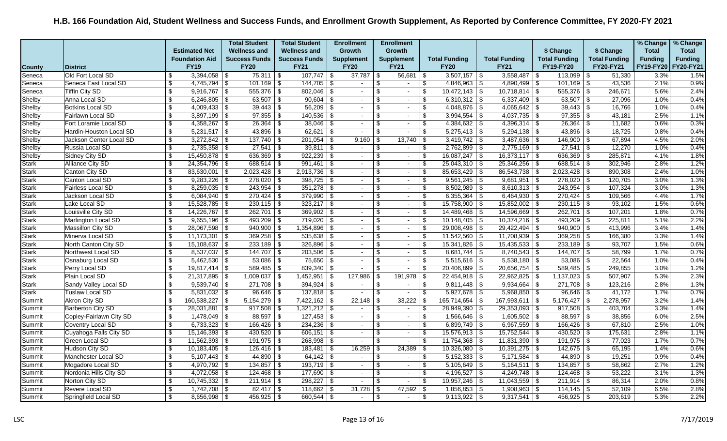|               |                          |                           |                       | <b>Total Student</b> | <b>Total Student</b> |      | <b>Enrollment</b>        |     | <b>Enrollment</b>        |                         |                      |                      |                          |                      |      |                      | % Change       | % Change       |
|---------------|--------------------------|---------------------------|-----------------------|----------------------|----------------------|------|--------------------------|-----|--------------------------|-------------------------|----------------------|----------------------|--------------------------|----------------------|------|----------------------|----------------|----------------|
|               |                          |                           | <b>Estimated Net</b>  | <b>Wellness and</b>  | <b>Wellness and</b>  |      | Growth                   |     | Growth                   |                         |                      |                      |                          | \$ Change            |      | \$ Change            | <b>Total</b>   | <b>Total</b>   |
|               |                          |                           | <b>Foundation Aid</b> | <b>Success Funds</b> | <b>Success Funds</b> |      | <b>Supplement</b>        |     | <b>Supplement</b>        |                         | <b>Total Funding</b> | <b>Total Funding</b> |                          | <b>Total Funding</b> |      | <b>Total Funding</b> | <b>Funding</b> | <b>Funding</b> |
| <b>County</b> | <b>District</b>          |                           | <b>FY19</b>           | <b>FY20</b>          | <b>FY21</b>          |      | <b>FY20</b>              |     | <b>FY21</b>              |                         | <b>FY20</b>          | <b>FY21</b>          |                          | FY19-FY20            |      | FY20-FY21            | FY19-FY20      | FY20-FY21      |
| Seneca        | Old Fort Local SD        | -\$                       | $3,394,058$ \$        | $75,311$ \\$         | $107,747$ \ \ \ \ \  |      | $37,787$ \\$             |     | $56,681$ \ \$            |                         | $3,507,157$ \$       | 3,558,487            | -\$                      | $113,099$ \$         |      | 51,330               | 3.3%           | 1.5%           |
| Seneca        | Seneca East Local SD     | \$                        | $4,745,794$ \$        | $101,169$ \$         | $144,705$ \$         |      | $\sim$                   | \$  | $\sim$                   | \$                      | $4,846,963$ \$       | $4,890,499$ \$       |                          | $101,169$ \$         |      | 43.536               | 2.1%           | 0.9%           |
| Seneca        | Tiffin City SD           | \$                        | $9,916,767$ \$        | $555,376$ \$         | 802,046              | 5    | $\sim$                   |     | $\overline{\phantom{0}}$ | \$                      | $10,472,143$ \$      | 10,718,814           | \$                       | $555,376$ \$         |      | 246,671              | 5.6%           | 2.4%           |
| Shelby        | Anna Local SD            | $\sqrt[6]{3}$             | $6,246,805$ \$        | 63,507 $\frac{1}{3}$ | $90,604$ \$          |      | $\sim$                   | \$. | $\overline{\phantom{a}}$ | \$                      | $6,310,312$ \$       | 6,337,409            | -\$                      | 63,507               | -\$  | 27,096               | 1.0%           | 0.4%           |
| Shelby        | <b>Botkins Local SD</b>  | \$                        | $4,009,433$ \$        |                      | $56,209$ \$          |      | $\sim$                   | \$. | $\sim$                   | $\sqrt[6]{3}$           | $4,048,876$ \$       | $4,065,642$ \$       |                          | $39,443$ \$          |      | 16,766               | 1.0%           | 0.4%           |
| Shelby        | Fairlawn Local SD        | \$                        | $3,897,199$ \$        | $97,355$ \$          | $140,536$ \$         |      | $\sim$                   | \$. | $\blacksquare$           | \$                      | $3,994,554$ \$       | $4,037,735$ \$       |                          | $97,355$ \$          |      | 43,181               | 2.5%           | 1.1%           |
| Shelby        | Fort Loramie Local SD    | \$                        | $4,358,267$ \$        | $26,364$ \$          | 38.046               | -\$  | $\sim$                   |     | $\overline{\phantom{a}}$ | \$                      | $4,384,632$ \$       | 4,396,314            | l \$                     | 26,364               | . \$ | 11,682               | 0.6%           | 0.3%           |
| Shelby        | Hardin-Houston Local SD  | \$                        | $5,231,517$ \$        | $43,896$ \$          | $62,621$ \$          |      | $\sim$                   |     | $\blacksquare$           | \$                      | $5,275,413$ \$       | 5,294,138            | \$                       | $43,896$ \$          |      | 18,725               | 0.8%           | 0.4%           |
| Shelby        | Jackson Center Local SD  | \$                        | $3,272,842$ \$        | $137,740$ \$         | $201,054$ \$         |      | 9,160                    | -\$ | $13,740$ \ \$            |                         | $3,419,742$ \$       | $3,487,636$ \$       |                          | $146,900$ \$         |      | 67,894               | 4.5%           | 2.0%           |
| Shelby        | Russia Local SD          | \$                        | $2,735,358$ \$        | $27,541$ \$          | $39,811$ \$          |      | $\sim$                   | \$  | $\sim$                   | \$                      | $2,762,899$ \$       | 2,775,169            | \$                       | $27,541$ \$          |      | 12,270               | 1.0%           | 0.4%           |
| Shelby        | Sidney City SD           | \$                        | $15,450,878$ \\$      | $636,369$ \\$        | $922,239$ \$         |      | $\sim$                   |     | $\sim$                   | \$                      | $16,087,247$ \$      | $16,373,117$ \$      |                          | $636,369$ \$         |      | 285,871              | 4.1%           | 1.8%           |
| <b>Stark</b>  | Alliance City SD         | $\boldsymbol{\mathsf{S}}$ | $24,354,796$ \$       | $688,514$ \$         | $991,461$ \$         |      | $\sim$                   | \$. | $\sim$                   | $\sqrt[6]{3}$           | $25,043,310$ \$      | 25,346,256           | \$                       | $688,514$ \$         |      | 302,946              | 2.8%           | 1.2%           |
| <b>Stark</b>  | Canton City SD           | \$                        | $83,630,001$ \$       | $2,023,428$ \$       | $2,913,736$ \$       |      | $\sim$                   | \$  | $\sim$                   | \$                      | $85,653,429$ \$      | 86,543,738           | -\$                      | $2,023,428$ \$       |      | 890,308              | 2.4%           | 1.0%           |
| <b>Stark</b>  | Canton Local SD          | \$                        | $9,283,226$ \$        | $278,020$ \$         | $398,725$ \$         |      | $\sim$                   |     | $\blacksquare$           | \$                      | $9,561,245$ \$       | 9,681,951            | \$                       | 278,020 \$           |      | 120,705              | 3.0%           | 1.3%           |
| <b>Stark</b>  | Fairless Local SD        | \$                        | $8,259,035$ \$        | $243,954$ \$         | $351,278$ \$         |      | $\sim$                   | \$. | $\sim$                   | \$                      | $8,502,989$ \$       | $8,610,313$ \$       |                          | $243,954$ \$         |      | 107,324              | 3.0%           | 1.3%           |
| <b>Stark</b>  | <b>Jackson Local SD</b>  | \$                        | $6,084,940$ \$        | $270,424$ \$         | $379,990$ \$         |      | $\sim$                   | \$. | $\sim$                   | \$                      | $6,355,364$ \$       | 6,464,930            | $\vert$ \$               | $270,424$ \$         |      | 109,566              | 4.4%           | 1.7%           |
| <b>Stark</b>  | Lake Local SD            | $\sqrt{2}$                | $15,528,785$ \$       | $230,115$ \$         | $323,217$ \$         |      | $\sim$                   | .ፍ  | $\overline{\phantom{a}}$ | \$                      | $15,758,900$ \$      | 15,852,002           | $\overline{\mathcal{F}}$ | $230,115$ \$         |      | 93,102               | 1.5%           | 0.6%           |
| <b>Stark</b>  | Louisville City SD       | \$                        | $14,226,767$ \\$      | $262,701$ \$         | $369,902$ \$         |      | $\sim$                   |     | $\sim$                   | \$                      |                      | 14,596,669           | \$                       | $262,701$ \$         |      | 107,201              | 1.8%           | 0.7%           |
| <b>Stark</b>  | Marlington Local SD      | \$                        | $9,655,196$ \$        | $493,209$ \$         | $719,020$ \$         |      | $\sim$                   | \$. | $\sim$                   | \$                      | $10,148,405$ \$      | $10,374,216$ \$      |                          | $493,209$ \$         |      | 225,811              | 5.1%           | 2.2%           |
| <b>Stark</b>  | <b>Massillon City SD</b> | \$                        | $28,067,598$ \$       | $940,900$ \$         | $1,354,896$ \$       |      | $\sim$                   |     | $\sim$                   | \$                      | $29,008,498$ \$      | 29,422,494           | $\overline{\mathbf{3}}$  | $940,900$ \$         |      | 413,996              | 3.4%           | 1.4%           |
| <b>Stark</b>  | Minerva Local SD         | \$                        | $11,173,301$ \$       | $369,258$ \$         | $535,638$ \ \$       |      |                          | \$. | $\overline{\phantom{a}}$ | \$                      | $11,542,560$ \$      | 11,708,939           | -\$                      | 369,258              | - \$ | 166,380              | 3.3%           | 1.4%           |
| <b>Stark</b>  | North Canton City SD     | $\sqrt[6]{3}$             | $15,108,637$   \$     | $233,189$ \\$        | $326,896$ \$         |      | $\sim$                   | \$  | $\sim$                   | \$                      | $15,341,826$ \$      | $15,435,533$ \$      |                          | $233,189$ \$         |      | 93,707               | 1.5%           | 0.6%           |
| <b>Stark</b>  | Northwest Local SD       | \$                        | $8,537,037$ \$        | $144,707$ \$         | $203,506$ \$         |      |                          | \$. | $\overline{\phantom{a}}$ | \$                      | $8,681,744$ \\$      | 8,740,543            | l \$                     | $144,707$ \$         |      | 58,799               | 1.7%           | 0.7%           |
| <b>Stark</b>  | Osnaburg Local SD        | \$                        | $5,462,530$ \$        | $53,086$ \$          | 75.650               | l \$ | $\sim$                   | \$. | $\blacksquare$           | \$                      | $5,515,616$ \ \$     | 5,538,180            | l \$                     | 53,086               | . \$ | 22,564               | 1.0%           | 0.4%           |
| <b>Stark</b>  | Perry Local SD           | \$                        | $19,817,414$ \\$      | $589,485$ \$         | $839,340$ \$         |      | $\sim$                   | \$. | $\overline{\phantom{a}}$ | \$                      | $20,406,899$ \$      | 20,656,754           | -\$                      | $589,485$ \$         |      | 249,855              | 3.0%           | 1.2%           |
| <b>Stark</b>  | Plain Local SD           | \$                        | $21,317,895$ \$       | $1,009,037$ \$       | $1,452,951$ \$       |      | 127,986                  | -\$ | $191,978$ \ \$           |                         | $22,454,918$ \$      | $22,962,825$ \$      |                          | $1,137,023$ \$       |      | 507,907              | 5.3%           | 2.3%           |
| <b>Stark</b>  | Sandy Valley Local SD    | \$                        | $9,539,740$ \$        | $271,708$ \$         | $394,924$ \$         |      | $\sim$                   | \$. | $\sim$                   | \$                      | $9,811,448$ \$       | 9,934,664            | \$                       | 271,708              | \$   | 123,216              | 2.8%           | 1.3%           |
| <b>Stark</b>  | <b>Tuslaw Local SD</b>   | \$                        | $5,831,032$ \$        | $96,646$ \ \$        | $137,818$ \$         |      | $\blacksquare$           |     | $\blacksquare$           | \$                      | $5,927,678$ \$       | $5,968,850$ \$       |                          | $96,646$ \$          |      | 41,172               | 1.7%           | 0.7%           |
| Summit        | Akron City SD            | $\boldsymbol{\mathsf{S}}$ | 160,538,227 \$        | $5,154,279$ \$       | $7,422,162$ \$       |      | $22,148$ \$              |     | 33.222                   | l \$                    | $165,714,654$ \\$    | 167,993,611          | \$                       | $5,176,427$ \$       |      | 2,278,957            | 3.2%           | 1.4%           |
| Summit        | <b>Barberton City SD</b> | -\$                       | $28,031,881$ \$       | $917,508$ \$         | $1,321,212$ \$       |      | $\sim$                   | \$  | $\sim$                   | \$                      | $28,949,390$ \$      | 29,353,093           | -\$                      | $917,508$ \$         |      | 403,704              | 3.3%           | 1.4%           |
| Summit        | Copley-Fairlawn City SD  | \$                        | $1,478,049$ \\$       | $88,597$ \$          | $127,453$ \$         |      | $\sim$                   |     | $\sim$                   | \$                      | $1,566,646$ \$       | 1,605,502            | \$                       | 88,597 \$            |      | 38,856               | 6.0%           | 2.5%           |
| Summit        | Coventry Local SD        | \$                        | $6,733,323$ \$        | $166,426$ \$         | $234,236$ \$         |      | $\sim$                   | \$  | $\sim$                   | $\sqrt[6]{\frac{1}{2}}$ | $6,899,749$ \$       | 6,967,559            | $\frac{1}{2}$            | $166,426$ \$         |      | 67,810               | 2.5%           | 1.0%           |
| Summit        | Cuyahoga Falls City SD   | \$                        | $15,146,393$ \$       | $430,520$ \$         | $606,151$ \$         |      | $\overline{\phantom{a}}$ | \$. | $\overline{\phantom{a}}$ | \$                      | $15,576,913$ \$      | 15,752,544           | -\$                      | $430,520$ \$         |      | 175,631              | 2.8%           | 1.1%           |
| Summit        | Green Local SD           | \$                        | $11,562,393$ \$       | $191,975$ \$         | $268,998$ \$         |      | $\sim$                   | \$. | $\blacksquare$           | \$                      | $11,754,368$ \$      | 11,831,390           | -\$                      | $191,975$ \$         |      | 77,023               | 1.7%           | 0.7%           |
| Summit        | Hudson City SD           | \$                        | $10,183,405$ \$       | $126,416$ \$         | $183,481$ \$         |      | 16,259                   |     | 24,389                   | -\$                     | $10,326,080$ \$      | 10,391,275           | \$                       | $142,675$ \$         |      | 65,195               | 1.4%           | 0.6%           |
| Summit        | Manchester Local SD      | \$                        | $5,107,443$ \\$       | $44,890$ \$          |                      |      | $\sim$                   | \$. | $\sim$                   | -\$                     | $5,152,333$ \$       | $5,171,584$ \\$      |                          | 44,890 $\frac{1}{9}$ |      | 19,251               | 0.9%           | 0.4%           |
| Summit        | Mogadore Local SD        | -\$                       | $4,970,792$ \$        | $134,857$ \$         |                      |      | $\sim$                   | -S  | $\sim$                   | \$                      | $5,105,649$ \$       | 5,164,511            | \$                       | $134,857$ \ \$       |      | 58,862               | 2.7%           | 1.2%           |
| Summit        | Nordonia Hills City SD   | \$                        | $4,072,058$ \$        | $124,468$ \$         | $177,690$ \$         |      | $\sim$                   |     | $\overline{\phantom{a}}$ | \$                      | $4,196,527$ \$       | 4,249,748            | l \$                     | 124,468              | l \$ | 53,222               | 3.1%           | 1.3%           |
| Summit        | Norton City SD           | \$                        |                       | $211,914$ \ \$       | $298,227$ \$         |      | $\sim$                   | \$  | $\overline{\phantom{a}}$ | \$                      | $10,957,246$ \$      | $11,043,559$ \$      |                          | $211,914$ \$         |      | 86,314               | 2.0%           | 0.8%           |
| Summit        | Revere Local SD          | \$                        |                       |                      | $118,662$ \$         |      | 31,728                   | -\$ | 47,592 $\frac{1}{2}$     |                         | $1,856,853$ \$       | $1,908,963$ \$       |                          | $114, 145$ \$        |      | 52,109               | 6.5%           | 2.8%           |
| Summit        | Springfield Local SD     | \$                        | $8,656,998$ \ \ \$    | $456,925$ \$         | $660,544$ \ \$       |      |                          | \$. | $\sim$                   | \$                      |                      | 9,317,541            | l \$                     | 456,925              | -\$  | 203,619              | 5.3%           | 2.2%           |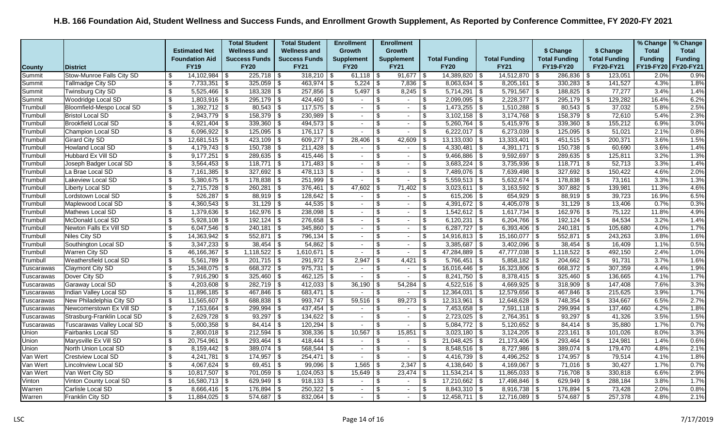|               |                                   |                           |                       | <b>Total Student</b>  | <b>Total Student</b> |      | <b>Enrollment</b> | <b>Enrollment</b> |                          |               |                          |                      |                          |                      |      |                      | % Change       | % Change       |
|---------------|-----------------------------------|---------------------------|-----------------------|-----------------------|----------------------|------|-------------------|-------------------|--------------------------|---------------|--------------------------|----------------------|--------------------------|----------------------|------|----------------------|----------------|----------------|
|               |                                   |                           | <b>Estimated Net</b>  | <b>Wellness and</b>   | <b>Wellness and</b>  |      | <b>Growth</b>     | <b>Growth</b>     |                          |               |                          |                      |                          | \$ Change            |      | \$ Change            | <b>Total</b>   | <b>Total</b>   |
|               |                                   |                           | <b>Foundation Aid</b> | <b>Success Funds</b>  | <b>Success Funds</b> |      | <b>Supplement</b> | <b>Supplement</b> |                          |               | <b>Total Funding</b>     | <b>Total Funding</b> |                          | <b>Total Funding</b> |      | <b>Total Funding</b> | <b>Funding</b> | <b>Funding</b> |
| <b>County</b> | <b>District</b>                   |                           | <b>FY19</b>           | <b>FY20</b>           | <b>FY21</b>          |      | <b>FY20</b>       | <b>FY21</b>       |                          |               | <b>FY20</b>              | <b>FY21</b>          |                          | FY19-FY20            |      | <b>FY20-FY21</b>     | FY19-FY20      | FY20-FY21      |
| Summit        | <b>Stow-Munroe Falls City SD</b>  | -\$                       | $14,102,984$ \\$      | $225,718$ \ \$        | $318,210$ \$         |      | $61,118$ \ \$     |                   | $91,677$ \$              |               | $14,389,820$ \$          | 14,512,870           | \$                       | 286,836              | - \$ | 123,051              | 2.0%           | 0.9%           |
| Summit        | Tallmadge City SD                 | \$                        | $7,733,351$ \$        | $325,059$ \\$         | $463,974$ \$         |      |                   |                   | $7,836$ \$               |               | $8,063,634$ \$           | 8,205,161            | \$                       | $330,283$ \$         |      | 141,527              | 4.3%           | 1.8%           |
| Summit        | Twinsburg City SD                 | \$                        | $5,525,466$ \$        | $183,328$ \$          | $257,856$ \$         |      |                   |                   | $8,245$ \$               |               | $5,714,291$ \$           | 5,791,567            | \$                       | $188,825$ \$         |      | 77,277               | 3.4%           | 1.4%           |
| Summit        | Woodridge Local SD                | \$                        | $1,803,916$ \$        | $295,179$ \$          | 424,460              | \$   | $\sim$            | \$                | $\sim$                   | \$            | $2,099,095$ \$           | 2,228,377            | $\overline{\mathcal{F}}$ | 295,179              | -\$  | 129,282              | 16.4%          | 6.2%           |
| Trumbull      | Bloomfield-Mespo Local SD         | \$                        | $1,392,712$ \$        | $80,543$ \$           | $117,575$ \$         |      | $\sim$            |                   | $\sim$                   | $\sqrt[6]{3}$ | $1,473,255$ \$           | 1,510,288            | \$                       | $80,543$ \$          |      | 37,032               | 5.8%           | 2.5%           |
| Trumbull      | <b>Bristol Local SD</b>           | $\boldsymbol{\mathsf{S}}$ | $2,943,779$ \$        | $158,379$ \$          | $230,989$ \$         |      | $\sim$            | \$.               | $\blacksquare$           | \$            | $3,102,158$ \$           | 3,174,768            | \$                       | $158,379$ \$         |      | 72,610               | 5.4%           | 2.3%           |
| Trumbull      | <b>Brookfield Local SD</b>        | \$                        | 4,921,404   \$        | $339,360$ \ \$        | $494,573$ \$         |      | $\sim$            | \$.               | $\overline{\phantom{a}}$ | \$            | $5,260,764$ \$           | 5,415,976            | \$                       | 339,360              | -\$  | 155,212              | 6.9%           | 3.0%           |
| Trumbull      | <b>Champion Local SD</b>          | \$                        | $6,096,922$ \$        | $125,095$ \$          | $176, 117$ \\$       |      | $\blacksquare$    |                   | $\overline{\phantom{a}}$ | \$            | $6,222,017$ \$           | 6,273,039            | l \$                     | $125,095$ \$         |      | 51,021               | 2.1%           | 0.8%           |
| Trumbull      | Girard City SD                    | \$                        | $12,681,515$ \$       | $423,109$ \$          | $609,277$ \ \$       |      | 28,406            | - \$              | 42,609                   | l \$          | $13,133,030$ \$          | 13,333,401           | \$                       | $451,515$ \$         |      | 200,371              | 3.6%           | 1.5%           |
| Trumbull      | Howland Local SD                  | $\mathfrak{L}$            | $4,179,743$ \$        | $150,738$ \$          | 211,428              | l \$ | $\sim$            | \$.               | $\sim$                   | \$            | $4,330,481$ \$           | 4,391,171            | \$                       | $150,738$ \$         |      | 60,690               | 3.6%           | 1.4%           |
| Trumbull      | <b>Hubbard Ex Vill SD</b>         | \$                        | $9,177,251$ \$        | $289,635$ \$          | 415,446              | 15   | $\sim$            |                   | $\blacksquare$           | \$            | $9,466,886$ \$           | 9,592,697            | \$                       | 289,635              | \$   | 125,811              | 3.2%           | 1.3%           |
| Trumbull      | Joseph Badger Local SD            | $\boldsymbol{\mathsf{S}}$ | $3,564,453$ \\$       | $118,771$ \$          | $171,483$ \$         |      | $\sim$            | \$                | $\sim$                   | \$            | $3,683,224$ \$           | 3,735,936            | \$                       | $118,771$ \$         |      | 52,713               | 3.3%           | 1.4%           |
| Trumbull      | La Brae Local SD                  | \$                        | $7,161,385$ \$        | $327,692$ \$          | $478,113$ \$         |      | $\sim$            | \$.               | $\overline{\phantom{a}}$ | \$            | $7,489,076$ \$           | 7,639,498            | \$                       | $327,692$ \$         |      | 150,422              | 4.6%           | 2.0%           |
| Trumbull      | Lakeview Local SD                 | \$                        | $5,380,675$ \$        | $178,838$ \$          | $251,999$ \$         |      | $\blacksquare$    | \$.               | $\blacksquare$           | \$            | $5,559,513$ \$           | 5,632,674            | \$                       | $178,838$ \ \$       |      | 73,161               | 3.3%           | 1.3%           |
| Trumbull      | Liberty Local SD                  | $\boldsymbol{\mathsf{S}}$ | $2,715,728$ \$        | $260,281$ \$          | $376,461$ \$         |      | 47,602            |                   | 71,402                   | \$            | $3,023,611$ \$           | 3,163,592            | \$                       | $307,882$ \$         |      | 139,981              | 11.3%          | 4.6%           |
| Trumbull      | Lordstown Local SD                | \$                        | $526,287$ \\$         | $88,919$ \$           | $128,642$ \$         |      | $\sim$            | \$                | $\sim$                   | -\$           | $615,206$ \ \$           | 654,929              | l \$                     | $88,919$ \$          |      | 39,723               | 16.9%          | 6.5%           |
| Trumbull      | Maplewood Local SD                | \$                        | $4,360,543$ \$        | $31,129$ \$           |                      |      | $\sim$            |                   | $\blacksquare$           | \$            | $4,391,672$ \$           | 4,405,078            | -\$                      | $31,129$ \$          |      | 13,406               | 0.7%           | 0.3%           |
| Trumbull      | Mathews Local SD                  | $\sqrt{3}$                | $1,379,636$ \$        | $162,976$ \$          | $238,098$ \$         |      | $\sim$            | £.                | $\blacksquare$           | \$            | $1,542,612$ \$           | 1,617,734            | -\$                      | 162,976              | - \$ | 75,122               | 11.8%          | 4.9%           |
| Trumbull      | McDonald Local SD                 | \$                        | $5,928,108$   \$      |                       | $276,658$ \$         |      | $\sim$            | \$                | $\sim$                   | \$            |                          | $6,204,766$ \ \$     |                          | $192,124$ \ \$       |      | 84,534               | 3.2%           | 1.4%           |
| Trumbull      | Newton Falls Ex Vill SD           | $\boldsymbol{\mathsf{S}}$ | $6,047,546$ \\$       | $240,181$ \$          | $345,860$ \$         |      | $\sim$            | $\mathfrak{L}$    | $\overline{\phantom{0}}$ | $\sqrt[6]{3}$ | $6,287,727$ \$           | $6,393,406$ \$       |                          | $240,181$ \$         |      | 105,680              | 4.0%           | 1.7%           |
| Trumbull      | Niles City SD                     | \$                        | $14,363,942$ \$       | $552,871$ \$          | $796,134$ \$         |      | $\sim$            | \$.               | $\overline{\phantom{a}}$ | \$            | $14,916,813$ \$          | 15,160,077           | \$                       | $552,871$ \$         |      | 243,263              | 3.8%           | 1.6%           |
| Trumbull      | Southington Local SD              | \$                        | $3,347,233$ \$        | $38,454$ \\$          | $54,862$ \$          |      | $\sim$            |                   | $\sim$                   | $\sqrt[6]{3}$ | $3,385,687$ \$           | 3,402,096            | \$                       | $38,454$ \$          |      | 16,409               | 1.1%           | 0.5%           |
| Trumbull      | Warren City SD                    | \$                        |                       | $1,118,522$ \$        | $1,610,671$ \$       |      | $\sim$            | \$                | $\sim$                   | \$            | 47,284,889 $\frac{1}{9}$ | 47,777,038           | \$                       |                      |      | 492,150              | 2.4%           | 1.0%           |
| Trumbull      | Weathersfield Local SD            | \$                        | $5,561,789$ \\$       | $201,715$ \$          | $291,972$ \$         |      | 2,947             | -S                | 4,421                    | l \$          | $5,766,451$ \$           | 5,858,182            | \$                       | $204,662$ \$         |      | 91,731               | 3.7%           | 1.6%           |
| Tuscarawas    | <b>Claymont City SD</b>           | \$                        | $15,348,075$ \$       | $668,372$ \$          | $975,731$ \$         |      | $\sim$            | \$                | $\blacksquare$           | \$            | $16,016,446$   \$        | 16,323,806           | -\$                      | $668,372$ \$         |      | 307,359              | 4.4%           | 1.9%           |
| Tuscarawas    | Dover City SD                     | \$                        | $7,916,290$ \$        | $325,460$ \$          | $462,125$ \$         |      | $\sim$            | \$                | $\sim$                   | $\sqrt[6]{3}$ | $8,241,750$ \$           | $8,378,415$ \$       |                          | $325,460$ \$         |      | 136,665              | 4.1%           | 1.7%           |
| Tuscarawas    | Garaway Local SD                  | $\overline{\$}$           | $4,203,608$ \$        | $282,719$ \$          | $412,033$ \$         |      | 36,190            | .ኖ                |                          |               | $4,522,516$ \$           | 4,669,925            | \$                       | $318,909$ \$         |      | 147,408              | 7.6%           | 3.3%           |
| Tuscarawas    | Indian Valley Local SD            | \$                        | $11,896,185$   \$     | 467,846   \$          | $683,471$ \$         |      | $\sim$            |                   | $\blacksquare$           | \$            | $12,364,031$ \$          | 12,579,656           | \$                       | 467,846              | -\$  | 215,625              | 3.9%           | 1.7%           |
| Tuscarawas    | New Philadelphia City SD          | $\sqrt[6]{3}$             | $11,565,607$ \$       | $688,838$ \$          | $993,747$ \$         |      | 59,516            | -\$               | 89,273                   | \$            | $12,313,961$ \$          | $12,648,628$ \$      |                          | $748,354$ \$         |      | 334,667              | 6.5%           | 2.7%           |
| Tuscarawas    | Newcomerstown Ex Vill SD          | \$                        | $7,153,664$ \$        | $299,994$ \$          | $437,454$ \\$        |      | $\sim$            | \$.               | $\sim$                   | -\$           | 7,453,658 \$             | 7,591,118            | \$                       | $299,994$ \$         |      | 137,460              | 4.2%           | 1.8%           |
| Tuscarawas    | Strasburg-Franklin Local SD       | $\boldsymbol{\mathsf{S}}$ | $2,629,728$ \$        | $93,297$ \$           | $134,622$ \ \$       |      | $\sim$            | \$.               | $\overline{\phantom{a}}$ | $\sqrt[6]{3}$ | $2,723,025$ \$           | 2,764,351            | $\sqrt{3}$               | $93,297$ \$          |      | 41,326               | 3.5%           | 1.5%           |
| Tuscarawas    | <b>Tuscarawas Valley Local SD</b> | \$                        | $5,000,358$ \ \ \$    | $84,414$ \\$          | $120,294$ \$         |      | $\sim$            | \$                | $\blacksquare$           | \$            | $5,084,772$ \$           | 5,120,652            | \$                       | $84,414$ \$          |      | 35,880               | 1.7%           | 0.7%           |
| Union         | Fairbanks Local SD                | \$                        | $2,800,018$ \$        | $212,594$ \$          | $308,336$ \$         |      | 10.567            | -\$               | 15,851                   | l \$          | $3,023,180$ \$           | $3,124,205$ \$       |                          | $223,161$ \$         |      | 101,026              | 8.0%           | 3.3%           |
| Union         | Marysville Ex Vill SD             | \$                        | $20,754,961$ \$       | $293,464$ \$          | $418,444$ \ \$       |      | $\sim$            | .ኖ                | $\sim$                   | \$            | $21,048,425$ \$          | 21,173,406           | -\$                      | $293,464$ \$         |      | 124,981              | 1.4%           | 0.6%           |
| Union         | North Union Local SD              | \$                        | $8,159,442$ \$        | $389.074$ \\$         | $568,544$ \ \$       |      | $\sim$            |                   | $\blacksquare$           | \$            | $8,548,516$ \$           | 8,727,986            | -\$                      | 389,074              | l \$ | 179,470              | 4.8%           | 2.1%           |
| Van Wert      | <b>Crestview Local SD</b>         | \$                        |                       | $174,957$ \$          | 254,471   \$         |      | $\sim$            | \$                | $\overline{\phantom{a}}$ | \$            | $4,416,739$ \$           | 4,496,252            | \$                       | $174,957$ \$         |      | 79,514               | 4.1%           | 1.8%           |
| Van Wert      | <b>Lincolnview Local SD</b>       | \$                        | 4,067,624 \\$         | $69,451$ \\$          | $99,096$ \$          |      | 1,565             | \$                |                          |               | 4,138,640 $\frac{1}{3}$  | 4,169,067            | -\$                      | $71,016$ \$          |      | 30,427               | 1.7%           | 0.7%           |
| Van Wert      | Van Wert City SD                  | $\overline{\$}$           | $10,817,507$ \$       | $701,059$ \ \$        | $1,024,053$   \$     |      | 15,649            | -S                | $23,474$ $\frac{6}{5}$   |               | $11,534,214$ \ \$        | 11,865,033           | -\$                      | $716,708$ \$         |      | 330,818              | 6.6%           | 2.9%           |
| Vinton        | Vinton County Local SD            | \$                        | $16,580,713$ \$       | 629,949 $\frac{1}{3}$ | $918,133$ \$         |      | $\sim$            | \$                | $\sim$                   | \$            | $17,210,662$ \$          | 17,498,846           | l \$                     | 629,949 \$           |      | 288,184              | 3.8%           | 1.7%           |
| Warren        | Carlisle Local SD                 | \$                        | $8,666,416$ \ \$      | $176,894$ \$          | $250,322$ \$         |      | $\sim$            | \$.               | $\blacksquare$           | $\sqrt[6]{3}$ |                          | $8,916,738$   \$     |                          | $176,894$ \\$        |      | 73,428               | 2.0%           | 0.8%           |
| Warren        | <b>Franklin City SD</b>           | -\$                       | $11,884,025$ \\$      | $574,687$ \\$         | $832,064$ \$         |      | $\sim$            | \$                | $\sim$                   | \$            | $12,458,711$ \$          | 12,716,089           | l \$                     | $574,687$ \$         |      | 257,378              | 4.8%           | 2.1%           |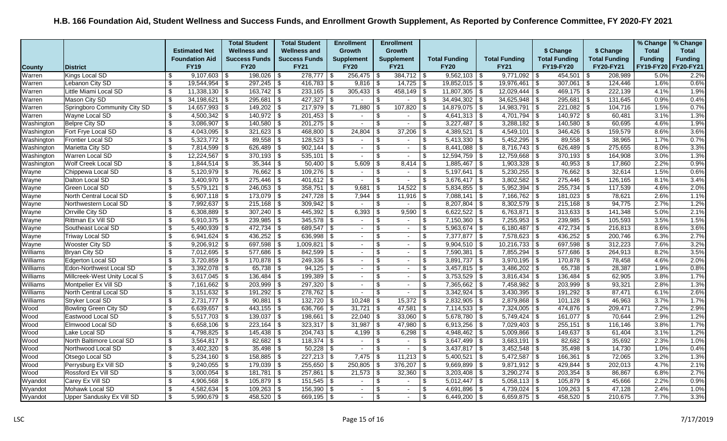|               |                              |                           |                         | <b>Total Student</b>    | <b>Total Student</b>  | <b>Enrollment</b>        | <b>Enrollment</b>                          |                         |                         |                      |                      |                      |                      |         | % Change       | % Change       |
|---------------|------------------------------|---------------------------|-------------------------|-------------------------|-----------------------|--------------------------|--------------------------------------------|-------------------------|-------------------------|----------------------|----------------------|----------------------|----------------------|---------|----------------|----------------|
|               |                              |                           | <b>Estimated Net</b>    | <b>Wellness and</b>     | <b>Wellness and</b>   | Growth                   | Growth                                     |                         |                         |                      |                      | \$ Change            | \$ Change            |         | <b>Total</b>   | <b>Total</b>   |
|               |                              |                           | <b>Foundation Aid</b>   | <b>Success Funds</b>    | <b>Success Funds</b>  | <b>Supplement</b>        | <b>Supplement</b>                          |                         | <b>Total Funding</b>    | <b>Total Funding</b> |                      | <b>Total Funding</b> | <b>Total Funding</b> |         | <b>Funding</b> | <b>Funding</b> |
| <b>County</b> | District                     |                           | <b>FY19</b>             | <b>FY20</b>             | <b>FY21</b>           | <b>FY20</b>              | <b>FY21</b>                                |                         | <b>FY20</b>             | <b>FY21</b>          |                      | <b>FY19-FY20</b>     | FY20-FY21            |         | FY19-FY20      | FY20-FY21      |
| Warren        | Kings Local SD               | \$                        | $9,107,603$ \$          | $198,026$ \$            | $278,777$ \\$         | 256,475                  | \$<br>$384,712$ \ \$                       |                         | $9,562,103$ \$          | 9,771,092            | ∣\$                  | $454,501$ \\$        |                      | 208,989 | 5.0%           | 2.2%           |
| Warren        | Lebanon City SD              | $\overline{\mathbf{s}}$   | $19,544,954$ \$         | $297,245$ \$            | $416,783$ \$          | $9,816$ \$               |                                            |                         | $19,852,015$ \$         | 19,976,461           | $\frac{1}{3}$        | $307,061$ \$         |                      | 124,446 | 1.6%           | 0.6%           |
| Warren        | Little Miami Local SD        | \$                        | $11,338,130$ \ \$       | $163,742$ \$            | $233,165$ \$          | 305,433                  | \$<br>$458,149$ \\$                        |                         | $11,807,305$ \$         |                      |                      | $469,175$ \$         |                      | 222,139 | 4.1%           | 1.9%           |
| Warren        | Mason City SD                | \$                        | $34,198,621$ \$         | $295,681$ \$            |                       |                          | \$<br>$\overline{\phantom{a}}$             | $\overline{\$}$         | $34,494,302$ \$         | 34,625,948           | \$                   | $295,681$ \$         |                      | 131,645 | 0.9%           | 0.4%           |
| Warren        | Springboro Community City SD | \$                        | $14,657,993$ \$         | $149,202$ \$            | $217,979$ \$          | 71,880                   | \$<br>107,820                              | -\$                     | 14,879,075 \$           | 14,983,791           | \$                   | $221,082$ \$         |                      | 104,716 | 1.5%           | 0.7%           |
| Warren        | Wayne Local SD               | $\boldsymbol{\mathsf{S}}$ | $4,500,342$ \$          | $140,972$ \$            | $201,453$ \$          | $\overline{\phantom{a}}$ | \$<br>$\sim$                               | \$                      | $4,641,313$ \$          | $4,701,794$ \$       |                      | $140,972$ \$         |                      | 60,481  | 3.1%           | 1.3%           |
| Washington    | Belpre City SD               | $\boldsymbol{\mathsf{s}}$ | $3,086,907$ \$          | $140,580$ \ \$          | $201,275$ \$          | $\sim$                   | \$<br>$\blacksquare$                       | \$                      | $3,227,487$ \$          | 3,288,182            | \$                   | $140,580$ \$         |                      | 60,695  | 4.6%           | 1.9%           |
| Washington    | Fort Frye Local SD           | $\boldsymbol{\mathsf{s}}$ | $4,043,095$ \$          | $321,623$ \$            | $468,800$ \$          | 24,804                   | \$<br>37,206                               | \$                      | $4,389,521$ \$          | $4,549,101$ \$       |                      | $346,426$ \$         |                      | 159,579 | 8.6%           | 3.6%           |
| Washington    | <b>Frontier Local SD</b>     | \$                        | $5,323,772$ \$          | $89,558$ \$             | $128,523$ \$          | $\sim$                   | \$<br>$\sim$                               | \$                      | $5,413,330$ \$          | $5,452,295$ \$       |                      | $89,558$ \$          |                      | 38,965  | 1.7%           | 0.7%           |
| Washington    | Marietta City SD             | \$                        | $7,814,599$ \\$         | $626,489$ \$            |                       | $\sim$                   | \$<br>$\sim$                               | \$                      | $8,441,088$ \$          | $8,716,743$ \$       |                      | $626,489$ \$         |                      | 275,655 | 8.0%           | 3.3%           |
| Washington    | Warren Local SD              | $\boldsymbol{\mathsf{S}}$ | $12,224,567$ \\$        | $370,193$ \$            | $535,101$ \$          | $\overline{\phantom{a}}$ | \$<br>$\overline{\phantom{a}}$             | \$                      | $12,594,759$ \$         | 12,759,668           | \$                   | $370,193$ \$         |                      | 164,908 | 3.0%           | 1.3%           |
| Washington    | Wolf Creek Local SD          | \$                        | $1,844,514$ \$          | $35,344$ \\$            | $50,400$ \ \$         | 5,609                    | \$<br>8,414                                | $\sqrt[6]{3}$           | $1,885,467$ \$          |                      |                      | $40,953$ \$          |                      | 17,860  | 2.2%           | 0.9%           |
| Wayne         | Chippewa Local SD            | \$                        | $5,120,979$ \$          | $76,662$ \ \$           |                       | $\sim$                   | \$<br>$\sim$                               | \$                      | $5,197,641$ \$          | $5,230,255$ \$       |                      | $76,662$ \$          |                      | 32,614  | 1.5%           | 0.6%           |
| Wayne         | Dalton Local SD              | $\boldsymbol{\mathsf{s}}$ | $3,400,970$ \$          | $275,446$ \$            | $401,612$ \$          | $\sim$                   | \$<br>$\overline{\phantom{a}}$             | \$                      | $3,676,417$ \$          | 3,802,582            | $\sqrt{3}$           | $275,446$ \\$        |                      | 126,165 | 8.1%           | 3.4%           |
| Wayne         | Green Local SD               | $\boldsymbol{\mathsf{S}}$ | $5,579,121$ \$          | $246,053$ \$            | $358,751$ \$          | 9,681                    | 14,522<br>\$                               | $\sqrt[6]{3}$           | $5,834,855$ \$          | 5,952,394            | \$                   | $255,734$ \$         |                      | 117,539 | 4.6%           | 2.0%           |
| Wayne         | North Central Local SD       | \$                        | 6,907,118 $\frac{1}{3}$ | $173,079$ \$            |                       | 7,944                    | \$<br>$11,916$ \$                          |                         | $7,088,141$ \$          | $7,166,762$ \$       |                      | $181,023$ \$         |                      | 78,621  | 2.6%           | 1.1%           |
| Wayne         | Northwestern Local SD        | \$                        | $7,992,637$ \$          | $215,168$ \$            | $309,942$ \$          | $\sim$                   | \$<br>$\sim$                               | \$                      | $8,207,804$ \$          | $8,302,579$ \$       |                      | $215,168$ \$         |                      | 94,775  | 2.7%           | 1.2%           |
| Wayne         | Orrville City SD             | \$                        | $6,308,889$ \$          | $307,240$ \$            | $445,392$ \$          | 6,393                    | \$<br>9,590                                | \$                      | $6,622,522$ \$          | 6,763,871            | $\bar{\mathfrak{F}}$ | $313,633$ \$         |                      | 141,348 | 5.0%           | 2.1%           |
| Wayne         | Rittman Ex Vill SD           | \$                        | 6,910,375   $$$         | $239,985$ \$            | $345,578$ \$          | $\sim$                   | \$<br>$\sim$                               | \$                      | $7,150,360$ \$          | $7,255,953$ \$       |                      | $239,985$ \$         |                      | 105,593 | 3.5%           | 1.5%           |
| Wayne         | Southeast Local SD           | $\boldsymbol{\mathsf{s}}$ | $5,490,939$ \$          | $472,734$ \\$           | 689,547 $\frac{1}{9}$ | $\sim$                   | \$<br>$\sim$                               | \$                      | $5,963,674$ \$          | $6,180,487$ \$       |                      | $472,734$ \\$        |                      | 216,813 | 8.6%           | 3.6%           |
| Wayne         | <b>Triway Local SD</b>       | \$                        | $6,941,624$ \$          | $436,252$ \$            | $636,998$ \$          | $\overline{\phantom{a}}$ | \$<br>$\sim$                               | \$                      | $7,377,877$ \$          | $7,578,623$ \$       |                      | $436,252$ \$         |                      | 200,746 | 6.3%           | 2.7%           |
| Wayne         | Wooster City SD              | \$                        | $9,206,912$ \$          | $697,598$ \$            | $1,009,821$ \$        | $\sim$                   | \$<br>$\sim$                               | $\sqrt[6]{\frac{1}{2}}$ | $9,904,510$ \$          | $10,216,733$ \$      |                      | $697,598$ \$         |                      | 312,223 | 7.6%           | 3.2%           |
| Williams      | Bryan City SD                | \$                        | $7,012,695$ \$          | $577,686$ \ \$          | $842,599$ \$          | $\sim$                   | \$<br>$\sim$                               | \$                      | $7,590,381$ \$          | $7,855,294$ \$       |                      | $577,686$ \$         |                      | 264,913 | 8.2%           | 3.5%           |
| Williams      | Edgerton Local SD            | \$                        | $3,720,859$ \$          | $170,878$ \$            | $249,336$ \$          | $\sim$                   | \$<br>$\sim$                               | \$                      | $3,891,737$ \$          | 3,970,195            | \$                   | $170,878$ \$         |                      | 78,458  | 4.6%           | 2.0%           |
| Williams      | Edon-Northwest Local SD      | \$                        | $3,392,078$ \$          |                         | $94,125$ \$           | $\overline{\phantom{a}}$ | \$<br>$\blacksquare$                       | \$                      | $3,457,815$ \$          | 3,486,202            | $\sqrt{3}$           | $65,738$ \$          |                      | 28,387  | 1.9%           | 0.8%           |
| Williams      | Millcreek-West Unity Local S | \$                        | $3,617,045$ \$          | $136,484$ \$            | $199,389$ \$          | $\sim$                   | \$<br>$\sim$                               | \$                      | $3,753,529$ \$          | $3,816,434$ \$       |                      | $136,484$ \$         |                      | 62,905  | 3.8%           | 1.7%           |
| Williams      | Montpelier Ex Vill SD        | \$                        | $7,161,662$ \$          | $203,999$ \$            | $297,320$ \$          | $\overline{\phantom{a}}$ | \$<br>$\sim$                               | $\overline{\mathbf{S}}$ | $7,365,662$ \$          | $7,458,982$ \$       |                      | $203,999$ \$         |                      | 93,321  | 2.8%           | 1.3%           |
| Williams      | North Central Local SD       | $\boldsymbol{\mathsf{s}}$ | $3,151,632$ \$          | $191,292$ \$            | $278,762$ \$          | $\sim$                   | \$<br>$\blacksquare$                       | \$                      | $3,342,924$ \$          | 3,430,395            | -\$                  | $191,292$ \$         |                      | 87,471  | 6.1%           | 2.6%           |
| Williams      | Stryker Local SD             | $\boldsymbol{\mathsf{S}}$ | $2,731,777$ \$          | $90,881$ \$             | $132,720$ \$          | 10,248                   | 15,372<br>\$                               | $\sqrt[6]{3}$           | $2,832,905$ \$          | $2,879,868$ \$       |                      | $101,128$ \$         |                      | 46,963  | 3.7%           | 1.7%           |
| Wood          | Bowling Green City SD        | \$                        | $6,639,657$ \$          | 443,155 \$              | 636,766 \$            | 31,721                   | \$<br>47,581                               | \$                      | $7,114,533$ \$          | $7,324,005$ \$       |                      | 474,876 \$           |                      | 209,471 | 7.2%           | 2.9%           |
| Wood          | Eastwood Local SD            | $\boldsymbol{\mathsf{s}}$ | $5,517,703$ \$          | $139,037$ \$            | $198,661$ \$          | 22,040                   | $\boldsymbol{\mathsf{S}}$<br>$33,060$ \ \$ |                         | $5,678,780$ \$          | $5,749,424$ \$       |                      | $161,077$ \$         |                      | 70,644  | 2.9%           | 1.2%           |
| Wood          | Elmwood Local SD             | \$                        | $6,658,106$ \$          | $223,164$ \\$           | $323,317$ \$          | 31,987                   | \$<br>47,980                               | \$                      | $6,913,256$ \$          | $7,029,403$ \$       |                      | $255,151$ \$         |                      | 116,146 | 3.8%           | 1.7%           |
| Wood          | Lake Local SD                | \$                        | $4,798,825$ \$          | $145,438$ \$            |                       | 4,199                    | $\boldsymbol{\mathsf{S}}$<br>$6,298$ \$    |                         | $4,948,462$ \$          | $5,009,866$ \$       |                      |                      |                      | 61.404  | 3.1%           | 1.2%           |
| Wood          | North Baltimore Local SD     | \$                        | $3,564,817$ \$          | $82,682$ \$             | $118,374$ \$          | $\sim$                   | \$<br>$\sim$                               | \$                      | $3,647,499$ \$          | $3,683,191$ \$       |                      | $82,682$ \$          |                      | 35,692  | 2.3%           | 1.0%           |
| Wood          | Northwood Local SD           | \$                        | $3,402,320$ \$          | $35,498$ \$             | $50,228$ \$           |                          | \$<br>$\overline{\phantom{a}}$             | $\mathfrak{s}$          | $3,437,817$ \\$         | 3,452,548            | ∣\$.                 |                      |                      | 14,730  | 1.0%           | 0.4%           |
| Wood          | Otsego Local SD              | \$                        | $5,234,160$ \$          | $158,885$ \$            | $227,213$ \$          | 7,475                    | 11,213<br>\$                               | \$                      | $5,400,521$ \$          | $5,472,587$ \$       |                      | $166,361$ \$         |                      | 72,065  | 3.2%           | 1.3%           |
| Wood          | Perrysburg Ex Vill SD        | $\boldsymbol{\mathsf{s}}$ | $9,240,055$ \$          | $179,039$ \$            | $255,650$ \$          | 250,805                  | \$<br>376,207                              | \$                      | $9,669,899$ \$          | $9,871,912$ \$       |                      |                      |                      | 202,013 | 4.7%           | 2.1%           |
| Wood          | Rossford Ex Vill SD          | \$                        | $3,000,054$ \$          | $181,781$ $\frac{8}{3}$ | $257,861$ \$          | 21,573                   | $\overline{\$}$<br>32,360                  | \$                      | $3,203,408$ \$          | $3,290,274$ \$       |                      | $203,354$ \\$        |                      | 86,867  | 6.8%           | 2.7%           |
| Wyandot       | Carey Ex Vill SD             | $\boldsymbol{\mathsf{s}}$ | $4,906,568$ \$          | $105,879$ \$            | $151,545$ \$          | $\sim$                   | \$<br>$\sim$                               | \$                      | $5,012,447$ \$          | $5,058,113$ \$       |                      | 105,879 \$           |                      | 45,666  | 2.2%           | 0.9%           |
| Wyandot       | Mohawk Local SD              | \$                        |                         | $109,263$ \$            | $156,390$ \$          | $\sim$                   | \$<br>$\sim$                               | \$                      | $4,691,896$ \$          | 4,739,024   \$       |                      | $109,263$ \$         |                      | 47,128  | 2.4%           | 1.0%           |
| Wyandot       | Upper Sandusky Ex Vill SD    | \$                        | $5,990,679$ \$          | 458,520 $\frac{1}{3}$   | $669,195$ \$          |                          | \$<br>$\sim$                               | \$                      | 6,449,200 $\frac{1}{9}$ | $6,659,875$ \$       |                      | $458,520$ \$         |                      | 210,675 | 7.7%           | 3.3%           |